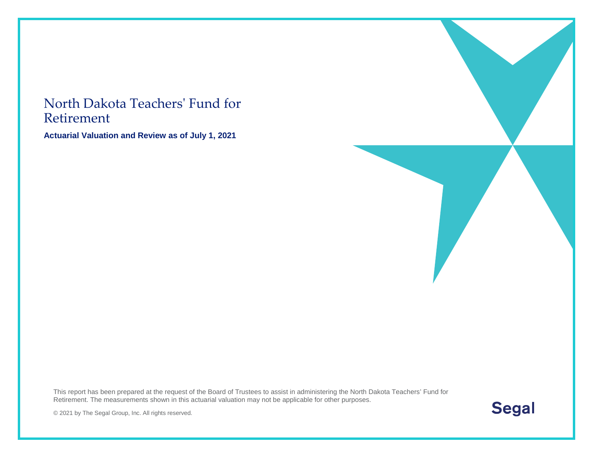#### North Dakota Teachers' Fund for Retirement

**Actuarial Valuation and Review as of July 1, 2021**

This report has been prepared at the request of the Board of Trustees to assist in administering the North Dakota Teachers' Fund for Retirement. The measurements shown in this actuarial valuation may not be applicable for other purposes.



© 2021 by The Segal Group, Inc. All rights reserved.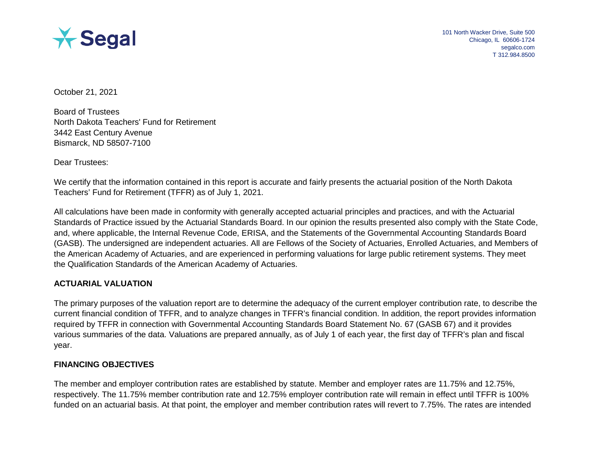

October 21, 2021

Board of Trustees North Dakota Teachers' Fund for Retirement 3442 East Century Avenue Bismarck, ND 58507-7100

Dear Trustees:

We certify that the information contained in this report is accurate and fairly presents the actuarial position of the North Dakota Teachers' Fund for Retirement (TFFR) as of July 1, 2021.

All calculations have been made in conformity with generally accepted actuarial principles and practices, and with the Actuarial Standards of Practice issued by the Actuarial Standards Board. In our opinion the results presented also comply with the State Code, and, where applicable, the Internal Revenue Code, ERISA, and the Statements of the Governmental Accounting Standards Board (GASB). The undersigned are independent actuaries. All are Fellows of the Society of Actuaries, Enrolled Actuaries, and Members of the American Academy of Actuaries, and are experienced in performing valuations for large public retirement systems. They meet the Qualification Standards of the American Academy of Actuaries.

#### **ACTUARIAL VALUATION**

The primary purposes of the valuation report are to determine the adequacy of the current employer contribution rate, to describe the current financial condition of TFFR, and to analyze changes in TFFR's financial condition. In addition, the report provides information required by TFFR in connection with Governmental Accounting Standards Board Statement No. 67 (GASB 67) and it provides various summaries of the data. Valuations are prepared annually, as of July 1 of each year, the first day of TFFR's plan and fiscal year.

#### **FINANCING OBJECTIVES**

The member and employer contribution rates are established by statute. Member and employer rates are 11.75% and 12.75%, respectively. The 11.75% member contribution rate and 12.75% employer contribution rate will remain in effect until TFFR is 100% funded on an actuarial basis. At that point, the employer and member contribution rates will revert to 7.75%. The rates are intended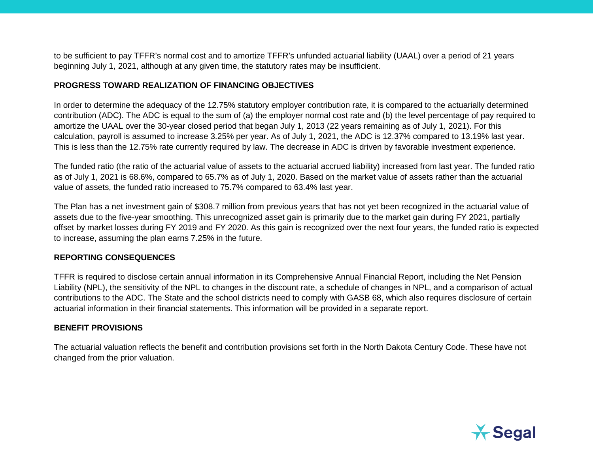to be sufficient to pay TFFR's normal cost and to amortize TFFR's unfunded actuarial liability (UAAL) over a period of 21 years beginning July 1, 2021, although at any given time, the statutory rates may be insufficient.

#### **PROGRESS TOWARD REALIZATION OF FINANCING OBJECTIVES**

In order to determine the adequacy of the 12.75% statutory employer contribution rate, it is compared to the actuarially determined contribution (ADC). The ADC is equal to the sum of (a) the employer normal cost rate and (b) the level percentage of pay required to amortize the UAAL over the 30-year closed period that began July 1, 2013 (22 years remaining as of July 1, 2021). For this calculation, payroll is assumed to increase 3.25% per year. As of July 1, 2021, the ADC is 12.37% compared to 13.19% last year. This is less than the 12.75% rate currently required by law. The decrease in ADC is driven by favorable investment experience.

The funded ratio (the ratio of the actuarial value of assets to the actuarial accrued liability) increased from last year. The funded ratio as of July 1, 2021 is 68.6%, compared to 65.7% as of July 1, 2020. Based on the market value of assets rather than the actuarial value of assets, the funded ratio increased to 75.7% compared to 63.4% last year.

The Plan has a net investment gain of \$308.7 million from previous years that has not yet been recognized in the actuarial value of assets due to the five-year smoothing. This unrecognized asset gain is primarily due to the market gain during FY 2021, partially offset by market losses during FY 2019 and FY 2020. As this gain is recognized over the next four years, the funded ratio is expected to increase, assuming the plan earns 7.25% in the future.

#### **REPORTING CONSEQUENCES**

TFFR is required to disclose certain annual information in its Comprehensive Annual Financial Report, including the Net Pension Liability (NPL), the sensitivity of the NPL to changes in the discount rate, a schedule of changes in NPL, and a comparison of actual contributions to the ADC. The State and the school districts need to comply with GASB 68, which also requires disclosure of certain actuarial information in their financial statements. This information will be provided in a separate report.

#### **BENEFIT PROVISIONS**

The actuarial valuation reflects the benefit and contribution provisions set forth in the North Dakota Century Code. These have not changed from the prior valuation.

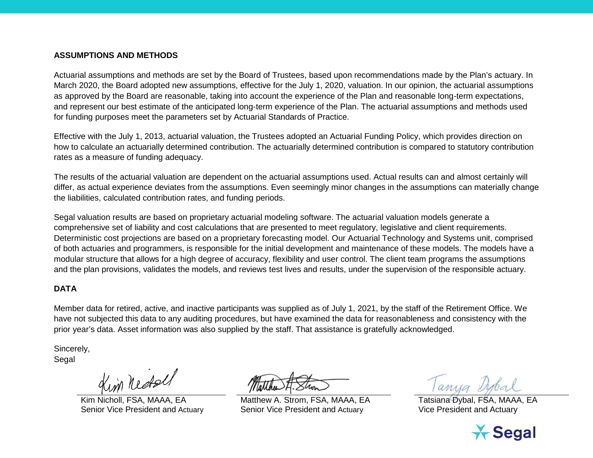#### **ASSUMPTIONS AND METHODS**

Actuarial assumptions and methods are set by the Board of Trustees, based upon recommendations made by the Plan's actuary. In March 2020, the Board adopted new assumptions, effective for the July 1, 2020, valuation. In our opinion, the actuarial assumptions as approved by the Board are reasonable, taking into account the experience of the Plan and reasonable long-term expectations, and represent our best estimate of the anticipated long-term experience of the Plan. The actuarial assumptions and methods used for funding purposes meet the parameters set by Actuarial Standards of Practice.

Effective with the July 1, 2013, actuarial valuation, the Trustees adopted an Actuarial Funding Policy, which provides direction on how to calculate an actuarially determined contribution. The actuarially determined contribution is compared to statutory contribution rates as a measure of funding adequacy.

The results of the actuarial valuation are dependent on the actuarial assumptions used. Actual results can and almost certainly will differ, as actual experience deviates from the assumptions. Even seemingly minor changes in the assumptions can materially change the liabilities, calculated contribution rates, and funding periods.

Segal valuation results are based on proprietary actuarial modeling software. The actuarial valuation models generate a comprehensive set of liability and cost calculations that are presented to meet regulatory, legislative and client requirements. Deterministic cost projections are based on a proprietary forecasting model. Our Actuarial Technology and Systems unit, comprised of both actuaries and programmers, is responsible for the initial development and maintenance of these models. The models have a modular structure that allows for a high degree of accuracy, flexibility and user control. The client team programs the assumptions and the plan provisions, validates the models, and reviews test lives and results, under the supervision of the responsible actuary.

#### **DATA**

Member data for retired, active, and inactive participants was supplied as of July 1, 2021, by the staff of the Retirement Office. We have not subjected this data to any auditing procedures, but have examined the data for reasonableness and consistency with the prior year's data. Asset information was also supplied by the staff. That assistance is gratefully acknowledged.

Sincerely, Segal

in nestel

Kim Nicholl, FSA, MAAA, EA Matthew A. Strom, FSA, MAAA, EA Tatsiana Dybal, FSA, MAAA, EA Senior Vice President and Actuary Senior Vice President and Actuary Vice President and Actuary

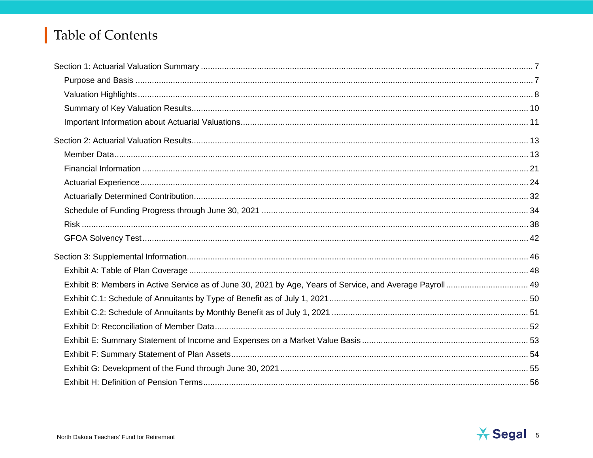### Table of Contents

| Exhibit B: Members in Active Service as of June 30, 2021 by Age, Years of Service, and Average Payroll  49 |  |
|------------------------------------------------------------------------------------------------------------|--|
|                                                                                                            |  |
|                                                                                                            |  |
|                                                                                                            |  |
|                                                                                                            |  |
|                                                                                                            |  |
|                                                                                                            |  |
|                                                                                                            |  |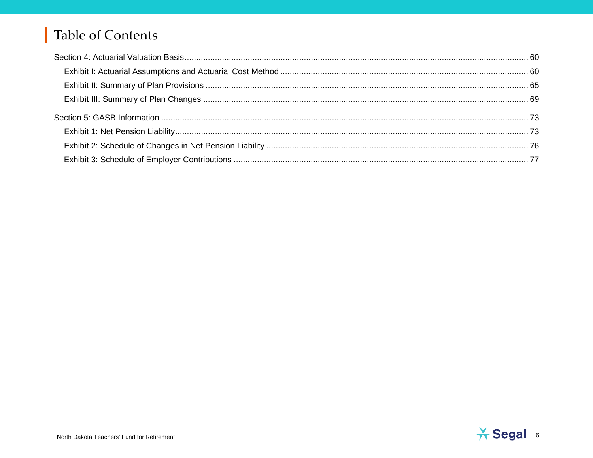### Table of Contents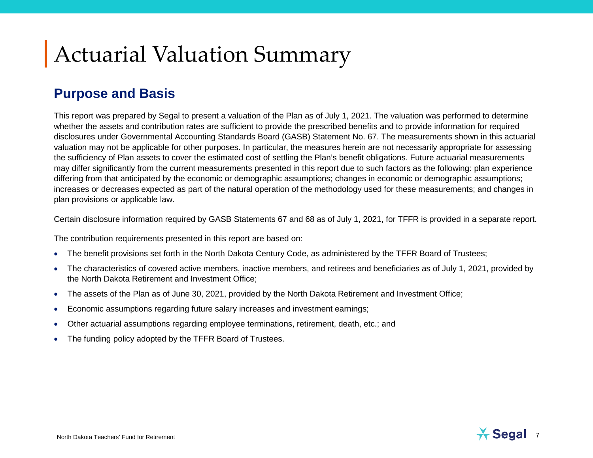# Actuarial Valuation Summary

#### **Purpose and Basis**

This report was prepared by Segal to present a valuation of the Plan as of July 1, 2021. The valuation was performed to determine whether the assets and contribution rates are sufficient to provide the prescribed benefits and to provide information for required disclosures under Governmental Accounting Standards Board (GASB) Statement No. 67. The measurements shown in this actuarial valuation may not be applicable for other purposes. In particular, the measures herein are not necessarily appropriate for assessing the sufficiency of Plan assets to cover the estimated cost of settling the Plan's benefit obligations. Future actuarial measurements may differ significantly from the current measurements presented in this report due to such factors as the following: plan experience differing from that anticipated by the economic or demographic assumptions; changes in economic or demographic assumptions; increases or decreases expected as part of the natural operation of the methodology used for these measurements; and changes in plan provisions or applicable law.

Certain disclosure information required by GASB Statements 67 and 68 as of July 1, 2021, for TFFR is provided in a separate report.

The contribution requirements presented in this report are based on:

- The benefit provisions set forth in the North Dakota Century Code, as administered by the TFFR Board of Trustees;
- The characteristics of covered active members, inactive members, and retirees and beneficiaries as of July 1, 2021, provided by the North Dakota Retirement and Investment Office;
- The assets of the Plan as of June 30, 2021, provided by the North Dakota Retirement and Investment Office;
- Economic assumptions regarding future salary increases and investment earnings;
- Other actuarial assumptions regarding employee terminations, retirement, death, etc.; and
- The funding policy adopted by the TFFR Board of Trustees.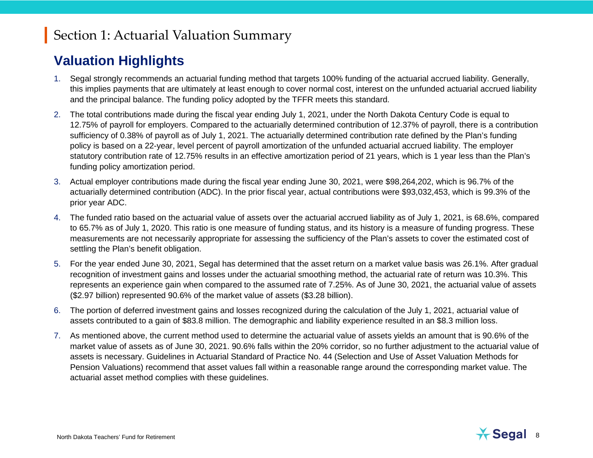### Section 1: Actuarial Valuation Summary

### **Valuation Highlights**

- 1. Segal strongly recommends an actuarial funding method that targets 100% funding of the actuarial accrued liability. Generally, this implies payments that are ultimately at least enough to cover normal cost, interest on the unfunded actuarial accrued liability and the principal balance. The funding policy adopted by the TFFR meets this standard.
- 2. The total contributions made during the fiscal year ending July 1, 2021, under the North Dakota Century Code is equal to 12.75% of payroll for employers. Compared to the actuarially determined contribution of 12.37% of payroll, there is a contribution sufficiency of 0.38% of payroll as of July 1, 2021. The actuarially determined contribution rate defined by the Plan's funding policy is based on a 22-year, level percent of payroll amortization of the unfunded actuarial accrued liability. The employer statutory contribution rate of 12.75% results in an effective amortization period of 21 years, which is 1 year less than the Plan's funding policy amortization period.
- 3. Actual employer contributions made during the fiscal year ending June 30, 2021, were \$98,264,202, which is 96.7% of the actuarially determined contribution (ADC). In the prior fiscal year, actual contributions were \$93,032,453, which is 99.3% of the prior year ADC.
- 4. The funded ratio based on the actuarial value of assets over the actuarial accrued liability as of July 1, 2021, is 68.6%, compared to 65.7% as of July 1, 2020. This ratio is one measure of funding status, and its history is a measure of funding progress. These measurements are not necessarily appropriate for assessing the sufficiency of the Plan's assets to cover the estimated cost of settling the Plan's benefit obligation.
- 5. For the year ended June 30, 2021, Segal has determined that the asset return on a market value basis was 26.1%. After gradual recognition of investment gains and losses under the actuarial smoothing method, the actuarial rate of return was 10.3%. This represents an experience gain when compared to the assumed rate of 7.25%. As of June 30, 2021, the actuarial value of assets (\$2.97 billion) represented 90.6% of the market value of assets (\$3.28 billion).
- 6. The portion of deferred investment gains and losses recognized during the calculation of the July 1, 2021, actuarial value of assets contributed to a gain of \$83.8 million. The demographic and liability experience resulted in an \$8.3 million loss.
- 7. As mentioned above, the current method used to determine the actuarial value of assets yields an amount that is 90.6% of the market value of assets as of June 30, 2021. 90.6% falls within the 20% corridor, so no further adjustment to the actuarial value of assets is necessary. Guidelines in Actuarial Standard of Practice No. 44 (Selection and Use of Asset Valuation Methods for Pension Valuations) recommend that asset values fall within a reasonable range around the corresponding market value. The actuarial asset method complies with these guidelines.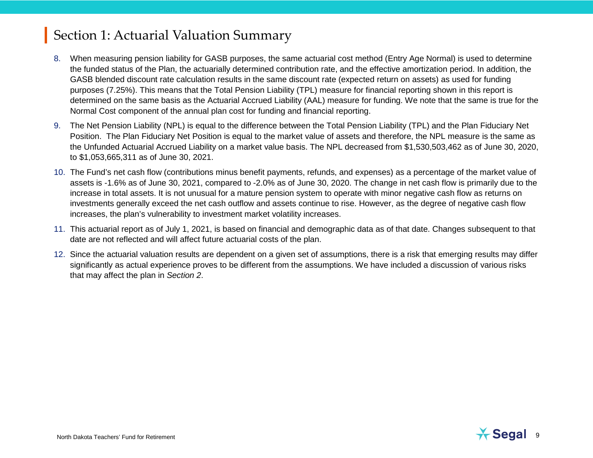### Section 1: Actuarial Valuation Summary

- 8. When measuring pension liability for GASB purposes, the same actuarial cost method (Entry Age Normal) is used to determine the funded status of the Plan, the actuarially determined contribution rate, and the effective amortization period. In addition, the GASB blended discount rate calculation results in the same discount rate (expected return on assets) as used for funding purposes (7.25%). This means that the Total Pension Liability (TPL) measure for financial reporting shown in this report is determined on the same basis as the Actuarial Accrued Liability (AAL) measure for funding. We note that the same is true for the Normal Cost component of the annual plan cost for funding and financial reporting.
- 9. The Net Pension Liability (NPL) is equal to the difference between the Total Pension Liability (TPL) and the Plan Fiduciary Net Position. The Plan Fiduciary Net Position is equal to the market value of assets and therefore, the NPL measure is the same as the Unfunded Actuarial Accrued Liability on a market value basis. The NPL decreased from \$1,530,503,462 as of June 30, 2020, to \$1,053,665,311 as of June 30, 2021.
- 10. The Fund's net cash flow (contributions minus benefit payments, refunds, and expenses) as a percentage of the market value of assets is -1.6% as of June 30, 2021, compared to -2.0% as of June 30, 2020. The change in net cash flow is primarily due to the increase in total assets. It is not unusual for a mature pension system to operate with minor negative cash flow as returns on investments generally exceed the net cash outflow and assets continue to rise. However, as the degree of negative cash flow increases, the plan's vulnerability to investment market volatility increases.
- 11. This actuarial report as of July 1, 2021, is based on financial and demographic data as of that date. Changes subsequent to that date are not reflected and will affect future actuarial costs of the plan.
- 12. Since the actuarial valuation results are dependent on a given set of assumptions, there is a risk that emerging results may differ significantly as actual experience proves to be different from the assumptions. We have included a discussion of various risks that may affect the plan in *Section 2*.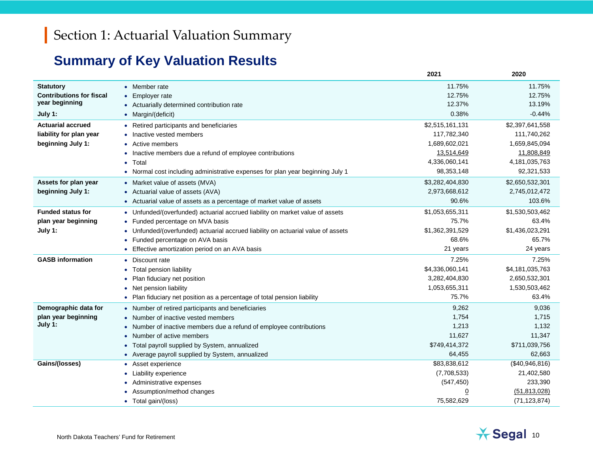### **Summary of Key Valuation Results**

|                                 |                                                                                             | 2021            | 2020             |
|---------------------------------|---------------------------------------------------------------------------------------------|-----------------|------------------|
| <b>Statutory</b>                | • Member rate                                                                               | 11.75%          | 11.75%           |
| <b>Contributions for fiscal</b> | • Employer rate                                                                             | 12.75%          | 12.75%           |
| year beginning                  | • Actuarially determined contribution rate                                                  | 12.37%          | 13.19%           |
| July 1:                         | • Margin/(deficit)                                                                          | 0.38%           | $-0.44%$         |
| <b>Actuarial accrued</b>        | • Retired participants and beneficiaries                                                    | \$2,515,161,131 | \$2,397,641,558  |
| liability for plan year         | Inactive vested members                                                                     | 117,782,340     | 111,740,262      |
| beginning July 1:               | Active members                                                                              | 1,689,602,021   | 1,659,845,094    |
|                                 | Inactive members due a refund of employee contributions                                     | 13,514,649      | 11,808,849       |
|                                 | Total<br>$\bullet$                                                                          | 4,336,060,141   | 4, 181, 035, 763 |
|                                 | Normal cost including administrative expenses for plan year beginning July 1                | 98,353,148      | 92,321,533       |
| Assets for plan year            | • Market value of assets (MVA)                                                              | \$3,282,404,830 | \$2,650,532,301  |
| beginning July 1:               | • Actuarial value of assets (AVA)                                                           | 2,973,668,612   | 2,745,012,472    |
|                                 | • Actuarial value of assets as a percentage of market value of assets                       | 90.6%           | 103.6%           |
| <b>Funded status for</b>        | • Unfunded/(overfunded) actuarial accrued liability on market value of assets               | \$1,053,655,311 | \$1,530,503,462  |
| plan year beginning             | • Funded percentage on MVA basis                                                            | 75.7%           | 63.4%            |
| July 1:                         | Unfunded/(overfunded) actuarial accrued liability on actuarial value of assets<br>$\bullet$ | \$1,362,391,529 | \$1,436,023,291  |
|                                 | Funded percentage on AVA basis<br>$\bullet$                                                 | 68.6%           | 65.7%            |
|                                 | Effective amortization period on an AVA basis                                               | 21 years        | 24 years         |
| <b>GASB</b> information         | • Discount rate                                                                             | 7.25%           | 7.25%            |
|                                 | Total pension liability<br>$\bullet$                                                        | \$4,336,060,141 | \$4,181,035,763  |
|                                 | Plan fiduciary net position                                                                 | 3,282,404,830   | 2,650,532,301    |
|                                 | Net pension liability<br>$\bullet$                                                          | 1,053,655,311   | 1,530,503,462    |
|                                 | • Plan fiduciary net position as a percentage of total pension liability                    | 75.7%           | 63.4%            |
| Demographic data for            | • Number of retired participants and beneficiaries                                          | 9,262           | 9,036            |
| plan year beginning             | • Number of inactive vested members                                                         | 1,754           | 1,715            |
| July 1:                         | • Number of inactive members due a refund of employee contributions                         | 1,213           | 1,132            |
|                                 | Number of active members                                                                    | 11,627          | 11,347           |
|                                 | Total payroll supplied by System, annualized                                                | \$749,414,372   | \$711,039,756    |
|                                 | • Average payroll supplied by System, annualized                                            | 64,455          | 62,663           |
| Gains/(losses)                  | • Asset experience                                                                          | \$83,838,612    | (\$40,946,816)   |
|                                 | Liability experience                                                                        | (7,708,533)     | 21,402,580       |
|                                 | Administrative expenses                                                                     | (547, 450)      | 233,390          |
|                                 | Assumption/method changes                                                                   | $\overline{0}$  | (51, 813, 028)   |
|                                 | • Total gain/(loss)                                                                         | 75,582,629      | (71, 123, 874)   |

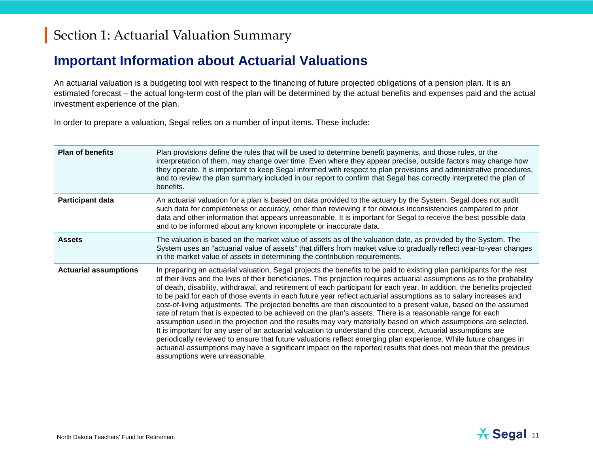### Section 1: Actuarial Valuation Summary

#### **Important Information about Actuarial Valuations**

An actuarial valuation is a budgeting tool with respect to the financing of future projected obligations of a pension plan. It is an estimated forecast – the actual long-term cost of the plan will be determined by the actual benefits and expenses paid and the actual investment experience of the plan.

In order to prepare a valuation, Segal relies on a number of input items. These include:

| <b>Plan of benefits</b>      | Plan provisions define the rules that will be used to determine benefit payments, and those rules, or the<br>interpretation of them, may change over time. Even where they appear precise, outside factors may change how<br>they operate. It is important to keep Segal informed with respect to plan provisions and administrative procedures,<br>and to review the plan summary included in our report to confirm that Segal has correctly interpreted the plan of<br>benefits.                                                                                                                                                                                                                                                                                                                                                                                                                                                                                                                                                                                                                                                                                                                                                             |
|------------------------------|------------------------------------------------------------------------------------------------------------------------------------------------------------------------------------------------------------------------------------------------------------------------------------------------------------------------------------------------------------------------------------------------------------------------------------------------------------------------------------------------------------------------------------------------------------------------------------------------------------------------------------------------------------------------------------------------------------------------------------------------------------------------------------------------------------------------------------------------------------------------------------------------------------------------------------------------------------------------------------------------------------------------------------------------------------------------------------------------------------------------------------------------------------------------------------------------------------------------------------------------|
| <b>Participant data</b>      | An actuarial valuation for a plan is based on data provided to the actuary by the System. Segal does not audit<br>such data for completeness or accuracy, other than reviewing it for obvious inconsistencies compared to prior<br>data and other information that appears unreasonable. It is important for Segal to receive the best possible data<br>and to be informed about any known incomplete or inaccurate data.                                                                                                                                                                                                                                                                                                                                                                                                                                                                                                                                                                                                                                                                                                                                                                                                                      |
| <b>Assets</b>                | The valuation is based on the market value of assets as of the valuation date, as provided by the System. The<br>System uses an "actuarial value of assets" that differs from market value to gradually reflect year-to-year changes<br>in the market value of assets in determining the contribution requirements.                                                                                                                                                                                                                                                                                                                                                                                                                                                                                                                                                                                                                                                                                                                                                                                                                                                                                                                            |
| <b>Actuarial assumptions</b> | In preparing an actuarial valuation, Segal projects the benefits to be paid to existing plan participants for the rest<br>of their lives and the lives of their beneficiaries. This projection requires actuarial assumptions as to the probability<br>of death, disability, withdrawal, and retirement of each participant for each year. In addition, the benefits projected<br>to be paid for each of those events in each future year reflect actuarial assumptions as to salary increases and<br>cost-of-living adjustments. The projected benefits are then discounted to a present value, based on the assumed<br>rate of return that is expected to be achieved on the plan's assets. There is a reasonable range for each<br>assumption used in the projection and the results may vary materially based on which assumptions are selected.<br>It is important for any user of an actuarial valuation to understand this concept. Actuarial assumptions are<br>periodically reviewed to ensure that future valuations reflect emerging plan experience. While future changes in<br>actuarial assumptions may have a significant impact on the reported results that does not mean that the previous<br>assumptions were unreasonable. |

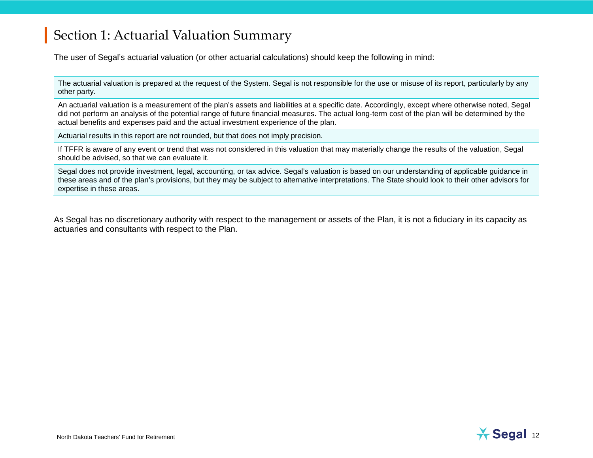### Section 1: Actuarial Valuation Summary

The user of Segal's actuarial valuation (or other actuarial calculations) should keep the following in mind:

The actuarial valuation is prepared at the request of the System. Segal is not responsible for the use or misuse of its report, particularly by any other party.

An actuarial valuation is a measurement of the plan's assets and liabilities at a specific date. Accordingly, except where otherwise noted, Segal did not perform an analysis of the potential range of future financial measures. The actual long-term cost of the plan will be determined by the actual benefits and expenses paid and the actual investment experience of the plan.

Actuarial results in this report are not rounded, but that does not imply precision.

If TFFR is aware of any event or trend that was not considered in this valuation that may materially change the results of the valuation, Segal should be advised, so that we can evaluate it.

Segal does not provide investment, legal, accounting, or tax advice. Segal's valuation is based on our understanding of applicable guidance in these areas and of the plan's provisions, but they may be subject to alternative interpretations. The State should look to their other advisors for expertise in these areas.

As Segal has no discretionary authority with respect to the management or assets of the Plan, it is not a fiduciary in its capacity as actuaries and consultants with respect to the Plan.

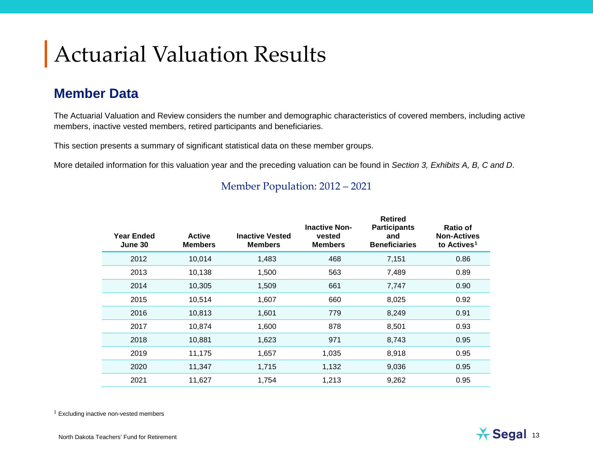# Actuarial Valuation Results

### **Member Data**

The Actuarial Valuation and Review considers the number and demographic characteristics of covered members, including active members, inactive vested members, retired participants and beneficiaries.

This section presents a summary of significant statistical data on these member groups.

More detailed information for this valuation year and the preceding valuation can be found in *Section 3, Exhibits A, B, C and D*.

| Year Ended<br>June 30 | <b>Active</b><br><b>Members</b> | <b>Inactive Vested</b><br><b>Members</b> | <b>Inactive Non-</b><br>vested<br><b>Members</b> | <b>Retired</b><br><b>Participants</b><br>and<br><b>Beneficiaries</b> | <b>Ratio of</b><br><b>Non-Actives</b><br>to Actives <sup>1</sup> |
|-----------------------|---------------------------------|------------------------------------------|--------------------------------------------------|----------------------------------------------------------------------|------------------------------------------------------------------|
| 2012                  | 10,014                          | 1,483                                    | 468                                              | 7,151                                                                | 0.86                                                             |
| 2013                  | 10,138                          | 1,500                                    | 563                                              | 7,489                                                                | 0.89                                                             |
| 2014                  | 10,305                          | 1,509                                    | 661                                              | 7,747                                                                | 0.90                                                             |
| 2015                  | 10,514                          | 1,607                                    | 660                                              | 8,025                                                                | 0.92                                                             |
| 2016                  | 10,813                          | 1,601                                    | 779                                              | 8,249                                                                | 0.91                                                             |
| 2017                  | 10,874                          | 1,600                                    | 878                                              | 8,501                                                                | 0.93                                                             |
| 2018                  | 10,881                          | 1,623                                    | 971                                              | 8,743                                                                | 0.95                                                             |
| 2019                  | 11,175                          | 1,657                                    | 1,035                                            | 8,918                                                                | 0.95                                                             |
| 2020                  | 11,347                          | 1,715                                    | 1,132                                            | 9,036                                                                | 0.95                                                             |
| 2021                  | 11,627                          | 1,754                                    | 1,213                                            | 9,262                                                                | 0.95                                                             |

#### <span id="page-12-0"></span>Member Population: 2012 – 2021

<sup>1</sup> Excluding inactive non-vested members

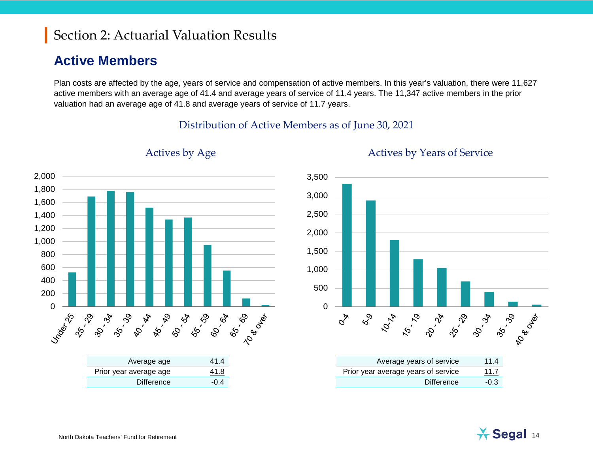#### **Active Members**

Plan costs are affected by the age, years of service and compensation of active members. In this year's valuation, there were 11,627 active members with an average age of 41.4 and average years of service of 11.4 years. The 11,347 active members in the prior valuation had an average age of 41.8 and average years of service of 11.7 years.

#### Distribution of Active Members as of June 30, 2021





#### Actives by Age Actives by Years of Service

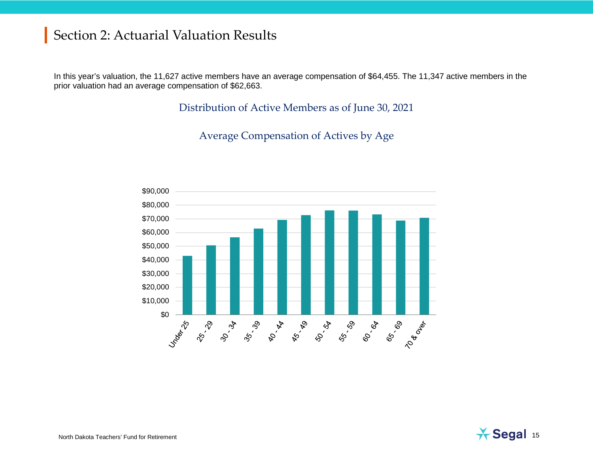In this year's valuation, the 11,627 active members have an average compensation of \$64,455. The 11,347 active members in the prior valuation had an average compensation of \$62,663.

Distribution of Active Members as of June 30, 2021

Average Compensation of Actives by Age



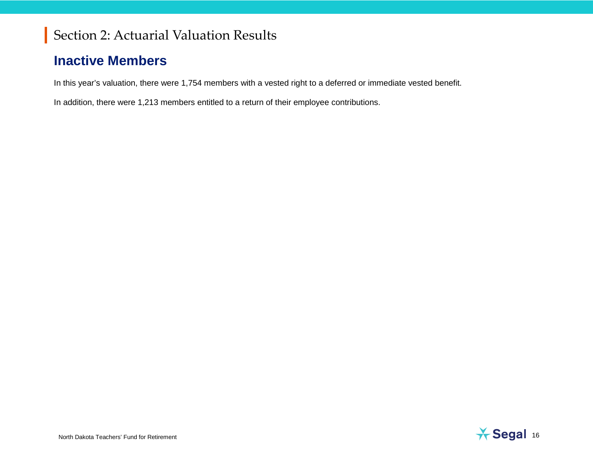### **Inactive Members**

In this year's valuation, there were 1,754 members with a vested right to a deferred or immediate vested benefit.

In addition, there were 1,213 members entitled to a return of their employee contributions.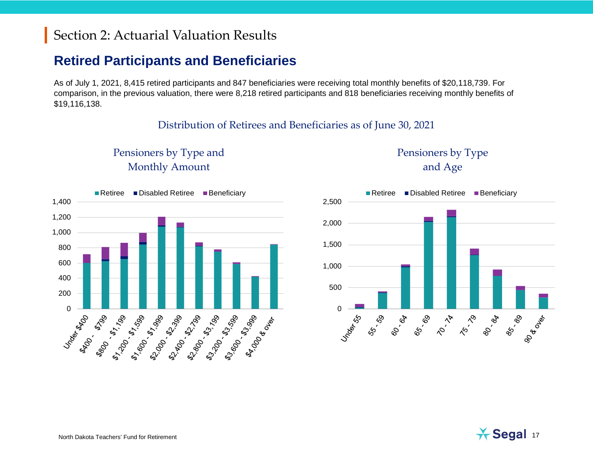#### **Retired Participants and Beneficiaries**

As of July 1, 2021, 8,415 retired participants and 847 beneficiaries were receiving total monthly benefits of \$20,118,739. For comparison, in the previous valuation, there were 8,218 retired participants and 818 beneficiaries receiving monthly benefits of \$19,116,138.

#### Distribution of Retirees and Beneficiaries as of June 30, 2021

Pensioners by Type and Monthly Amount

Pensioners by Type and Age



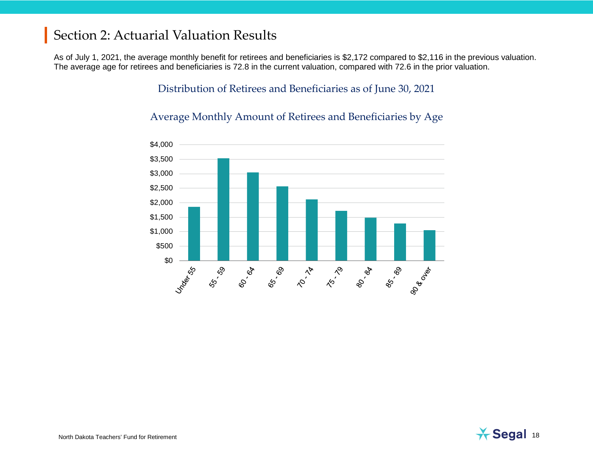As of July 1, 2021, the average monthly benefit for retirees and beneficiaries is \$2,172 compared to \$2,116 in the previous valuation. The average age for retirees and beneficiaries is 72.8 in the current valuation, compared with 72.6 in the prior valuation.

#### Distribution of Retirees and Beneficiaries as of June 30, 2021

#### Average Monthly Amount of Retirees and Beneficiaries by Age



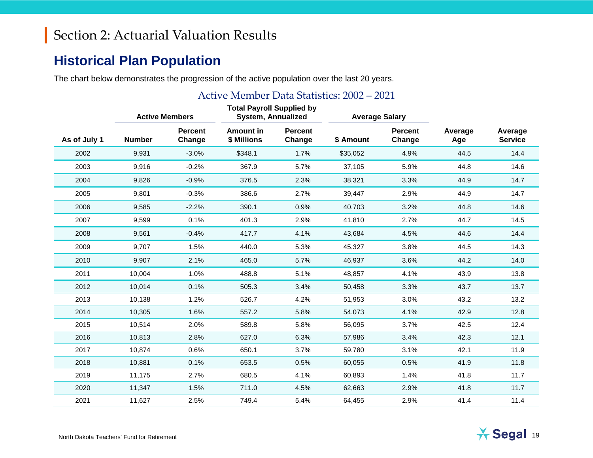#### **Historical Plan Population**

The chart below demonstrates the progression of the active population over the last 20 years.

#### Active Member Data Statistics: 2002 – 2021

|              | <b>Active Members</b> |                          | <b>Total Payroll Supplied by</b><br><b>System, Annualized</b> |                          | <b>Average Salary</b> |                          |                |                           |
|--------------|-----------------------|--------------------------|---------------------------------------------------------------|--------------------------|-----------------------|--------------------------|----------------|---------------------------|
| As of July 1 | <b>Number</b>         | <b>Percent</b><br>Change | Amount in<br>\$ Millions                                      | <b>Percent</b><br>Change | \$ Amount             | <b>Percent</b><br>Change | Average<br>Age | Average<br><b>Service</b> |
| 2002         | 9,931                 | $-3.0%$                  | \$348.1                                                       | 1.7%                     | \$35,052              | 4.9%                     | 44.5           | 14.4                      |
| 2003         | 9,916                 | $-0.2%$                  | 367.9                                                         | 5.7%                     | 37,105                | 5.9%                     | 44.8           | 14.6                      |
| 2004         | 9,826                 | $-0.9%$                  | 376.5                                                         | 2.3%                     | 38,321                | 3.3%                     | 44.9           | 14.7                      |
| 2005         | 9,801                 | $-0.3%$                  | 386.6                                                         | 2.7%                     | 39,447                | 2.9%                     | 44.9           | 14.7                      |
| 2006         | 9,585                 | $-2.2%$                  | 390.1                                                         | 0.9%                     | 40,703                | 3.2%                     | 44.8           | 14.6                      |
| 2007         | 9,599                 | 0.1%                     | 401.3                                                         | 2.9%                     | 41,810                | 2.7%                     | 44.7           | 14.5                      |
| 2008         | 9,561                 | $-0.4%$                  | 417.7                                                         | 4.1%                     | 43,684                | 4.5%                     | 44.6           | 14.4                      |
| 2009         | 9,707                 | 1.5%                     | 440.0                                                         | 5.3%                     | 45,327                | 3.8%                     | 44.5           | 14.3                      |
| 2010         | 9,907                 | 2.1%                     | 465.0                                                         | 5.7%                     | 46,937                | 3.6%                     | 44.2           | 14.0                      |
| 2011         | 10,004                | 1.0%                     | 488.8                                                         | 5.1%                     | 48,857                | 4.1%                     | 43.9           | 13.8                      |
| 2012         | 10,014                | 0.1%                     | 505.3                                                         | 3.4%                     | 50,458                | 3.3%                     | 43.7           | 13.7                      |
| 2013         | 10,138                | 1.2%                     | 526.7                                                         | 4.2%                     | 51,953                | 3.0%                     | 43.2           | 13.2                      |
| 2014         | 10,305                | 1.6%                     | 557.2                                                         | 5.8%                     | 54,073                | 4.1%                     | 42.9           | 12.8                      |
| 2015         | 10,514                | 2.0%                     | 589.8                                                         | 5.8%                     | 56,095                | 3.7%                     | 42.5           | 12.4                      |
| 2016         | 10,813                | 2.8%                     | 627.0                                                         | 6.3%                     | 57,986                | 3.4%                     | 42.3           | 12.1                      |
| 2017         | 10,874                | 0.6%                     | 650.1                                                         | 3.7%                     | 59,780                | 3.1%                     | 42.1           | 11.9                      |
| 2018         | 10,881                | 0.1%                     | 653.5                                                         | 0.5%                     | 60,055                | 0.5%                     | 41.9           | 11.8                      |
| 2019         | 11,175                | 2.7%                     | 680.5                                                         | 4.1%                     | 60,893                | 1.4%                     | 41.8           | 11.7                      |
| 2020         | 11,347                | 1.5%                     | 711.0                                                         | 4.5%                     | 62,663                | 2.9%                     | 41.8           | 11.7                      |
| 2021         | 11,627                | 2.5%                     | 749.4                                                         | 5.4%                     | 64,455                | 2.9%                     | 41.4           | 11.4                      |

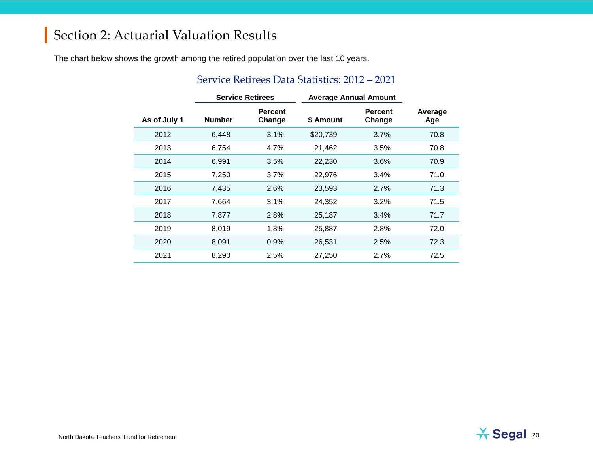The chart below shows the growth among the retired population over the last 10 years.

|              |               | <b>Service Retirees</b>  | <b>Average Annual Amount</b> |                          |                |
|--------------|---------------|--------------------------|------------------------------|--------------------------|----------------|
| As of July 1 | <b>Number</b> | <b>Percent</b><br>Change | \$ Amount                    | <b>Percent</b><br>Change | Average<br>Age |
| 2012         | 6,448         | 3.1%                     | \$20,739                     | 3.7%                     | 70.8           |
| 2013         | 6,754         | 4.7%                     | 21,462                       | 3.5%                     | 70.8           |
| 2014         | 6,991         | 3.5%                     | 22,230                       | 3.6%                     | 70.9           |
| 2015         | 7,250         | 3.7%                     | 22,976                       | 3.4%                     | 71.0           |
| 2016         | 7,435         | 2.6%                     | 23,593                       | 2.7%                     | 71.3           |
| 2017         | 7,664         | 3.1%                     | 24,352                       | 3.2%                     | 71.5           |
| 2018         | 7,877         | 2.8%                     | 25,187                       | 3.4%                     | 71.7           |
| 2019         | 8,019         | 1.8%                     | 25,887                       | 2.8%                     | 72.0           |
| 2020         | 8,091         | 0.9%                     | 26,531                       | 2.5%                     | 72.3           |
| 2021         | 8,290         | 2.5%                     | 27,250                       | 2.7%                     | 72.5           |

#### Service Retirees Data Statistics: 2012 – 2021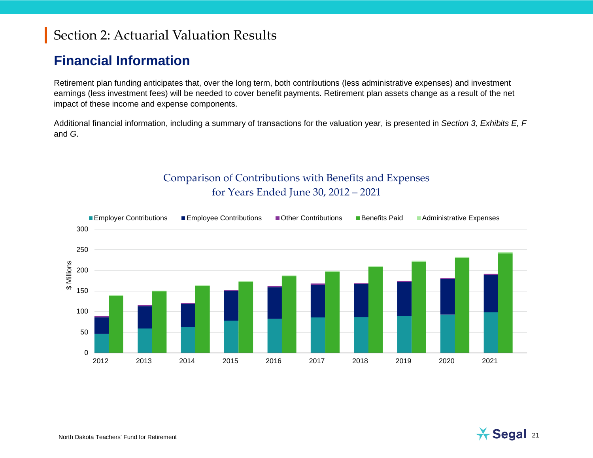#### **Financial Information**

Retirement plan funding anticipates that, over the long term, both contributions (less administrative expenses) and investment earnings (less investment fees) will be needed to cover benefit payments. Retirement plan assets change as a result of the net impact of these income and expense components.

Additional financial information, including a summary of transactions for the valuation year, is presented in *Section 3, Exhibits E, F* and *G*.

#### Comparison of Contributions with Benefits and Expenses for Years Ended June 30, 2012 – 2021

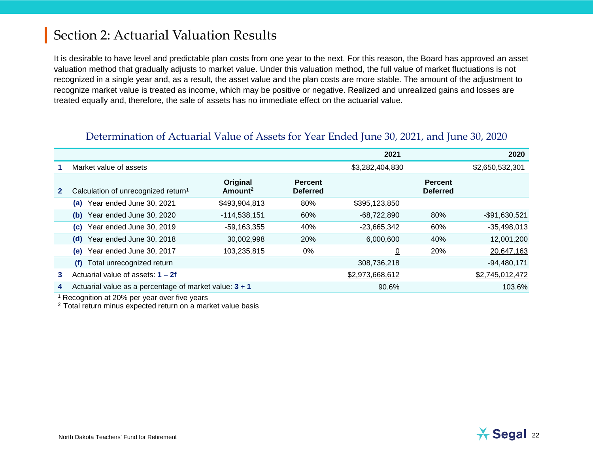It is desirable to have level and predictable plan costs from one year to the next. For this reason, the Board has approved an asset valuation method that gradually adjusts to market value. Under this valuation method, the full value of market fluctuations is not recognized in a single year and, as a result, the asset value and the plan costs are more stable. The amount of the adjustment to recognize market value is treated as income, which may be positive or negative. Realized and unrealized gains and losses are treated equally and, therefore, the sale of assets has no immediate effect on the actuarial value.

|              |                                                             |                                 |                                   | 2021            |                                   | 2020            |
|--------------|-------------------------------------------------------------|---------------------------------|-----------------------------------|-----------------|-----------------------------------|-----------------|
|              | Market value of assets                                      |                                 |                                   | \$3,282,404,830 |                                   | \$2,650,532,301 |
| $\mathbf{2}$ | Calculation of unrecognized return <sup>1</sup>             | Original<br>Amount <sup>2</sup> | <b>Percent</b><br><b>Deferred</b> |                 | <b>Percent</b><br><b>Deferred</b> |                 |
|              | Year ended June 30, 2021<br>(a)                             | \$493,904,813                   | 80%                               | \$395,123,850   |                                   |                 |
|              | Year ended June 30, 2020<br>(b)                             | $-114,538,151$                  | 60%                               | $-68,722,890$   | 80%                               | $-$91,630,521$  |
|              | Year ended June 30, 2019<br>(C)                             | $-59,163,355$                   | 40%                               | $-23,665,342$   | 60%                               | $-35,498,013$   |
|              | Year ended June 30, 2018<br>(d)                             | 30,002,998                      | 20%                               | 6,000,600       | 40%                               | 12,001,200      |
|              | Year ended June 30, 2017<br>(e)                             | 103,235,815                     | 0%                                | $\overline{0}$  | 20%                               | 20,647,163      |
|              | Total unrecognized return<br>(f)                            |                                 |                                   | 308,736,218     |                                   | $-94,480,171$   |
| 3            | Actuarial value of assets: $1 - 2f$                         |                                 |                                   | \$2,973,668,612 |                                   | \$2,745,012,472 |
| 4            | Actuarial value as a percentage of market value: $3 \div 1$ |                                 |                                   | 90.6%           |                                   | 103.6%          |

#### Determination of Actuarial Value of Assets for Year Ended June 30, 2021, and June 30, 2020

<sup>1</sup> Recognition at 20% per year over five years

<sup>2</sup> Total return minus expected return on a market value basis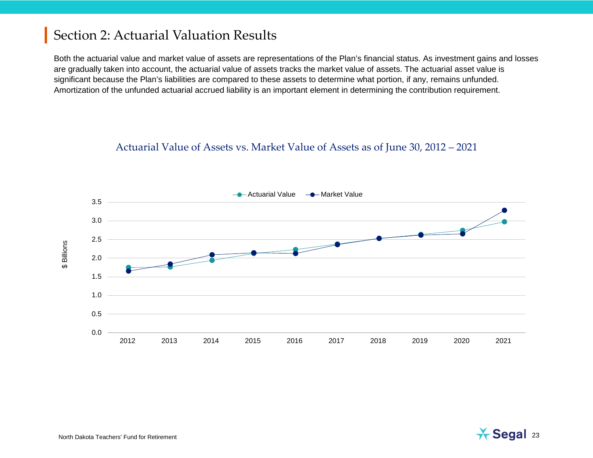Both the actuarial value and market value of assets are representations of the Plan's financial status. As investment gains and losses are gradually taken into account, the actuarial value of assets tracks the market value of assets. The actuarial asset value is significant because the Plan's liabilities are compared to these assets to determine what portion, if any, remains unfunded. Amortization of the unfunded actuarial accrued liability is an important element in determining the contribution requirement.

#### Actuarial Value of Assets vs. Market Value of Assets as of June 30, 2012 – 2021

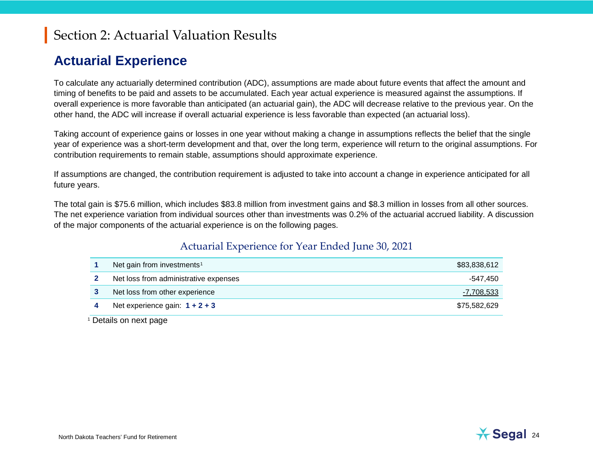#### <span id="page-23-0"></span>**Actuarial Experience**

To calculate any actuarially determined contribution (ADC), assumptions are made about future events that affect the amount and timing of benefits to be paid and assets to be accumulated. Each year actual experience is measured against the assumptions. If overall experience is more favorable than anticipated (an actuarial gain), the ADC will decrease relative to the previous year. On the other hand, the ADC will increase if overall actuarial experience is less favorable than expected (an actuarial loss).

Taking account of experience gains or losses in one year without making a change in assumptions reflects the belief that the single year of experience was a short-term development and that, over the long term, experience will return to the original assumptions. For contribution requirements to remain stable, assumptions should approximate experience.

If assumptions are changed, the contribution requirement is adjusted to take into account a change in experience anticipated for all future years.

The total gain is \$75.6 million, which includes \$83.8 million from investment gains and \$8.3 million in losses from all other sources. The net experience variation from individual sources other than investments was 0.2% of the actuarial accrued liability. A discussion of the major components of the actuarial experience is on the following pages.

#### Actuarial Experience for Year Ended June 30, 2021

| Net gain from investments <sup>1</sup> | \$83,838,612 |
|----------------------------------------|--------------|
| Net loss from administrative expenses  | -547.450     |
| Net loss from other experience         | -7,708,533   |
| Net experience gain: $1 + 2 + 3$       | \$75,582,629 |

<sup>1</sup> Details on next page

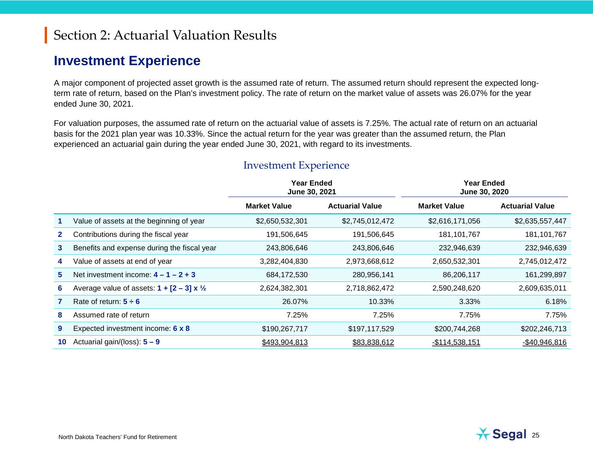#### **Investment Experience**

A major component of projected asset growth is the assumed rate of return. The assumed return should represent the expected longterm rate of return, based on the Plan's investment policy. The rate of return on the market value of assets was 26.07% for the year ended June 30, 2021.

For valuation purposes, the assumed rate of return on the actuarial value of assets is 7.25%. The actual rate of return on an actuarial basis for the 2021 plan year was 10.33%. Since the actual return for the year was greater than the assumed return, the Plan experienced an actuarial gain during the year ended June 30, 2021, with regard to its investments.

|              |                                                           | <b>Year Ended</b><br>June 30, 2021 |                        | Year Ended<br>June 30, 2020 |                        |  |
|--------------|-----------------------------------------------------------|------------------------------------|------------------------|-----------------------------|------------------------|--|
|              |                                                           | <b>Market Value</b>                | <b>Actuarial Value</b> | <b>Market Value</b>         | <b>Actuarial Value</b> |  |
|              | Value of assets at the beginning of year                  | \$2,650,532,301                    | \$2,745,012,472        | \$2,616,171,056             | \$2,635,557,447        |  |
| $\mathbf{2}$ | Contributions during the fiscal year                      | 191,506,645                        | 191,506,645            | 181, 101, 767               | 181, 101, 767          |  |
| 3            | Benefits and expense during the fiscal year               | 243,806,646                        | 243,806,646            | 232,946,639                 | 232,946,639            |  |
| 4            | Value of assets at end of year                            | 3,282,404,830                      | 2,973,668,612          | 2,650,532,301               | 2,745,012,472          |  |
| 5            | Net investment income: $4 - 1 - 2 + 3$                    | 684,172,530                        | 280,956,141            | 86,206,117                  | 161,299,897            |  |
| 6            | Average value of assets: $1 + [2 - 3] \times \frac{1}{2}$ | 2,624,382,301                      | 2,718,862,472          | 2,590,248,620               | 2,609,635,011          |  |
|              | Rate of return: $5 \div 6$                                | 26.07%                             | 10.33%                 | $3.33\%$                    | 6.18%                  |  |
| 8            | Assumed rate of return                                    | 7.25%                              | 7.25%                  | 7.75%                       | 7.75%                  |  |
| 9            | Expected investment income: 6 x 8                         | \$190,267,717                      | \$197,117,529          | \$200,744,268               | \$202,246,713          |  |
| 10           | Actuarial gain/(loss): $5 - 9$                            | \$493,904,813                      | \$83,838,612           | $-$114,538,151$             | $-$40,946,816$         |  |

#### Investment Experience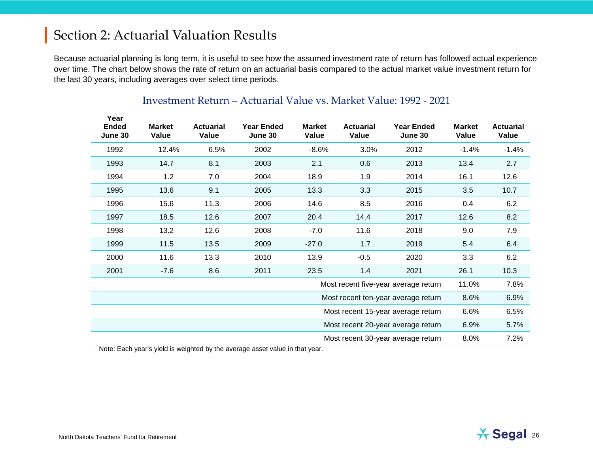Because actuarial planning is long term, it is useful to see how the assumed investment rate of return has followed actual experience over time. The chart below shows the rate of return on an actuarial basis compared to the actual market value investment return for the last 30 years, including averages over select time periods.

| Year<br><b>Ended</b> | <b>Market</b> | <b>Actuarial</b> | <b>Year Ended</b>                  | <b>Market</b> | <b>Actuarial</b> | Year Ended                           | <b>Market</b> | <b>Actuarial</b> |
|----------------------|---------------|------------------|------------------------------------|---------------|------------------|--------------------------------------|---------------|------------------|
| June 30              | Value         | Value            | June 30                            | Value         | Value            | June 30                              | Value         | Value            |
| 1992                 | 12.4%         | 6.5%             | 2002                               | $-8.6%$       | 3.0%             | 2012                                 | $-1.4%$       | $-1.4%$          |
| 1993                 | 14.7          | 8.1              | 2003                               | 2.1           | 0.6              | 2013                                 | 13.4          | 2.7              |
| 1994                 | 1.2           | 7.0              | 2004                               | 18.9          | 1.9              | 2014                                 | 16.1          | 12.6             |
| 1995                 | 13.6          | 9.1              | 2005                               | 13.3          | 3.3              | 2015                                 | 3.5           | 10.7             |
| 1996                 | 15.6          | 11.3             | 2006                               | 14.6          | 8.5              | 2016                                 | 0.4           | 6.2              |
| 1997                 | 18.5          | 12.6             | 2007                               | 20.4          | 14.4             | 2017                                 | 12.6          | 8.2              |
| 1998                 | 13.2          | 12.6             | 2008                               | $-7.0$        | 11.6             | 2018                                 | 9.0           | 7.9              |
| 1999                 | 11.5          | 13.5             | 2009                               | $-27.0$       | 1.7              | 2019                                 | 5.4           | 6.4              |
| 2000                 | 11.6          | 13.3             | 2010                               | 13.9          | $-0.5$           | 2020                                 | 3.3           | 6.2              |
| 2001                 | -7.6          | 8.6              | 2011                               | 23.5          | 1.4              | 2021                                 | 26.1          | 10.3             |
|                      |               |                  |                                    |               |                  | Most recent five-year average return | 11.0%         | 7.8%             |
|                      |               |                  |                                    |               |                  | Most recent ten-year average return  | 8.6%          | 6.9%             |
|                      |               |                  | Most recent 15-year average return |               |                  |                                      | 6.6%          | 6.5%             |
|                      |               |                  |                                    |               |                  | Most recent 20-year average return   | 6.9%          | 5.7%             |
|                      |               |                  |                                    |               |                  | Most recent 30-year average return   | 8.0%          | 7.2%             |

#### Investment Return – Actuarial Value vs. Market Value: 1992 - 2021

Note: Each year's yield is weighted by the average asset value in that year.

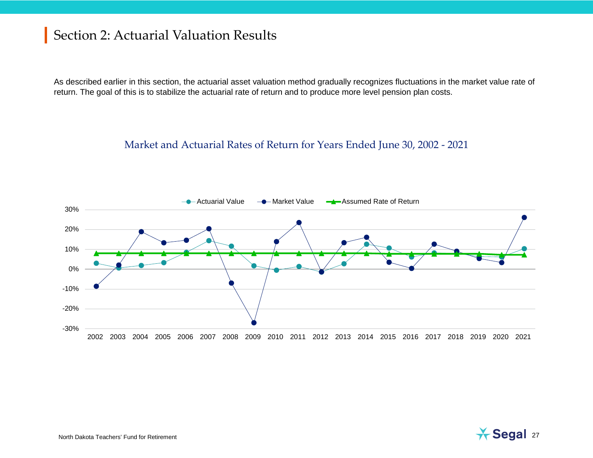As described earlier in this section, the actuarial asset valuation method gradually recognizes fluctuations in the market value rate of return. The goal of this is to stabilize the actuarial rate of return and to produce more level pension plan costs.

#### Market and Actuarial Rates of Return for Years Ended June 30, 2002 - 2021



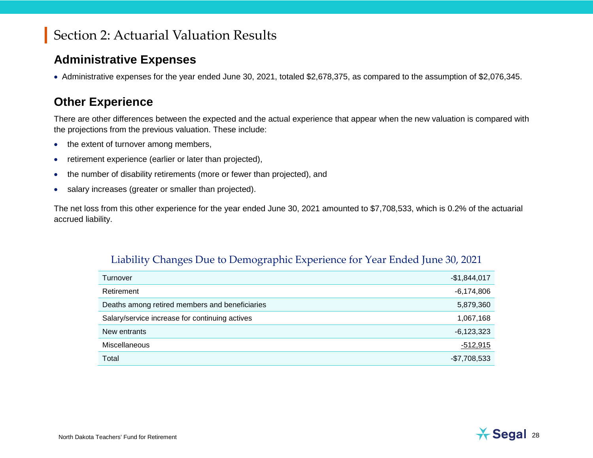#### **Administrative Expenses**

• Administrative expenses for the year ended June 30, 2021, totaled \$2,678,375, as compared to the assumption of \$2,076,345.

#### **Other Experience**

There are other differences between the expected and the actual experience that appear when the new valuation is compared with the projections from the previous valuation. These include:

- the extent of turnover among members,
- retirement experience (earlier or later than projected),
- the number of disability retirements (more or fewer than projected), and
- salary increases (greater or smaller than projected).

The net loss from this other experience for the year ended June 30, 2021 amounted to \$7,708,533, which is 0.2% of the actuarial accrued liability.

| Liability Changes Due to Demographic Experience for Year Ended June 30, 2021 |
|------------------------------------------------------------------------------|
|------------------------------------------------------------------------------|

| Turnover                                       | $-$1,844,017$ |
|------------------------------------------------|---------------|
| Retirement                                     | $-6,174,806$  |
| Deaths among retired members and beneficiaries | 5,879,360     |
| Salary/service increase for continuing actives | 1,067,168     |
| New entrants                                   | $-6,123,323$  |
| <b>Miscellaneous</b>                           | -512,915      |
| Total                                          | $-$7,708,533$ |

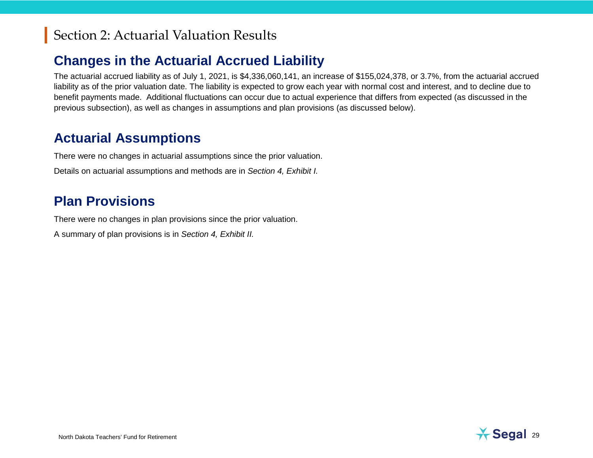### **Changes in the Actuarial Accrued Liability**

The actuarial accrued liability as of July 1, 2021, is \$4,336,060,141, an increase of \$155,024,378, or 3.7%, from the actuarial accrued liability as of the prior valuation date. The liability is expected to grow each year with normal cost and interest, and to decline due to benefit payments made. Additional fluctuations can occur due to actual experience that differs from expected (as discussed in the previous subsection), as well as changes in assumptions and plan provisions (as discussed below).

#### **Actuarial Assumptions**

There were no changes in actuarial assumptions since the prior valuation.

Details on actuarial assumptions and methods are in *Section 4, Exhibit I.*

#### **Plan Provisions**

There were no changes in plan provisions since the prior valuation.

A summary of plan provisions is in *Section 4, Exhibit II.*

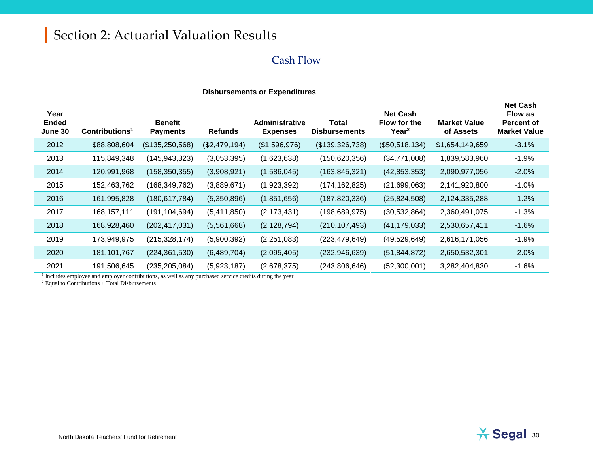#### Cash Flow

|                                 |                          | <b>Disbursements or Expenditures</b> |                |                                          |                                      |                                                      |                                  |                                                                               |
|---------------------------------|--------------------------|--------------------------------------|----------------|------------------------------------------|--------------------------------------|------------------------------------------------------|----------------------------------|-------------------------------------------------------------------------------|
| Year<br><b>Ended</b><br>June 30 | $\text{Contributions}^1$ | <b>Benefit</b><br><b>Payments</b>    | <b>Refunds</b> | <b>Administrative</b><br><b>Expenses</b> | <b>Total</b><br><b>Disbursements</b> | <b>Net Cash</b><br>Flow for the<br>Year <sup>2</sup> | <b>Market Value</b><br>of Assets | <b>Net Cash</b><br><b>Flow as</b><br><b>Percent of</b><br><b>Market Value</b> |
| 2012                            | \$88,808,604             | (\$135,250,568)                      | (\$2,479,194)  | (\$1,596,976)                            | (\$139,326,738)                      | (\$50,518,134)                                       | \$1,654,149,659                  | $-3.1%$                                                                       |
| 2013                            | 115,849,348              | (145, 943, 323)                      | (3,053,395)    | (1,623,638)                              | (150, 620, 356)                      | (34,771,008)                                         | 1,839,583,960                    | $-1.9%$                                                                       |
| 2014                            | 120,991,968              | (158, 350, 355)                      | (3,908,921)    | (1,586,045)                              | (163, 845, 321)                      | (42, 853, 353)                                       | 2,090,977,056                    | $-2.0%$                                                                       |
| 2015                            | 152,463,762              | (168, 349, 762)                      | (3,889,671)    | (1,923,392)                              | (174, 162, 825)                      | (21,699,063)                                         | 2,141,920,800                    | $-1.0%$                                                                       |
| 2016                            | 161,995,828              | (180, 617, 784)                      | (5,350,896)    | (1,851,656)                              | (187, 820, 336)                      | (25,824,508)                                         | 2,124,335,288                    | $-1.2%$                                                                       |
| 2017                            | 168, 157, 111            | (191, 104, 694)                      | (5,411,850)    | (2, 173, 431)                            | (198, 689, 975)                      | (30, 532, 864)                                       | 2,360,491,075                    | $-1.3%$                                                                       |
| 2018                            | 168,928,460              | (202, 417, 031)                      | (5,561,668)    | (2, 128, 794)                            | (210, 107, 493)                      | (41, 179, 033)                                       | 2,530,657,411                    | $-1.6%$                                                                       |
| 2019                            | 173,949,975              | (215, 328, 174)                      | (5,900,392)    | (2,251,083)                              | (223,479,649)                        | (49, 529, 649)                                       | 2,616,171,056                    | $-1.9%$                                                                       |
| 2020                            | 181, 101, 767            | (224, 361, 530)                      | (6,489,704)    | (2,095,405)                              | (232, 946, 639)                      | (51, 844, 872)                                       | 2,650,532,301                    | $-2.0%$                                                                       |
| 2021                            | 191,506,645              | (235, 205, 084)                      | (5,923,187)    | (2,678,375)                              | (243,806,646)                        | (52,300,001)                                         | 3,282,404,830                    | $-1.6%$                                                                       |

<sup>1</sup> Includes employee and employer contributions, as well as any purchased service credits during the year

<sup>2</sup> Equal to Contributions + Total Disbursements

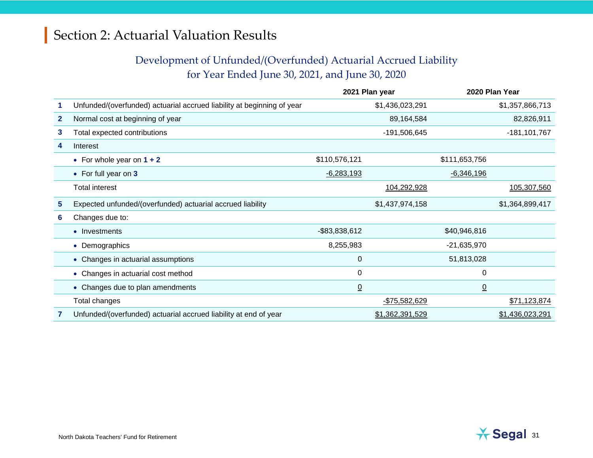#### Development of Unfunded/(Overfunded) Actuarial Accrued Liability for Year Ended June 30, 2021, and June 30, 2020

|              |                                                                        |                  | 2021 Plan year  |                 | 2020 Plan Year   |
|--------------|------------------------------------------------------------------------|------------------|-----------------|-----------------|------------------|
|              | Unfunded/(overfunded) actuarial accrued liability at beginning of year |                  | \$1,436,023,291 |                 | \$1,357,866,713  |
| $\mathbf{2}$ | Normal cost at beginning of year                                       |                  | 89,164,584      |                 | 82,826,911       |
| 3            | Total expected contributions                                           |                  | -191,506,645    |                 | $-181, 101, 767$ |
| 4            | Interest                                                               |                  |                 |                 |                  |
|              | • For whole year on $1 + 2$                                            | \$110,576,121    |                 | \$111,653,756   |                  |
|              | • For full year on 3                                                   | $-6,283,193$     |                 | $-6,346,196$    |                  |
|              | <b>Total interest</b>                                                  |                  | 104,292,928     |                 | 105,307,560      |
| 5            | Expected unfunded/(overfunded) actuarial accrued liability             |                  | \$1,437,974,158 |                 | \$1,364,899,417  |
| 6            | Changes due to:                                                        |                  |                 |                 |                  |
|              | • Investments                                                          | $-$ \$83,838,612 |                 | \$40,946,816    |                  |
|              | • Demographics                                                         | 8,255,983        |                 | $-21,635,970$   |                  |
|              | • Changes in actuarial assumptions                                     | $\mathbf 0$      |                 | 51,813,028      |                  |
|              | • Changes in actuarial cost method                                     | 0                |                 | 0               |                  |
|              | • Changes due to plan amendments                                       | $\underline{0}$  |                 | $\underline{0}$ |                  |
|              | Total changes                                                          |                  | -\$75,582,629   |                 | \$71,123,874     |
|              | Unfunded/(overfunded) actuarial accrued liability at end of year       |                  | \$1,362,391,529 |                 | \$1,436,023,291  |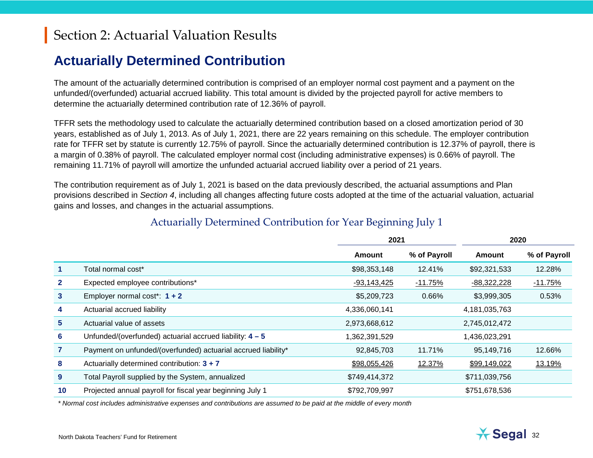#### **Actuarially Determined Contribution**

The amount of the actuarially determined contribution is comprised of an employer normal cost payment and a payment on the unfunded/(overfunded) actuarial accrued liability. This total amount is divided by the projected payroll for active members to determine the actuarially determined contribution rate of 12.36% of payroll.

TFFR sets the methodology used to calculate the actuarially determined contribution based on a closed amortization period of 30 years, established as of July 1, 2013. As of July 1, 2021, there are 22 years remaining on this schedule. The employer contribution rate for TFFR set by statute is currently 12.75% of payroll. Since the actuarially determined contribution is 12.37% of payroll, there is a margin of 0.38% of payroll. The calculated employer normal cost (including administrative expenses) is 0.66% of payroll. The remaining 11.71% of payroll will amortize the unfunded actuarial accrued liability over a period of 21 years.

The contribution requirement as of July 1, 2021 is based on the data previously described, the actuarial assumptions and Plan provisions described in *Section 4*, including all changes affecting future costs adopted at the time of the actuarial valuation, actuarial gains and losses, and changes in the actuarial assumptions.

|              |                                                               |               | 2021         |               | 2020         |
|--------------|---------------------------------------------------------------|---------------|--------------|---------------|--------------|
|              |                                                               | Amount        | % of Payroll | Amount        | % of Payroll |
|              | Total normal cost*                                            | \$98,353,148  | 12.41%       | \$92,321,533  | 12.28%       |
| $\mathbf{2}$ | Expected employee contributions*                              | $-93,143,425$ | $-11.75%$    | $-88,322,228$ | $-11.75%$    |
| $\mathbf{3}$ | Employer normal cost*: $1 + 2$                                | \$5,209,723   | 0.66%        | \$3,999,305   | 0.53%        |
| 4            | Actuarial accrued liability                                   | 4,336,060,141 |              | 4,181,035,763 |              |
| $5^{\circ}$  | Actuarial value of assets                                     | 2,973,668,612 |              | 2,745,012,472 |              |
| 6            | Unfunded/(overfunded) actuarial accrued liability: $4 - 5$    | 1,362,391,529 |              | 1,436,023,291 |              |
|              | Payment on unfunded/(overfunded) actuarial accrued liability* | 92,845,703    | 11.71%       | 95,149,716    | 12.66%       |
| 8            | Actuarially determined contribution: 3 + 7                    | \$98,055,426  | 12.37%       | \$99,149,022  | 13.19%       |
| 9            | Total Payroll supplied by the System, annualized              | \$749,414,372 |              | \$711,039,756 |              |
| 10           | Projected annual payroll for fiscal year beginning July 1     | \$792,709,997 |              | \$751,678,536 |              |
|              |                                                               |               |              |               |              |

#### Actuarially Determined Contribution for Year Beginning July 1

*\* Normal cost includes administrative expenses and contributions are assumed to be paid at the middle of every month*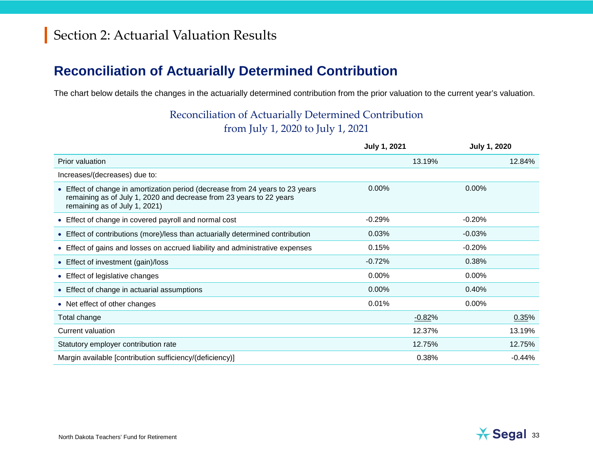### **Reconciliation of Actuarially Determined Contribution**

The chart below details the changes in the actuarially determined contribution from the prior valuation to the current year's valuation.

#### Reconciliation of Actuarially Determined Contribution from July 1, 2020 to July 1, 2021

|                                                                                                                                                                                       | <b>July 1, 2021</b> | <b>July 1, 2020</b> |          |  |
|---------------------------------------------------------------------------------------------------------------------------------------------------------------------------------------|---------------------|---------------------|----------|--|
| Prior valuation                                                                                                                                                                       | 13.19%              |                     | 12.84%   |  |
| Increases/(decreases) due to:                                                                                                                                                         |                     |                     |          |  |
| • Effect of change in amortization period (decrease from 24 years to 23 years<br>remaining as of July 1, 2020 and decrease from 23 years to 22 years<br>remaining as of July 1, 2021) | 0.00%               | 0.00%               |          |  |
| • Effect of change in covered payroll and normal cost                                                                                                                                 | $-0.29%$            | $-0.20%$            |          |  |
| • Effect of contributions (more)/less than actuarially determined contribution                                                                                                        | 0.03%               | $-0.03%$            |          |  |
| • Effect of gains and losses on accrued liability and administrative expenses                                                                                                         | 0.15%               | $-0.20%$            |          |  |
| • Effect of investment (gain)/loss                                                                                                                                                    | $-0.72%$            | 0.38%               |          |  |
| • Effect of legislative changes                                                                                                                                                       | $0.00\%$            | 0.00%               |          |  |
| • Effect of change in actuarial assumptions                                                                                                                                           | $0.00\%$            | 0.40%               |          |  |
| • Net effect of other changes                                                                                                                                                         | 0.01%               | 0.00%               |          |  |
| Total change                                                                                                                                                                          | $-0.82%$            |                     | 0.35%    |  |
| Current valuation                                                                                                                                                                     | 12.37%              |                     | 13.19%   |  |
| Statutory employer contribution rate                                                                                                                                                  | 12.75%              |                     | 12.75%   |  |
| Margin available [contribution sufficiency/(deficiency)]                                                                                                                              | 0.38%               |                     | $-0.44%$ |  |

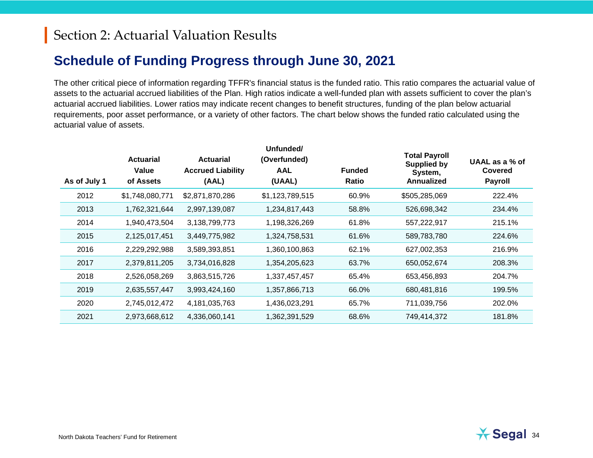#### **Schedule of Funding Progress through June 30, 2021**

The other critical piece of information regarding TFFR's financial status is the funded ratio. This ratio compares the actuarial value of assets to the actuarial accrued liabilities of the Plan. High ratios indicate a well-funded plan with assets sufficient to cover the plan's actuarial accrued liabilities. Lower ratios may indicate recent changes to benefit structures, funding of the plan below actuarial requirements, poor asset performance, or a variety of other factors. The chart below shows the funded ratio calculated using the actuarial value of assets.

| As of July 1 | <b>Actuarial</b><br>Value<br>of Assets | <b>Actuarial</b><br><b>Accrued Liability</b><br>(AAL) | Unfunded/<br>(Overfunded)<br><b>AAL</b><br>(UAAL) | <b>Funded</b><br>Ratio | <b>Total Payroll</b><br><b>Supplied by</b><br>System,<br>Annualized | UAAL as a % of<br>Covered<br><b>Payroll</b> |
|--------------|----------------------------------------|-------------------------------------------------------|---------------------------------------------------|------------------------|---------------------------------------------------------------------|---------------------------------------------|
| 2012         | \$1,748,080,771                        | \$2,871,870,286                                       | \$1,123,789,515                                   | 60.9%                  | \$505,285,069                                                       | 222.4%                                      |
| 2013         | 1,762,321,644                          | 2,997,139,087                                         | 1,234,817,443                                     | 58.8%                  | 526,698,342                                                         | 234.4%                                      |
| 2014         | 1,940,473,504                          | 3,138,799,773                                         | 1,198,326,269                                     | 61.8%                  | 557,222,917                                                         | 215.1%                                      |
| 2015         | 2,125,017,451                          | 3,449,775,982                                         | 1,324,758,531                                     | 61.6%                  | 589,783,780                                                         | 224.6%                                      |
| 2016         | 2,229,292,988                          | 3,589,393,851                                         | 1,360,100,863                                     | 62.1%                  | 627,002,353                                                         | 216.9%                                      |
| 2017         | 2,379,811,205                          | 3,734,016,828                                         | 1,354,205,623                                     | 63.7%                  | 650,052,674                                                         | 208.3%                                      |
| 2018         | 2,526,058,269                          | 3,863,515,726                                         | 1,337,457,457                                     | 65.4%                  | 653,456,893                                                         | 204.7%                                      |
| 2019         | 2,635,557,447                          | 3,993,424,160                                         | 1,357,866,713                                     | 66.0%                  | 680,481,816                                                         | 199.5%                                      |
| 2020         | 2,745,012,472                          | 4,181,035,763                                         | 1,436,023,291                                     | 65.7%                  | 711,039,756                                                         | 202.0%                                      |
| 2021         | 2,973,668,612                          | 4,336,060,141                                         | 1,362,391,529                                     | 68.6%                  | 749,414,372                                                         | 181.8%                                      |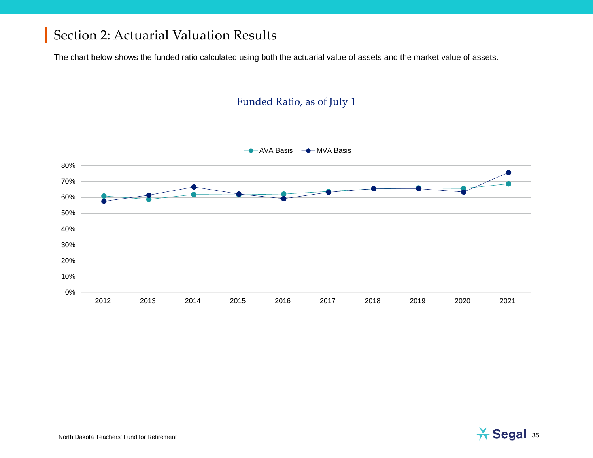The chart below shows the funded ratio calculated using both the actuarial value of assets and the market value of assets.

#### Funded Ratio, as of July 1



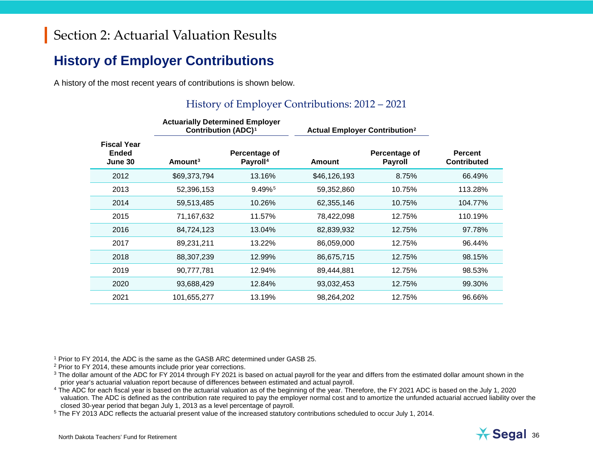### **History of Employer Contributions**

A history of the most recent years of contributions is shown below.

#### <span id="page-35-4"></span><span id="page-35-3"></span><span id="page-35-2"></span><span id="page-35-1"></span><span id="page-35-0"></span>History of Employer Contributions: 2012 – 2021

|                                               | <b>Contribution (ADC)<sup>1</sup></b> |                                       | <b>Actuarially Determined Employer</b><br><b>Actual Employer Contribution<sup>2</sup></b> |                                 |                                      |  |  |
|-----------------------------------------------|---------------------------------------|---------------------------------------|-------------------------------------------------------------------------------------------|---------------------------------|--------------------------------------|--|--|
| <b>Fiscal Year</b><br><b>Ended</b><br>June 30 | Amount <sup>3</sup>                   | Percentage of<br>Payroll <sup>4</sup> | Amount                                                                                    | Percentage of<br><b>Payroll</b> | <b>Percent</b><br><b>Contributed</b> |  |  |
| 2012                                          | \$69,373,794                          | 13.16%                                | \$46,126,193                                                                              | 8.75%                           | 66.49%                               |  |  |
| 2013                                          | 52,396,153                            | 9.49% <sup>5</sup>                    | 59,352,860                                                                                | 10.75%                          | 113.28%                              |  |  |
| 2014                                          | 59,513,485                            | 10.26%                                | 62,355,146                                                                                | 10.75%                          | 104.77%                              |  |  |
| 2015                                          | 71,167,632                            | 11.57%                                | 78,422,098                                                                                | 12.75%                          | 110.19%                              |  |  |
| 2016                                          | 84,724,123                            | 13.04%                                | 82,839,932                                                                                | 12.75%                          | 97.78%                               |  |  |
| 2017                                          | 89,231,211                            | 13.22%                                | 86,059,000                                                                                | 12.75%                          | 96.44%                               |  |  |
| 2018                                          | 88,307,239                            | 12.99%                                | 86,675,715                                                                                | 12.75%                          | 98.15%                               |  |  |
| 2019                                          | 90,777,781                            | 12.94%                                | 89,444,881                                                                                | 12.75%                          | 98.53%                               |  |  |
| 2020                                          | 93,688,429                            | 12.84%                                | 93,032,453                                                                                | 12.75%                          | 99.30%                               |  |  |
| 2021                                          | 101,655,277                           | 13.19%                                | 98,264,202                                                                                | 12.75%                          | 96.66%                               |  |  |
|                                               |                                       |                                       |                                                                                           |                                 |                                      |  |  |

<sup>1</sup> Prior to FY 2014, the ADC is the same as the GASB ARC determined under GASB 25.

<sup>2</sup> Prior to FY 2014, these amounts include prior year corrections.

<sup>3</sup> The dollar amount of the ADC for FY 2014 through FY 2021 is based on actual payroll for the year and differs from the estimated dollar amount shown in the prior year's actuarial valuation report because of differences between estimated and actual payroll.

<sup>4</sup> The ADC for each fiscal year is based on the actuarial valuation as of the beginning of the year. Therefore, the FY 2021 ADC is based on the July 1, 2020 valuation. The ADC is defined as the contribution rate required to pay the employer normal cost and to amortize the unfunded actuarial accrued liability over the closed 30-year period that began July 1, 2013 as a level percentage of payroll.

<sup>5</sup> The FY 2013 ADC reflects the actuarial present value of the increased statutory contributions scheduled to occur July 1, 2014.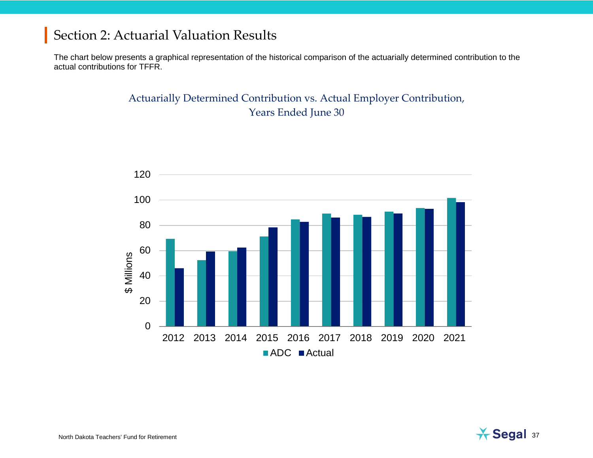The chart below presents a graphical representation of the historical comparison of the actuarially determined contribution to the actual contributions for TFFR.

## Actuarially Determined Contribution vs. Actual Employer Contribution, Years Ended June 30



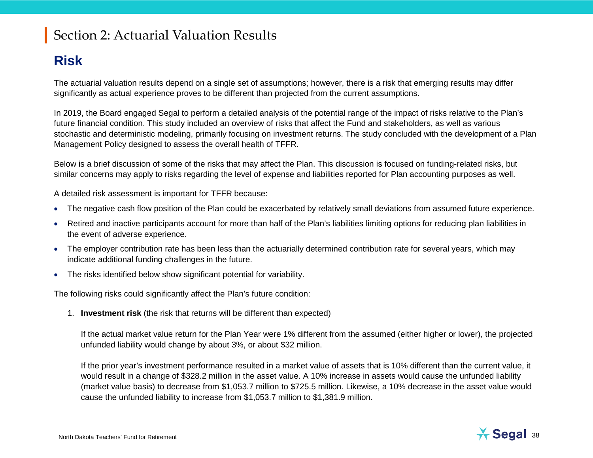## **Risk**

The actuarial valuation results depend on a single set of assumptions; however, there is a risk that emerging results may differ significantly as actual experience proves to be different than projected from the current assumptions.

In 2019, the Board engaged Segal to perform a detailed analysis of the potential range of the impact of risks relative to the Plan's future financial condition. This study included an overview of risks that affect the Fund and stakeholders, as well as various stochastic and deterministic modeling, primarily focusing on investment returns. The study concluded with the development of a Plan Management Policy designed to assess the overall health of TFFR.

Below is a brief discussion of some of the risks that may affect the Plan. This discussion is focused on funding-related risks, but similar concerns may apply to risks regarding the level of expense and liabilities reported for Plan accounting purposes as well.

A detailed risk assessment is important for TFFR because:

- The negative cash flow position of the Plan could be exacerbated by relatively small deviations from assumed future experience.
- Retired and inactive participants account for more than half of the Plan's liabilities limiting options for reducing plan liabilities in the event of adverse experience.
- The employer contribution rate has been less than the actuarially determined contribution rate for several years, which may indicate additional funding challenges in the future.
- The risks identified below show significant potential for variability.

The following risks could significantly affect the Plan's future condition:

1. **Investment risk** (the risk that returns will be different than expected)

If the actual market value return for the Plan Year were 1% different from the assumed (either higher or lower), the projected unfunded liability would change by about 3%, or about \$32 million.

If the prior year's investment performance resulted in a market value of assets that is 10% different than the current value, it would result in a change of \$328.2 million in the asset value. A 10% increase in assets would cause the unfunded liability (market value basis) to decrease from \$1,053.7 million to \$725.5 million. Likewise, a 10% decrease in the asset value would cause the unfunded liability to increase from \$1,053.7 million to \$1,381.9 million.

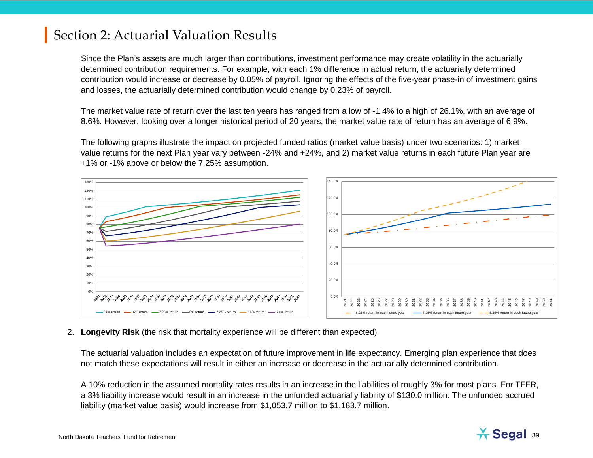Since the Plan's assets are much larger than contributions, investment performance may create volatility in the actuarially determined contribution requirements. For example, with each 1% difference in actual return, the actuarially determined contribution would increase or decrease by 0.05% of payroll. Ignoring the effects of the five-year phase-in of investment gains and losses, the actuarially determined contribution would change by 0.23% of payroll.

The market value rate of return over the last ten years has ranged from a low of -1.4% to a high of 26.1%, with an average of 8.6%. However, looking over a longer historical period of 20 years, the market value rate of return has an average of 6.9%.

The following graphs illustrate the impact on projected funded ratios (market value basis) under two scenarios: 1) market value returns for the next Plan year vary between -24% and +24%, and 2) market value returns in each future Plan year are +1% or -1% above or below the 7.25% assumption.



### 2. **Longevity Risk** (the risk that mortality experience will be different than expected)

The actuarial valuation includes an expectation of future improvement in life expectancy. Emerging plan experience that does not match these expectations will result in either an increase or decrease in the actuarially determined contribution.

A 10% reduction in the assumed mortality rates results in an increase in the liabilities of roughly 3% for most plans. For TFFR, a 3% liability increase would result in an increase in the unfunded actuarially liability of \$130.0 million. The unfunded accrued liability (market value basis) would increase from \$1,053.7 million to \$1,183.7 million.



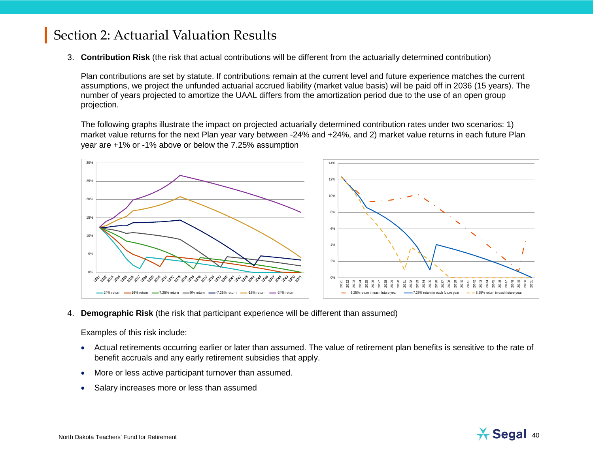3. **Contribution Risk** (the risk that actual contributions will be different from the actuarially determined contribution)

Plan contributions are set by statute. If contributions remain at the current level and future experience matches the current assumptions, we project the unfunded actuarial accrued liability (market value basis) will be paid off in 2036 (15 years). The number of years projected to amortize the UAAL differs from the amortization period due to the use of an open group projection.

The following graphs illustrate the impact on projected actuarially determined contribution rates under two scenarios: 1) market value returns for the next Plan year vary between -24% and +24%, and 2) market value returns in each future Plan year are +1% or -1% above or below the 7.25% assumption



4. **Demographic Risk** (the risk that participant experience will be different than assumed)

Examples of this risk include:

- Actual retirements occurring earlier or later than assumed. The value of retirement plan benefits is sensitive to the rate of benefit accruals and any early retirement subsidies that apply.
- More or less active participant turnover than assumed.
- Salary increases more or less than assumed

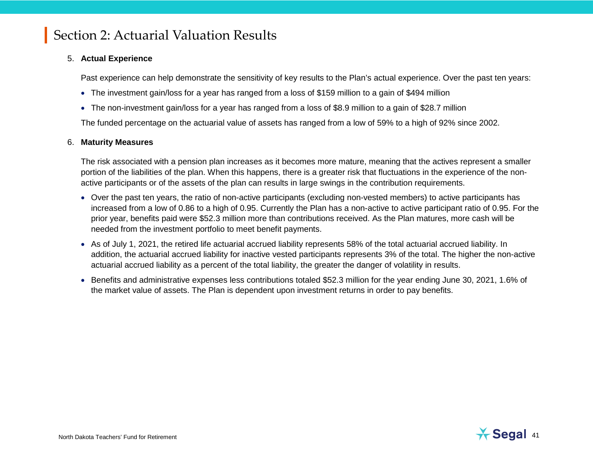### 5. **Actual Experience**

Past experience can help demonstrate the sensitivity of key results to the Plan's actual experience. Over the past ten years:

- The investment gain/loss for a year has ranged from a loss of \$159 million to a gain of \$494 million
- The non-investment gain/loss for a year has ranged from a loss of \$8.9 million to a gain of \$28.7 million

The funded percentage on the actuarial value of assets has ranged from a low of 59% to a high of 92% since 2002.

### 6. **Maturity Measures**

The risk associated with a pension plan increases as it becomes more mature, meaning that the actives represent a smaller portion of the liabilities of the plan. When this happens, there is a greater risk that fluctuations in the experience of the nonactive participants or of the assets of the plan can results in large swings in the contribution requirements.

- Over the past ten years, the ratio of non-active participants (excluding non-vested members) to active participants has increased from a low of 0.86 to a high of 0.95. Currently the Plan has a non-active to active participant ratio of 0.95. For the prior year, benefits paid were \$52.3 million more than contributions received. As the Plan matures, more cash will be needed from the investment portfolio to meet benefit payments.
- As of July 1, 2021, the retired life actuarial accrued liability represents 58% of the total actuarial accrued liability. In addition, the actuarial accrued liability for inactive vested participants represents 3% of the total. The higher the non-active actuarial accrued liability as a percent of the total liability, the greater the danger of volatility in results.
- Benefits and administrative expenses less contributions totaled \$52.3 million for the year ending June 30, 2021, 1.6% of the market value of assets. The Plan is dependent upon investment returns in order to pay benefits.

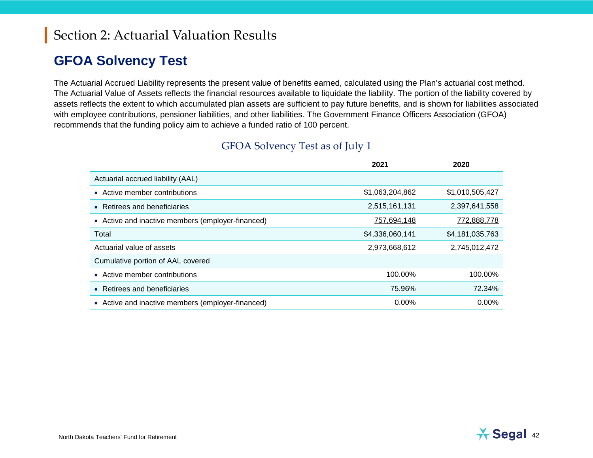## **GFOA Solvency Test**

The Actuarial Accrued Liability represents the present value of benefits earned, calculated using the Plan's actuarial cost method. The Actuarial Value of Assets reflects the financial resources available to liquidate the liability. The portion of the liability covered by assets reflects the extent to which accumulated plan assets are sufficient to pay future benefits, and is shown for liabilities associated with employee contributions, pensioner liabilities, and other liabilities. The Government Finance Officers Association (GFOA) recommends that the funding policy aim to achieve a funded ratio of 100 percent.

|                                                   | 2021            | 2020            |
|---------------------------------------------------|-----------------|-----------------|
| Actuarial accrued liability (AAL)                 |                 |                 |
| • Active member contributions                     | \$1,063,204,862 | \$1,010,505,427 |
| • Retirees and beneficiaries                      | 2,515,161,131   | 2,397,641,558   |
| • Active and inactive members (employer-financed) | 757,694,148     | 772,888,778     |
| Total                                             | \$4,336,060,141 | \$4,181,035,763 |
| Actuarial value of assets                         | 2,973,668,612   | 2,745,012,472   |
| Cumulative portion of AAL covered                 |                 |                 |
| • Active member contributions                     | 100.00%         | 100.00%         |
| • Retirees and beneficiaries                      | 75.96%          | 72.34%          |
| • Active and inactive members (employer-financed) | $0.00\%$        | $0.00\%$        |

## GFOA Solvency Test as of July 1

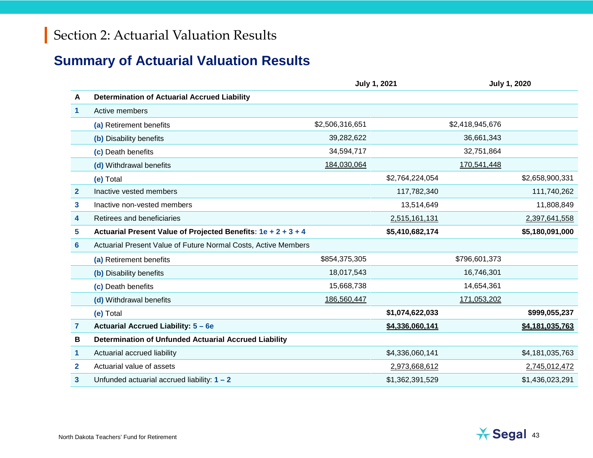## **Summary of Actuarial Valuation Results**

|                |                                                                | <b>July 1, 2021</b> |                 | <b>July 1, 2020</b> |                 |
|----------------|----------------------------------------------------------------|---------------------|-----------------|---------------------|-----------------|
| A              | <b>Determination of Actuarial Accrued Liability</b>            |                     |                 |                     |                 |
| 1              | Active members                                                 |                     |                 |                     |                 |
|                | (a) Retirement benefits                                        | \$2,506,316,651     |                 | \$2,418,945,676     |                 |
|                | (b) Disability benefits                                        | 39,282,622          |                 | 36,661,343          |                 |
|                | (c) Death benefits                                             | 34,594,717          |                 | 32,751,864          |                 |
|                | (d) Withdrawal benefits                                        | 184,030,064         |                 | 170,541,448         |                 |
|                | (e) Total                                                      |                     | \$2,764,224,054 |                     | \$2,658,900,331 |
| $\mathbf{2}$   | Inactive vested members                                        |                     | 117,782,340     |                     | 111,740,262     |
| 3              | Inactive non-vested members                                    |                     | 13,514,649      |                     | 11,808,849      |
| 4              | Retirees and beneficiaries                                     |                     | 2,515,161,131   |                     | 2,397,641,558   |
| 5              | Actuarial Present Value of Projected Benefits: 1e + 2 + 3 + 4  |                     | \$5,410,682,174 |                     | \$5,180,091,000 |
| 6              | Actuarial Present Value of Future Normal Costs, Active Members |                     |                 |                     |                 |
|                | (a) Retirement benefits                                        | \$854,375,305       |                 | \$796,601,373       |                 |
|                | (b) Disability benefits                                        | 18,017,543          |                 | 16,746,301          |                 |
|                | (c) Death benefits                                             | 15,668,738          |                 | 14,654,361          |                 |
|                | (d) Withdrawal benefits                                        | 186,560,447         |                 | 171,053,202         |                 |
|                | (e) Total                                                      |                     | \$1,074,622,033 |                     | \$999,055,237   |
| $\overline{7}$ | <b>Actuarial Accrued Liability: 5 - 6e</b>                     |                     | \$4,336,060,141 |                     | \$4,181,035,763 |
| В              | <b>Determination of Unfunded Actuarial Accrued Liability</b>   |                     |                 |                     |                 |
| 1              | Actuarial accrued liability                                    |                     | \$4,336,060,141 |                     | \$4,181,035,763 |
| $\mathbf{2}$   | Actuarial value of assets                                      |                     | 2,973,668,612   |                     | 2,745,012,472   |
| 3              | Unfunded actuarial accrued liability: $1 - 2$                  |                     | \$1,362,391,529 |                     | \$1,436,023,291 |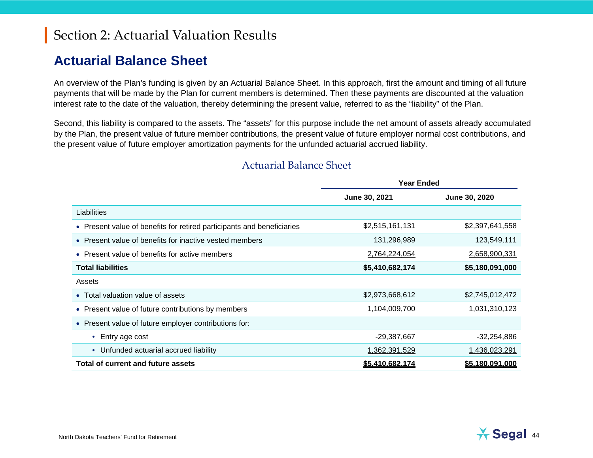## **Actuarial Balance Sheet**

An overview of the Plan's funding is given by an Actuarial Balance Sheet. In this approach, first the amount and timing of all future payments that will be made by the Plan for current members is determined. Then these payments are discounted at the valuation interest rate to the date of the valuation, thereby determining the present value, referred to as the "liability" of the Plan.

Second, this liability is compared to the assets. The "assets" for this purpose include the net amount of assets already accumulated by the Plan, the present value of future member contributions, the present value of future employer normal cost contributions, and the present value of future employer amortization payments for the unfunded actuarial accrued liability.

|                                                                        | <b>Year Ended</b>    |                        |  |
|------------------------------------------------------------------------|----------------------|------------------------|--|
|                                                                        | June 30, 2021        | June 30, 2020          |  |
| Liabilities                                                            |                      |                        |  |
| • Present value of benefits for retired participants and beneficiaries | \$2,515,161,131      | \$2,397,641,558        |  |
| • Present value of benefits for inactive vested members                | 131,296,989          | 123,549,111            |  |
| Present value of benefits for active members                           | <u>2,764,224,054</u> | <u>2,658,900,331</u>   |  |
| <b>Total liabilities</b>                                               | \$5,410,682,174      | \$5,180,091,000        |  |
| Assets                                                                 |                      |                        |  |
| Total valuation value of assets                                        | \$2,973,668,612      | \$2,745,012,472        |  |
| Present value of future contributions by members<br>$\bullet$          | 1,104,009,700        | 1,031,310,123          |  |
| Present value of future employer contributions for:<br>$\bullet$       |                      |                        |  |
| Entry age cost                                                         | $-29,387,667$        | $-32,254,886$          |  |
| Unfunded actuarial accrued liability<br>$\bullet$                      | 1,362,391,529        | 1,436,023,291          |  |
| Total of current and future assets                                     | \$5,410,682,174      | <u>\$5,180,091,000</u> |  |

### Actuarial Balance Sheet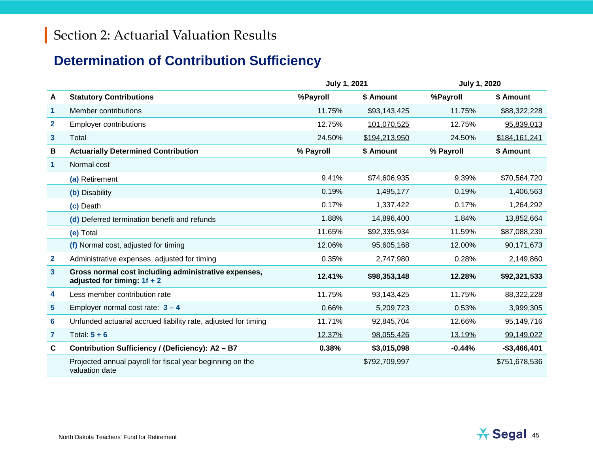## **Determination of Contribution Sufficiency**

|                         |                                                                                       | <b>July 1, 2021</b> |               | <b>July 1, 2020</b> |               |
|-------------------------|---------------------------------------------------------------------------------------|---------------------|---------------|---------------------|---------------|
| A                       | <b>Statutory Contributions</b>                                                        | %Payroll            | \$ Amount     | %Payroll            | \$ Amount     |
| $\mathbf{1}$            | Member contributions                                                                  | 11.75%              | \$93,143,425  | 11.75%              | \$88,322,228  |
| $\mathbf{2}$            | <b>Employer contributions</b>                                                         | 12.75%              | 101,070,525   | 12.75%              | 95,839,013    |
| $\mathbf{3}$            | Total                                                                                 | 24.50%              | \$194,213,950 | 24.50%              | \$184,161,241 |
| В                       | <b>Actuarially Determined Contribution</b>                                            | % Payroll           | \$ Amount     | % Payroll           | \$ Amount     |
| $\mathbf{1}$            | Normal cost                                                                           |                     |               |                     |               |
|                         | (a) Retirement                                                                        | 9.41%               | \$74,606,935  | 9.39%               | \$70,564,720  |
|                         | (b) Disability                                                                        | 0.19%               | 1,495,177     | 0.19%               | 1,406,563     |
|                         | (c) Death                                                                             | 0.17%               | 1,337,422     | 0.17%               | 1,264,292     |
|                         | (d) Deferred termination benefit and refunds                                          | 1.88%               | 14,896,400    | 1.84%               | 13,852,664    |
|                         | (e) Total                                                                             | 11.65%              | \$92,335,934  | 11.59%              | \$87,088,239  |
|                         | (f) Normal cost, adjusted for timing                                                  | 12.06%              | 95,605,168    | 12.00%              | 90,171,673    |
| $\mathbf{2}$            | Administrative expenses, adjusted for timing                                          | 0.35%               | 2,747,980     | 0.28%               | 2,149,860     |
| $\overline{\mathbf{3}}$ | Gross normal cost including administrative expenses,<br>adjusted for timing: $1f + 2$ | 12.41%              | \$98,353,148  | 12.28%              | \$92,321,533  |
| 4                       | Less member contribution rate                                                         | 11.75%              | 93,143,425    | 11.75%              | 88,322,228    |
| 5                       | Employer normal cost rate: $3 - 4$                                                    | 0.66%               | 5,209,723     | 0.53%               | 3,999,305     |
| 6                       | Unfunded actuarial accrued liability rate, adjusted for timing                        | 11.71%              | 92,845,704    | 12.66%              | 95,149,716    |
| 7                       | Total: $5 + 6$                                                                        | 12.37%              | 98,055,426    | 13.19%              | 99,149,022    |
| $\mathbf c$             | Contribution Sufficiency / (Deficiency): A2 - B7                                      | 0.38%               | \$3,015,098   | $-0.44%$            | $-$3,466,401$ |
|                         | Projected annual payroll for fiscal year beginning on the<br>valuation date           |                     | \$792,709,997 |                     | \$751,678,536 |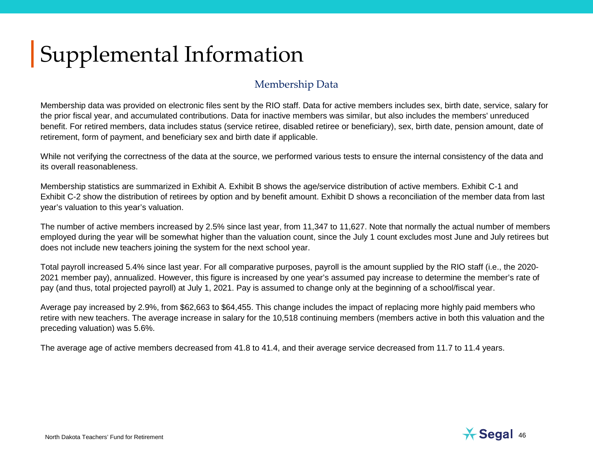# Supplemental Information

## Membership Data

Membership data was provided on electronic files sent by the RIO staff. Data for active members includes sex, birth date, service, salary for the prior fiscal year, and accumulated contributions. Data for inactive members was similar, but also includes the members' unreduced benefit. For retired members, data includes status (service retiree, disabled retiree or beneficiary), sex, birth date, pension amount, date of retirement, form of payment, and beneficiary sex and birth date if applicable.

While not verifying the correctness of the data at the source, we performed various tests to ensure the internal consistency of the data and its overall reasonableness.

Membership statistics are summarized in Exhibit A. Exhibit B shows the age/service distribution of active members. Exhibit C-1 and Exhibit C-2 show the distribution of retirees by option and by benefit amount. Exhibit D shows a reconciliation of the member data from last year's valuation to this year's valuation.

The number of active members increased by 2.5% since last year, from 11,347 to 11,627. Note that normally the actual number of members employed during the year will be somewhat higher than the valuation count, since the July 1 count excludes most June and July retirees but does not include new teachers joining the system for the next school year.

Total payroll increased 5.4% since last year. For all comparative purposes, payroll is the amount supplied by the RIO staff (i.e., the 2020- 2021 member pay), annualized. However, this figure is increased by one year's assumed pay increase to determine the member's rate of pay (and thus, total projected payroll) at July 1, 2021. Pay is assumed to change only at the beginning of a school/fiscal year.

Average pay increased by 2.9%, from \$62,663 to \$64,455. This change includes the impact of replacing more highly paid members who retire with new teachers. The average increase in salary for the 10,518 continuing members (members active in both this valuation and the preceding valuation) was 5.6%.

The average age of active members decreased from 41.8 to 41.4, and their average service decreased from 11.7 to 11.4 years.

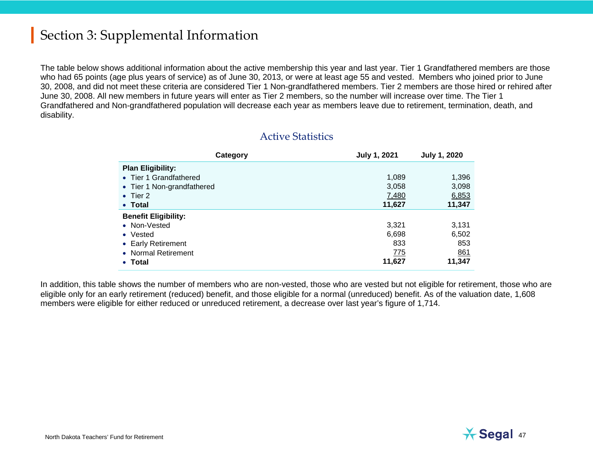The table below shows additional information about the active membership this year and last year. Tier 1 Grandfathered members are those who had 65 points (age plus years of service) as of June 30, 2013, or were at least age 55 and vested. Members who joined prior to June 30, 2008, and did not meet these criteria are considered Tier 1 Non-grandfathered members. Tier 2 members are those hired or rehired after June 30, 2008. All new members in future years will enter as Tier 2 members, so the number will increase over time. The Tier 1 Grandfathered and Non-grandfathered population will decrease each year as members leave due to retirement, termination, death, and disability.

| Category                    | <b>July 1, 2021</b> | <b>July 1, 2020</b> |
|-----------------------------|---------------------|---------------------|
| <b>Plan Eligibility:</b>    |                     |                     |
| • Tier 1 Grandfathered      | 1,089               | 1,396               |
| • Tier 1 Non-grandfathered  | 3,058               | 3,098               |
| $\bullet$ Tier 2            | 7,480               | 6,853               |
| • Total                     | 11,627              | 11,347              |
| <b>Benefit Eligibility:</b> |                     |                     |
| • Non-Vested                | 3,321               | 3,131               |
| • Vested                    | 6,698               | 6,502               |
| • Early Retirement          | 833                 | 853                 |
| • Normal Retirement         | 775                 | <u>861</u>          |
| • Total                     | 11,627              | 11,347              |

### Active Statistics

In addition, this table shows the number of members who are non-vested, those who are vested but not eligible for retirement, those who are eligible only for an early retirement (reduced) benefit, and those eligible for a normal (unreduced) benefit. As of the valuation date, 1,608 members were eligible for either reduced or unreduced retirement, a decrease over last year's figure of 1,714.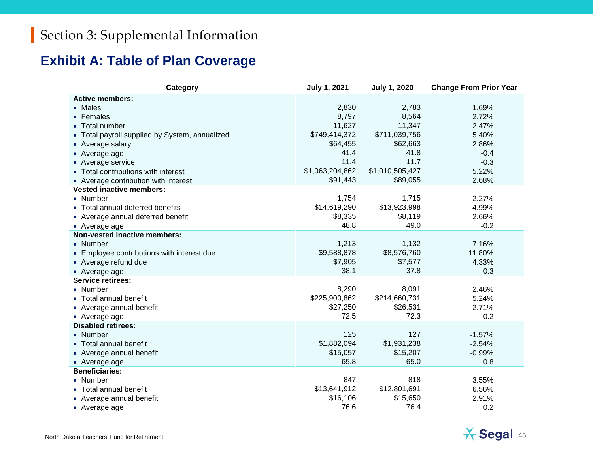## **Exhibit A: Table of Plan Coverage**

| Category                                       | <b>July 1, 2021</b> | <b>July 1, 2020</b> | <b>Change From Prior Year</b> |
|------------------------------------------------|---------------------|---------------------|-------------------------------|
| <b>Active members:</b>                         |                     |                     |                               |
| • Males                                        | 2,830               | 2,783               | 1.69%                         |
| • Females                                      | 8,797               | 8,564               | 2.72%                         |
| • Total number                                 | 11,627              | 11,347              | 2.47%                         |
| • Total payroll supplied by System, annualized | \$749,414,372       | \$711,039,756       | 5.40%                         |
| • Average salary                               | \$64,455            | \$62,663            | 2.86%                         |
| • Average age                                  | 41.4                | 41.8                | $-0.4$                        |
| • Average service                              | 11.4                | 11.7                | $-0.3$                        |
| • Total contributions with interest            | \$1,063,204,862     | \$1,010,505,427     | 5.22%                         |
| • Average contribution with interest           | \$91,443            | \$89,055            | 2.68%                         |
| <b>Vested inactive members:</b>                |                     |                     |                               |
| • Number                                       | 1,754               | 1,715               | 2.27%                         |
| • Total annual deferred benefits               | \$14,619,290        | \$13,923,998        | 4.99%                         |
| • Average annual deferred benefit              | \$8,335             | \$8,119             | 2.66%                         |
| • Average age                                  | 48.8                | 49.0                | $-0.2$                        |
| <b>Non-vested inactive members:</b>            |                     |                     |                               |
| • Number                                       | 1,213               | 1,132               | 7.16%                         |
| • Employee contributions with interest due     | \$9,588,878         | \$8,576,760         | 11.80%                        |
| • Average refund due                           | \$7,905             | \$7,577             | 4.33%                         |
| • Average age                                  | 38.1                | 37.8                | 0.3                           |
| <b>Service retirees:</b>                       |                     |                     |                               |
| • Number                                       | 8,290               | 8,091               | 2.46%                         |
| • Total annual benefit                         | \$225,900,862       | \$214,660,731       | 5.24%                         |
| • Average annual benefit                       | \$27,250            | \$26,531            | 2.71%                         |
| • Average age                                  | 72.5                | 72.3                | 0.2                           |
| <b>Disabled retirees:</b>                      |                     |                     |                               |
| • Number                                       | 125                 | 127                 | $-1.57%$                      |
| • Total annual benefit                         | \$1,882,094         | \$1,931,238         | $-2.54%$                      |
| • Average annual benefit                       | \$15,057            | \$15,207            | $-0.99%$                      |
| • Average age                                  | 65.8                | 65.0                | 0.8                           |
| <b>Beneficiaries:</b>                          |                     |                     |                               |
| • Number                                       | 847                 | 818                 | 3.55%                         |
| • Total annual benefit                         | \$13,641,912        | \$12,801,691        | 6.56%                         |
| • Average annual benefit                       | \$16,106            | \$15,650            | 2.91%                         |
| • Average age                                  | 76.6                | 76.4                | 0.2                           |

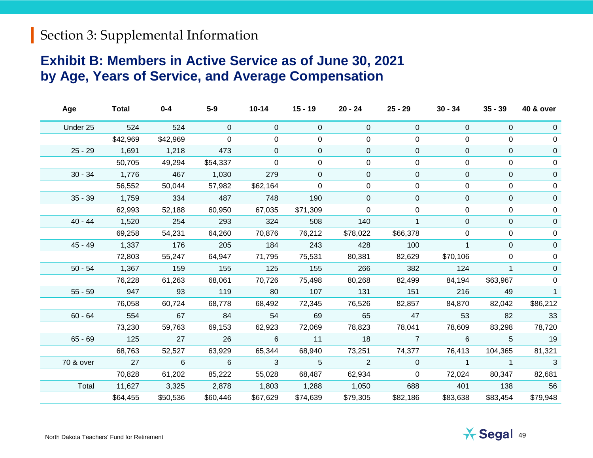## **Exhibit B: Members in Active Service as of June 30, 2021 by Age, Years of Service, and Average Compensation**

| Age       | <b>Total</b>    | $0 - 4$  | $5-9$          | $10 - 14$   | $15 - 19$      | 20 - 24        | $25 - 29$      | $30 - 34$      | $35 - 39$      | <b>40 &amp; over</b> |
|-----------|-----------------|----------|----------------|-------------|----------------|----------------|----------------|----------------|----------------|----------------------|
| Under 25  | 524             | 524      | $\overline{0}$ | $\mathbf 0$ | $\overline{0}$ | 0              | 0              | $\mathbf 0$    | $\Omega$       | 0                    |
|           | \$42,969        | \$42,969 | $\Omega$       | $\mathbf 0$ | $\overline{0}$ | 0              | 0              | 0              | 0              | $\mathbf 0$          |
| $25 - 29$ | 1,691           | 1,218    | 473            | $\Omega$    | $\mathbf 0$    | $\Omega$       | $\mathbf 0$    | $\Omega$       | $\Omega$       | $\mathbf 0$          |
|           | 50,705          | 49,294   | \$54,337       | $\mathbf 0$ | 0              | 0              | 0              | 0              | 0              | 0                    |
| $30 - 34$ | 1,776           | 467      | 1,030          | 279         | $\overline{0}$ | $\mathbf 0$    | $\mathbf 0$    | $\Omega$       | $\Omega$       | $\mathbf{0}$         |
|           | 56,552          | 50,044   | 57,982         | \$62,164    | 0              | 0              | 0              | 0              | 0              | 0                    |
| $35 - 39$ | 1,759           | 334      | 487            | 748         | 190            | $\overline{0}$ | 0              | $\overline{0}$ | $\mathbf{0}$   | 0                    |
|           | 62,993          | 52,188   | 60,950         | 67,035      | \$71,309       | $\mathbf 0$    | $\Omega$       | $\Omega$       | $\Omega$       | 0                    |
| $40 - 44$ | 1,520           | 254      | 293            | 324         | 508            | 140            | $\mathbf{1}$   | $\Omega$       | $\mathbf{0}$   | $\mathbf{0}$         |
|           | 69,258          | 54,231   | 64,260         | 70,876      | 76,212         | \$78,022       | \$66,378       | 0              | 0              | 0                    |
| $45 - 49$ | 1,337           | 176      | 205            | 184         | 243            | 428            | 100            |                | $\Omega$       | $\Omega$             |
|           | 72,803          | 55,247   | 64,947         | 71,795      | 75,531         | 80,381         | 82,629         | \$70,106       | $\Omega$       | $\mathbf 0$          |
| $50 - 54$ | 1,367           | 159      | 155            | 125         | 155            | 266            | 382            | 124            | $\mathbf{1}$   | 0                    |
|           | 76,228          | 61,263   | 68,061         | 70,726      | 75,498         | 80,268         | 82,499         | 84,194         | \$63,967       | 0                    |
| $55 - 59$ | 947             | 93       | 119            | 80          | 107            | 131            | 151            | 216            | 49             | 1                    |
|           | 76,058          | 60,724   | 68,778         | 68,492      | 72,345         | 76,526         | 82,857         | 84,870         | 82,042         | \$86,212             |
| $60 - 64$ | 554             | 67       | 84             | 54          | 69             | 65             | 47             | 53             | 82             | 33                   |
|           | 73,230          | 59,763   | 69,153         | 62,923      | 72,069         | 78,823         | 78,041         | 78,609         | 83,298         | 78,720               |
| $65 - 69$ | 125             | 27       | 26             | 6           | 11             | 18             | $\overline{7}$ | 6              | 5              | 19                   |
|           | 68,763          | 52,527   | 63,929         | 65,344      | 68,940         | 73,251         | 74,377         | 76,413         | 104,365        | 81,321               |
| 70 & over | $\overline{27}$ | 6        | $6\phantom{1}$ | 3           | 5 <sup>5</sup> | 2              | $\mathbf{0}$   | $\overline{1}$ | $\overline{1}$ | 3                    |
|           | 70,828          | 61,202   | 85,222         | 55,028      | 68,487         | 62,934         | $\overline{0}$ | 72,024         | 80,347         | 82,681               |
| Total     | 11,627          | 3,325    | 2,878          | 1,803       | 1,288          | 1,050          | 688            | 401            | 138            | 56                   |
|           | \$64,455        | \$50,536 | \$60,446       | \$67,629    | \$74,639       | \$79,305       | \$82,186       | \$83,638       | \$83,454       | \$79,948             |
|           |                 |          |                |             |                |                |                |                |                |                      |

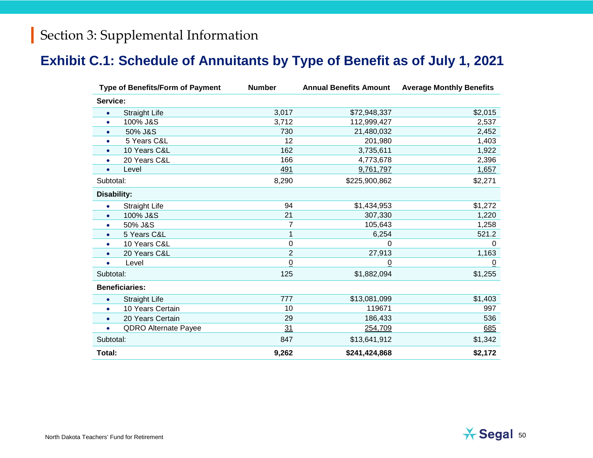## **Exhibit C.1: Schedule of Annuitants by Type of Benefit as of July 1, 2021**

| <b>Type of Benefits/Form of Payment</b> |                             | <b>Number</b>  | <b>Annual Benefits Amount</b> | <b>Average Monthly Benefits</b> |
|-----------------------------------------|-----------------------------|----------------|-------------------------------|---------------------------------|
| Service:                                |                             |                |                               |                                 |
| $\bullet$                               | <b>Straight Life</b>        | 3,017          | \$72,948,337                  | \$2,015                         |
| $\bullet$                               | 100% J&S                    | 3,712          | 112,999,427                   | 2,537                           |
| $\bullet$                               | 50% J&S                     | 730            | 21,480,032                    | 2,452                           |
| $\bullet$                               | 5 Years C&L                 | 12             | 201,980                       | 1,403                           |
| $\bullet$                               | 10 Years C&L                | 162            | 3,735,611                     | 1,922                           |
| $\bullet$                               | 20 Years C&L                | 166            | 4,773,678                     | 2,396                           |
| Level<br>$\bullet$                      |                             | 491            | 9,761,797                     | 1,657                           |
| Subtotal:                               |                             | 8,290          | \$225,900,862                 | \$2,271                         |
| <b>Disability:</b>                      |                             |                |                               |                                 |
| $\bullet$                               | <b>Straight Life</b>        | 94             | \$1,434,953                   | \$1,272                         |
| $\bullet$                               | 100% J&S                    | 21             | 307,330                       | 1,220                           |
| $\bullet$                               | 50% J&S                     | 7              | 105,643                       | 1,258                           |
| $\bullet$                               | 5 Years C&L                 | 1              | 6,254                         | 521.2                           |
| $\bullet$                               | 10 Years C&L                | $\mathbf 0$    | $\Omega$                      | $\Omega$                        |
| $\bullet$                               | 20 Years C&L                | $\overline{2}$ | 27,913                        | 1,163                           |
| Level<br>$\bullet$                      |                             | $\overline{0}$ | $\overline{0}$                | $\overline{0}$                  |
| Subtotal:                               |                             | 125            | \$1,882,094                   | \$1,255                         |
| <b>Beneficiaries:</b>                   |                             |                |                               |                                 |
| $\bullet$                               | <b>Straight Life</b>        | 777            | \$13,081,099                  | \$1,403                         |
| ۰                                       | 10 Years Certain            | 10             | 119671                        | 997                             |
| $\bullet$                               | 20 Years Certain            | 29             | 186,433                       | 536                             |
| $\bullet$                               | <b>QDRO Alternate Payee</b> | 31             | 254,709                       | 685                             |
| Subtotal:                               |                             | 847            | \$13,641,912                  | \$1,342                         |
| Total:                                  |                             | 9,262          | \$241,424,868                 | \$2,172                         |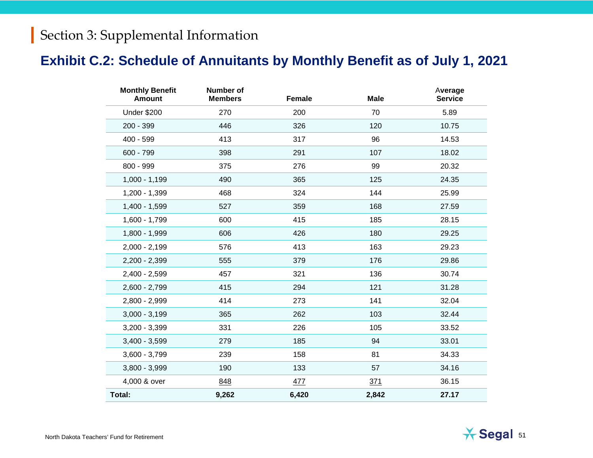## **Exhibit C.2: Schedule of Annuitants by Monthly Benefit as of July 1, 2021**

| <b>Monthly Benefit</b><br><b>Amount</b> | Number of<br><b>Members</b> | Female | <b>Male</b> | Average<br><b>Service</b> |
|-----------------------------------------|-----------------------------|--------|-------------|---------------------------|
| <b>Under \$200</b>                      | 270                         | 200    | 70          | 5.89                      |
| 200 - 399                               | 446                         | 326    | 120         | 10.75                     |
| 400 - 599                               | 413                         | 317    | 96          | 14.53                     |
| 600 - 799                               | 398                         | 291    | 107         | 18.02                     |
| 800 - 999                               | 375                         | 276    | 99          | 20.32                     |
| $1,000 - 1,199$                         | 490                         | 365    | 125         | 24.35                     |
| 1,200 - 1,399                           | 468                         | 324    | 144         | 25.99                     |
| $1,400 - 1,599$                         | 527                         | 359    | 168         | 27.59                     |
| 1,600 - 1,799                           | 600                         | 415    | 185         | 28.15                     |
| 1,800 - 1,999                           | 606                         | 426    | 180         | 29.25                     |
| $2,000 - 2,199$                         | 576                         | 413    | 163         | 29.23                     |
| $2,200 - 2,399$                         | 555                         | 379    | 176         | 29.86                     |
| $2,400 - 2,599$                         | 457                         | 321    | 136         | 30.74                     |
| $2,600 - 2,799$                         | 415                         | 294    | 121         | 31.28                     |
| 2,800 - 2,999                           | 414                         | 273    | 141         | 32.04                     |
| $3,000 - 3,199$                         | 365                         | 262    | 103         | 32.44                     |
| $3,200 - 3,399$                         | 331                         | 226    | 105         | 33.52                     |
| $3,400 - 3,599$                         | 279                         | 185    | 94          | 33.01                     |
| $3,600 - 3,799$                         | 239                         | 158    | 81          | 34.33                     |
| $3,800 - 3,999$                         | 190                         | 133    | 57          | 34.16                     |
| 4,000 & over                            | 848                         | 477    | 371         | 36.15                     |
| Total:                                  | 9,262                       | 6,420  | 2,842       | 27.17                     |

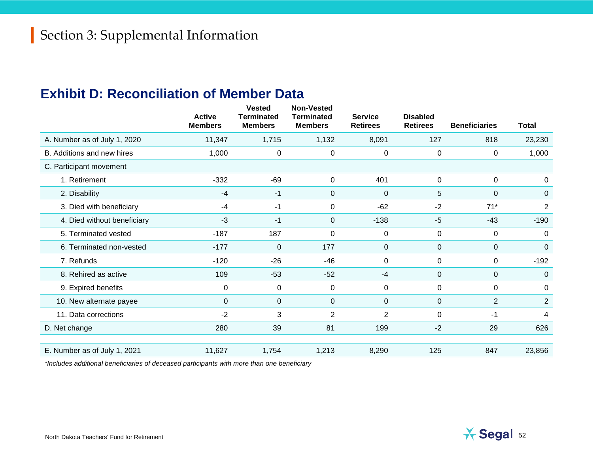## **Exhibit D: Reconciliation of Member Data**

|                              | <b>Active</b><br><b>Members</b> | <b>Vested</b><br><b>Terminated</b><br><b>Members</b> | <b>Non-Vested</b><br><b>Terminated</b><br><b>Members</b> | <b>Service</b><br><b>Retirees</b> | <b>Disabled</b><br><b>Retirees</b> | <b>Beneficiaries</b> | <b>Total</b>   |
|------------------------------|---------------------------------|------------------------------------------------------|----------------------------------------------------------|-----------------------------------|------------------------------------|----------------------|----------------|
| A. Number as of July 1, 2020 | 11,347                          | 1,715                                                | 1,132                                                    | 8,091                             | 127                                | 818                  | 23,230         |
| B. Additions and new hires   | 1,000                           | 0                                                    | 0                                                        | 0                                 | 0                                  | 0                    | 1,000          |
| C. Participant movement      |                                 |                                                      |                                                          |                                   |                                    |                      |                |
| 1. Retirement                | $-332$                          | $-69$                                                | 0                                                        | 401                               | 0                                  | 0                    | $\mathbf 0$    |
| 2. Disability                | $-4$                            | $-1$                                                 | $\pmb{0}$                                                | $\mathbf 0$                       | 5                                  | $\pmb{0}$            | $\Omega$       |
| 3. Died with beneficiary     | $-4$                            | $-1$                                                 | 0                                                        | $-62$                             | $-2$                               | $71*$                | $\overline{2}$ |
| 4. Died without beneficiary  | $-3$                            | $-1$                                                 | $\mathbf 0$                                              | $-138$                            | $-5$                               | $-43$                | $-190$         |
| 5. Terminated vested         | $-187$                          | 187                                                  | $\pmb{0}$                                                | $\pmb{0}$                         | 0                                  | $\pmb{0}$            | $\Omega$       |
| 6. Terminated non-vested     | $-177$                          | $\mathbf{0}$                                         | 177                                                      | $\mathbf 0$                       | $\pmb{0}$                          | 0                    | $\Omega$       |
| 7. Refunds                   | $-120$                          | $-26$                                                | $-46$                                                    | 0                                 | 0                                  | 0                    | $-192$         |
| 8. Rehired as active         | 109                             | $-53$                                                | $-52$                                                    | $-4$                              | $\pmb{0}$                          | $\pmb{0}$            | $\Omega$       |
| 9. Expired benefits          | 0                               | $\mathbf 0$                                          | 0                                                        | $\pmb{0}$                         | $\mathbf 0$                        | 0                    | $\Omega$       |
| 10. New alternate payee      | 0                               | $\mathbf{0}$                                         | $\mathbf 0$                                              | $\pmb{0}$                         | $\pmb{0}$                          | $\overline{2}$       | 2              |
| 11. Data corrections         | $-2$                            | 3                                                    | $\overline{c}$                                           | $\overline{2}$                    | $\mathbf 0$                        | -1                   | 4              |
| D. Net change                | 280                             | 39                                                   | 81                                                       | 199                               | $-2$                               | 29                   | 626            |
|                              |                                 |                                                      |                                                          |                                   |                                    |                      |                |
| E. Number as of July 1, 2021 | 11,627                          | 1,754                                                | 1,213                                                    | 8,290                             | 125                                | 847                  | 23,856         |

*\*Includes additional beneficiaries of deceased participants with more than one beneficiary*

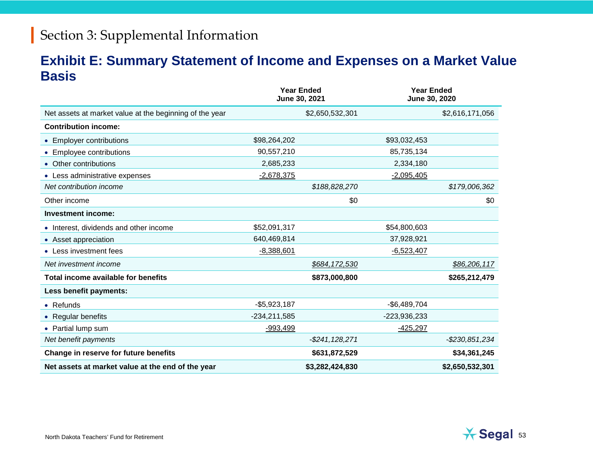## **Exhibit E: Summary Statement of Income and Expenses on a Market Value Basis**

|                                                         | <b>Year Ended</b><br>June 30, 2021 |                     | <b>Year Ended</b><br>June 30, 2020 |                 |
|---------------------------------------------------------|------------------------------------|---------------------|------------------------------------|-----------------|
| Net assets at market value at the beginning of the year |                                    | \$2,650,532,301     |                                    | \$2,616,171,056 |
| <b>Contribution income:</b>                             |                                    |                     |                                    |                 |
| • Employer contributions                                | \$98,264,202                       |                     | \$93,032,453                       |                 |
| <b>Employee contributions</b><br>$\bullet$              | 90,557,210                         |                     | 85,735,134                         |                 |
| • Other contributions                                   | 2,685,233                          |                     | 2,334,180                          |                 |
| • Less administrative expenses                          | $-2,678,375$                       |                     | $-2,095,405$                       |                 |
| Net contribution income                                 |                                    | \$188,828,270       |                                    | \$179,006,362   |
| Other income                                            |                                    | \$0                 |                                    | \$0             |
| <b>Investment income:</b>                               |                                    |                     |                                    |                 |
| • Interest, dividends and other income                  | \$52,091,317                       |                     | \$54,800,603                       |                 |
| • Asset appreciation                                    | 640,469,814                        |                     | 37,928,921                         |                 |
| • Less investment fees                                  | $-8,388,601$                       |                     | $-6,523,407$                       |                 |
| Net investment income                                   |                                    | \$684,172,530       |                                    | \$86,206,117    |
| Total income available for benefits                     |                                    | \$873,000,800       |                                    | \$265,212,479   |
| Less benefit payments:                                  |                                    |                     |                                    |                 |
| $\bullet$ Refunds                                       | $-$5,923,187$                      |                     | $-$6,489,704$                      |                 |
| • Regular benefits                                      | $-234,211,585$                     |                     | -223,936,233                       |                 |
| • Partial lump sum                                      | $-993,499$                         |                     | $-425,297$                         |                 |
| Net benefit payments                                    |                                    | $-$ \$241, 128, 271 |                                    | -\$230,851,234  |
| Change in reserve for future benefits                   |                                    | \$631,872,529       |                                    | \$34,361,245    |
| Net assets at market value at the end of the year       |                                    | \$3,282,424,830     |                                    | \$2,650,532,301 |

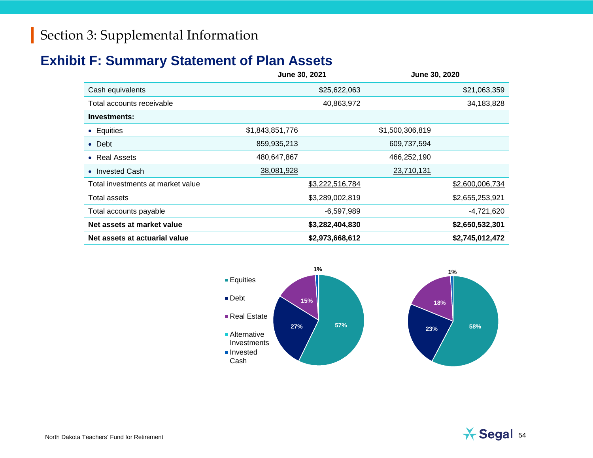## **Exhibit F: Summary Statement of Plan Assets**

|                                   | June 30, 2021   |                 | June 30, 2020   |
|-----------------------------------|-----------------|-----------------|-----------------|
| Cash equivalents                  |                 | \$25,622,063    | \$21,063,359    |
| Total accounts receivable         |                 | 40,863,972      | 34,183,828      |
| Investments:                      |                 |                 |                 |
| • Equities                        | \$1,843,851,776 | \$1,500,306,819 |                 |
| $\bullet$ Debt                    | 859,935,213     |                 | 609,737,594     |
| • Real Assets                     | 480,647,867     |                 | 466,252,190     |
| • Invested Cash                   | 38,081,928      |                 | 23,710,131      |
| Total investments at market value |                 | \$3,222,516,784 | \$2,600,006,734 |
| Total assets                      |                 | \$3,289,002,819 | \$2,655,253,921 |
| Total accounts payable            |                 | $-6,597,989$    | -4,721,620      |
| Net assets at market value        |                 | \$3,282,404,830 | \$2,650,532,301 |
| Net assets at actuarial value     |                 | \$2,973,668,612 | \$2,745,012,472 |



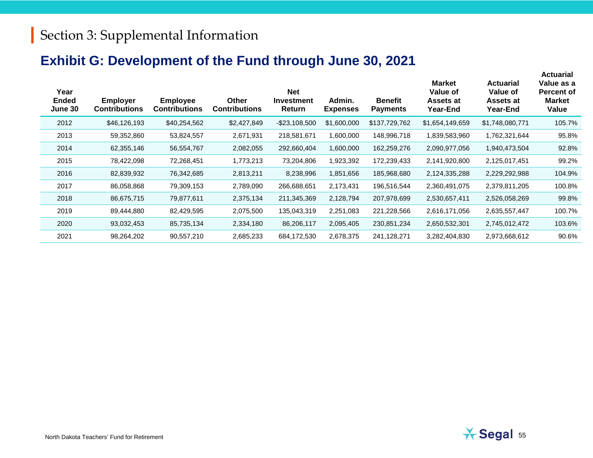## **Exhibit G: Development of the Fund through June 30, 2021**

| Year<br><b>Ended</b><br><b>June 30</b> | <b>Employer</b><br><b>Contributions</b> | <b>Employee</b><br><b>Contributions</b> | <b>Other</b><br><b>Contributions</b> | <b>Net</b><br><b>Investment</b><br>Return | Admin.<br><b>Expenses</b> | <b>Benefit</b><br><b>Payments</b> | <b>Market</b><br>Value of<br>Assets at<br>Year-End | <b>Actuarial</b><br>Value of<br>Assets at<br>Year-End | Value as a<br><b>Percent of</b><br><b>Market</b><br>Value |
|----------------------------------------|-----------------------------------------|-----------------------------------------|--------------------------------------|-------------------------------------------|---------------------------|-----------------------------------|----------------------------------------------------|-------------------------------------------------------|-----------------------------------------------------------|
| 2012                                   | \$46,126,193                            | \$40,254,562                            | \$2,427,849                          | $-$ \$23,108,500                          | \$1,600,000               | \$137,729,762                     | \$1,654,149,659                                    | \$1,748,080,771                                       | 105.7%                                                    |
| 2013                                   | 59,352,860                              | 53,824,557                              | 2,671,931                            | 218,581,671                               | 1,600,000                 | 148,996,718                       | 1,839,583,960                                      | 1,762,321,644                                         | 95.8%                                                     |
| 2014                                   | 62,355,146                              | 56,554,767                              | 2,082,055                            | 292,660,404                               | 000,000.1                 | 162,259,276                       | 2,090,977,056                                      | 1,940,473,504                                         | 92.8%                                                     |
| 2015                                   | 78,422,098                              | 72,268,451                              | 1,773,213                            | 73,204,806                                | 1,923,392                 | 172,239,433                       | 2,141,920,800                                      | 2,125,017,451                                         | 99.2%                                                     |
| 2016                                   | 82,839,932                              | 76,342,685                              | 2,813,211                            | 8,238,996                                 | 1,851,656                 | 185,968,680                       | 2,124,335,288                                      | 2,229,292,988                                         | 104.9%                                                    |
| 2017                                   | 86,058,868                              | 79,309,153                              | 2,789,090                            | 266,688,651                               | 2,173,431                 | 196,516,544                       | 2,360,491,075                                      | 2,379,811,205                                         | 100.8%                                                    |
| 2018                                   | 86,675,715                              | 79,877,611                              | 2,375,134                            | 211,345,369                               | 2,128,794                 | 207,978,699                       | 2,530,657,411                                      | 2,526,058,269                                         | 99.8%                                                     |
| 2019                                   | 89,444,880                              | 82,429,595                              | 2,075,500                            | 135,043,319                               | 2,251,083                 | 221,228,566                       | 2,616,171,056                                      | 2,635,557,447                                         | 100.7%                                                    |
| 2020                                   | 93,032,453                              | 85,735,134                              | 2,334,180                            | 86,206,117                                | 2,095,405                 | 230,851,234                       | 2,650,532,301                                      | 2,745,012,472                                         | 103.6%                                                    |
| 2021                                   | 98,264,202                              | 90,557,210                              | 2,685,233                            | 684,172,530                               | 2,678,375                 | 241,128,271                       | 3,282,404,830                                      | 2,973,668,612                                         | 90.6%                                                     |

**Actuarial**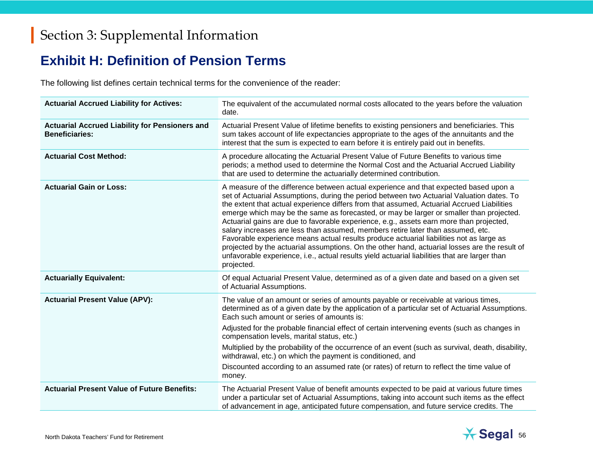## **Exhibit H: Definition of Pension Terms**

The following list defines certain technical terms for the convenience of the reader:

| <b>Actuarial Accrued Liability for Actives:</b>                                | The equivalent of the accumulated normal costs allocated to the years before the valuation<br>date.                                                                                                                                                                                                                                                                                                                                                                                                                                                                                                                                                                                                                                                                                                                                                                 |
|--------------------------------------------------------------------------------|---------------------------------------------------------------------------------------------------------------------------------------------------------------------------------------------------------------------------------------------------------------------------------------------------------------------------------------------------------------------------------------------------------------------------------------------------------------------------------------------------------------------------------------------------------------------------------------------------------------------------------------------------------------------------------------------------------------------------------------------------------------------------------------------------------------------------------------------------------------------|
| <b>Actuarial Accrued Liability for Pensioners and</b><br><b>Beneficiaries:</b> | Actuarial Present Value of lifetime benefits to existing pensioners and beneficiaries. This<br>sum takes account of life expectancies appropriate to the ages of the annuitants and the<br>interest that the sum is expected to earn before it is entirely paid out in benefits.                                                                                                                                                                                                                                                                                                                                                                                                                                                                                                                                                                                    |
| <b>Actuarial Cost Method:</b>                                                  | A procedure allocating the Actuarial Present Value of Future Benefits to various time<br>periods; a method used to determine the Normal Cost and the Actuarial Accrued Liability<br>that are used to determine the actuarially determined contribution.                                                                                                                                                                                                                                                                                                                                                                                                                                                                                                                                                                                                             |
| <b>Actuarial Gain or Loss:</b>                                                 | A measure of the difference between actual experience and that expected based upon a<br>set of Actuarial Assumptions, during the period between two Actuarial Valuation dates. To<br>the extent that actual experience differs from that assumed, Actuarial Accrued Liabilities<br>emerge which may be the same as forecasted, or may be larger or smaller than projected.<br>Actuarial gains are due to favorable experience, e.g., assets earn more than projected,<br>salary increases are less than assumed, members retire later than assumed, etc.<br>Favorable experience means actual results produce actuarial liabilities not as large as<br>projected by the actuarial assumptions. On the other hand, actuarial losses are the result of<br>unfavorable experience, i.e., actual results yield actuarial liabilities that are larger than<br>projected. |
| <b>Actuarially Equivalent:</b>                                                 | Of equal Actuarial Present Value, determined as of a given date and based on a given set<br>of Actuarial Assumptions.                                                                                                                                                                                                                                                                                                                                                                                                                                                                                                                                                                                                                                                                                                                                               |
| <b>Actuarial Present Value (APV):</b>                                          | The value of an amount or series of amounts payable or receivable at various times,<br>determined as of a given date by the application of a particular set of Actuarial Assumptions.<br>Each such amount or series of amounts is:                                                                                                                                                                                                                                                                                                                                                                                                                                                                                                                                                                                                                                  |
|                                                                                | Adjusted for the probable financial effect of certain intervening events (such as changes in<br>compensation levels, marital status, etc.)                                                                                                                                                                                                                                                                                                                                                                                                                                                                                                                                                                                                                                                                                                                          |
|                                                                                | Multiplied by the probability of the occurrence of an event (such as survival, death, disability,<br>withdrawal, etc.) on which the payment is conditioned, and                                                                                                                                                                                                                                                                                                                                                                                                                                                                                                                                                                                                                                                                                                     |
|                                                                                | Discounted according to an assumed rate (or rates) of return to reflect the time value of<br>money.                                                                                                                                                                                                                                                                                                                                                                                                                                                                                                                                                                                                                                                                                                                                                                 |
| <b>Actuarial Present Value of Future Benefits:</b>                             | The Actuarial Present Value of benefit amounts expected to be paid at various future times<br>under a particular set of Actuarial Assumptions, taking into account such items as the effect<br>of advancement in age, anticipated future compensation, and future service credits. The                                                                                                                                                                                                                                                                                                                                                                                                                                                                                                                                                                              |

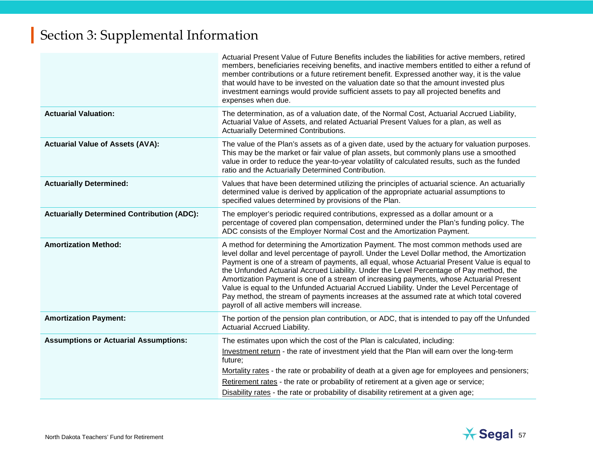|                                                   | Actuarial Present Value of Future Benefits includes the liabilities for active members, retired<br>members, beneficiaries receiving benefits, and inactive members entitled to either a refund of<br>member contributions or a future retirement benefit. Expressed another way, it is the value<br>that would have to be invested on the valuation date so that the amount invested plus<br>investment earnings would provide sufficient assets to pay all projected benefits and<br>expenses when due.                                                                                                                                                                                                           |
|---------------------------------------------------|--------------------------------------------------------------------------------------------------------------------------------------------------------------------------------------------------------------------------------------------------------------------------------------------------------------------------------------------------------------------------------------------------------------------------------------------------------------------------------------------------------------------------------------------------------------------------------------------------------------------------------------------------------------------------------------------------------------------|
| <b>Actuarial Valuation:</b>                       | The determination, as of a valuation date, of the Normal Cost, Actuarial Accrued Liability,<br>Actuarial Value of Assets, and related Actuarial Present Values for a plan, as well as<br>Actuarially Determined Contributions.                                                                                                                                                                                                                                                                                                                                                                                                                                                                                     |
| <b>Actuarial Value of Assets (AVA):</b>           | The value of the Plan's assets as of a given date, used by the actuary for valuation purposes.<br>This may be the market or fair value of plan assets, but commonly plans use a smoothed<br>value in order to reduce the year-to-year volatility of calculated results, such as the funded<br>ratio and the Actuarially Determined Contribution.                                                                                                                                                                                                                                                                                                                                                                   |
| <b>Actuarially Determined:</b>                    | Values that have been determined utilizing the principles of actuarial science. An actuarially<br>determined value is derived by application of the appropriate actuarial assumptions to<br>specified values determined by provisions of the Plan.                                                                                                                                                                                                                                                                                                                                                                                                                                                                 |
| <b>Actuarially Determined Contribution (ADC):</b> | The employer's periodic required contributions, expressed as a dollar amount or a<br>percentage of covered plan compensation, determined under the Plan's funding policy. The<br>ADC consists of the Employer Normal Cost and the Amortization Payment.                                                                                                                                                                                                                                                                                                                                                                                                                                                            |
| <b>Amortization Method:</b>                       | A method for determining the Amortization Payment. The most common methods used are<br>level dollar and level percentage of payroll. Under the Level Dollar method, the Amortization<br>Payment is one of a stream of payments, all equal, whose Actuarial Present Value is equal to<br>the Unfunded Actuarial Accrued Liability. Under the Level Percentage of Pay method, the<br>Amortization Payment is one of a stream of increasing payments, whose Actuarial Present<br>Value is equal to the Unfunded Actuarial Accrued Liability. Under the Level Percentage of<br>Pay method, the stream of payments increases at the assumed rate at which total covered<br>payroll of all active members will increase. |
| <b>Amortization Payment:</b>                      | The portion of the pension plan contribution, or ADC, that is intended to pay off the Unfunded<br>Actuarial Accrued Liability.                                                                                                                                                                                                                                                                                                                                                                                                                                                                                                                                                                                     |
| <b>Assumptions or Actuarial Assumptions:</b>      | The estimates upon which the cost of the Plan is calculated, including:<br>Investment return - the rate of investment yield that the Plan will earn over the long-term<br>future;<br>Mortality rates - the rate or probability of death at a given age for employees and pensioners;<br>Retirement rates - the rate or probability of retirement at a given age or service;<br>Disability rates - the rate or probability of disability retirement at a given age;                                                                                                                                                                                                                                                 |

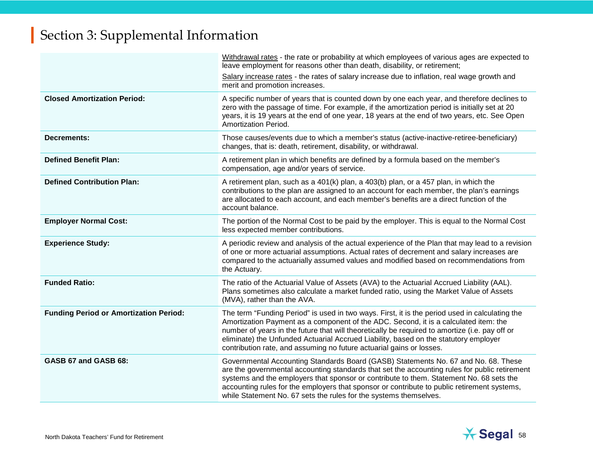|                                               | Withdrawal rates - the rate or probability at which employees of various ages are expected to<br>leave employment for reasons other than death, disability, or retirement;<br>Salary increase rates - the rates of salary increase due to inflation, real wage growth and<br>merit and promotion increases.                                                                                                                                              |
|-----------------------------------------------|----------------------------------------------------------------------------------------------------------------------------------------------------------------------------------------------------------------------------------------------------------------------------------------------------------------------------------------------------------------------------------------------------------------------------------------------------------|
| <b>Closed Amortization Period:</b>            | A specific number of years that is counted down by one each year, and therefore declines to<br>zero with the passage of time. For example, if the amortization period is initially set at 20<br>years, it is 19 years at the end of one year, 18 years at the end of two years, etc. See Open<br>Amortization Period.                                                                                                                                    |
| <b>Decrements:</b>                            | Those causes/events due to which a member's status (active-inactive-retiree-beneficiary)<br>changes, that is: death, retirement, disability, or withdrawal.                                                                                                                                                                                                                                                                                              |
| <b>Defined Benefit Plan:</b>                  | A retirement plan in which benefits are defined by a formula based on the member's<br>compensation, age and/or years of service.                                                                                                                                                                                                                                                                                                                         |
| <b>Defined Contribution Plan:</b>             | A retirement plan, such as a 401(k) plan, a 403(b) plan, or a 457 plan, in which the<br>contributions to the plan are assigned to an account for each member, the plan's earnings<br>are allocated to each account, and each member's benefits are a direct function of the<br>account balance.                                                                                                                                                          |
| <b>Employer Normal Cost:</b>                  | The portion of the Normal Cost to be paid by the employer. This is equal to the Normal Cost<br>less expected member contributions.                                                                                                                                                                                                                                                                                                                       |
| <b>Experience Study:</b>                      | A periodic review and analysis of the actual experience of the Plan that may lead to a revision<br>of one or more actuarial assumptions. Actual rates of decrement and salary increases are<br>compared to the actuarially assumed values and modified based on recommendations from<br>the Actuary.                                                                                                                                                     |
| <b>Funded Ratio:</b>                          | The ratio of the Actuarial Value of Assets (AVA) to the Actuarial Accrued Liability (AAL).<br>Plans sometimes also calculate a market funded ratio, using the Market Value of Assets<br>(MVA), rather than the AVA.                                                                                                                                                                                                                                      |
| <b>Funding Period or Amortization Period:</b> | The term "Funding Period" is used in two ways. First, it is the period used in calculating the<br>Amortization Payment as a component of the ADC. Second, it is a calculated item: the<br>number of years in the future that will theoretically be required to amortize (i.e. pay off or<br>eliminate) the Unfunded Actuarial Accrued Liability, based on the statutory employer<br>contribution rate, and assuming no future actuarial gains or losses. |
| GASB 67 and GASB 68:                          | Governmental Accounting Standards Board (GASB) Statements No. 67 and No. 68. These<br>are the governmental accounting standards that set the accounting rules for public retirement<br>systems and the employers that sponsor or contribute to them. Statement No. 68 sets the<br>accounting rules for the employers that sponsor or contribute to public retirement systems,<br>while Statement No. 67 sets the rules for the systems themselves.       |

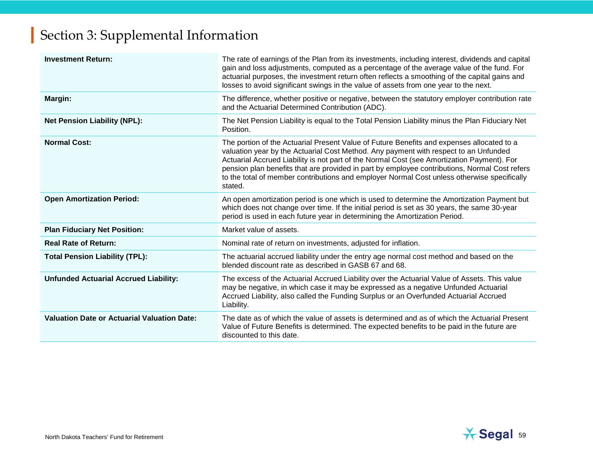| <b>Investment Return:</b>                          | The rate of earnings of the Plan from its investments, including interest, dividends and capital<br>gain and loss adjustments, computed as a percentage of the average value of the fund. For<br>actuarial purposes, the investment return often reflects a smoothing of the capital gains and<br>losses to avoid significant swings in the value of assets from one year to the next.                                                                                                     |
|----------------------------------------------------|--------------------------------------------------------------------------------------------------------------------------------------------------------------------------------------------------------------------------------------------------------------------------------------------------------------------------------------------------------------------------------------------------------------------------------------------------------------------------------------------|
| Margin:                                            | The difference, whether positive or negative, between the statutory employer contribution rate<br>and the Actuarial Determined Contribution (ADC).                                                                                                                                                                                                                                                                                                                                         |
| <b>Net Pension Liability (NPL):</b>                | The Net Pension Liability is equal to the Total Pension Liability minus the Plan Fiduciary Net<br>Position.                                                                                                                                                                                                                                                                                                                                                                                |
| <b>Normal Cost:</b>                                | The portion of the Actuarial Present Value of Future Benefits and expenses allocated to a<br>valuation year by the Actuarial Cost Method. Any payment with respect to an Unfunded<br>Actuarial Accrued Liability is not part of the Normal Cost (see Amortization Payment). For<br>pension plan benefits that are provided in part by employee contributions, Normal Cost refers<br>to the total of member contributions and employer Normal Cost unless otherwise specifically<br>stated. |
| <b>Open Amortization Period:</b>                   | An open amortization period is one which is used to determine the Amortization Payment but<br>which does not change over time. If the initial period is set as 30 years, the same 30-year<br>period is used in each future year in determining the Amortization Period.                                                                                                                                                                                                                    |
| <b>Plan Fiduciary Net Position:</b>                | Market value of assets.                                                                                                                                                                                                                                                                                                                                                                                                                                                                    |
| <b>Real Rate of Return:</b>                        | Nominal rate of return on investments, adjusted for inflation.                                                                                                                                                                                                                                                                                                                                                                                                                             |
| <b>Total Pension Liability (TPL):</b>              | The actuarial accrued liability under the entry age normal cost method and based on the<br>blended discount rate as described in GASB 67 and 68.                                                                                                                                                                                                                                                                                                                                           |
| <b>Unfunded Actuarial Accrued Liability:</b>       | The excess of the Actuarial Accrued Liability over the Actuarial Value of Assets. This value<br>may be negative, in which case it may be expressed as a negative Unfunded Actuarial<br>Accrued Liability, also called the Funding Surplus or an Overfunded Actuarial Accrued<br>Liability.                                                                                                                                                                                                 |
| <b>Valuation Date or Actuarial Valuation Date:</b> | The date as of which the value of assets is determined and as of which the Actuarial Present<br>Value of Future Benefits is determined. The expected benefits to be paid in the future are<br>discounted to this date.                                                                                                                                                                                                                                                                     |

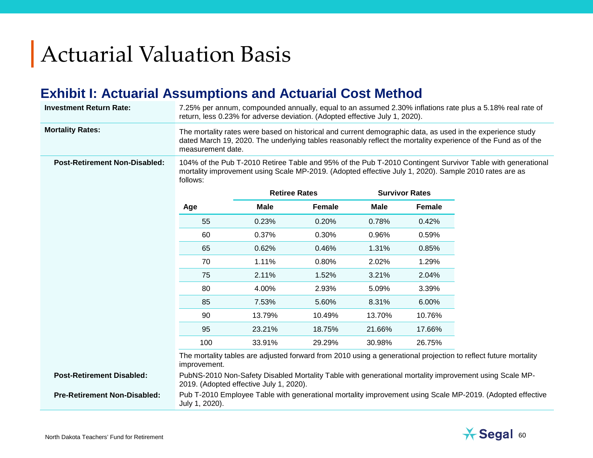# Actuarial Valuation Basis

## **Exhibit I: Actuarial Assumptions and Actuarial Cost Method**

| <b>Investment Return Rate:</b>       | 7.25% per annum, compounded annually, equal to an assumed 2.30% inflations rate plus a 5.18% real rate of<br>return, less 0.23% for adverse deviation. (Adopted effective July 1, 2020).                                                         |                      |        |                       |               |                                                                                                                 |  |  |
|--------------------------------------|--------------------------------------------------------------------------------------------------------------------------------------------------------------------------------------------------------------------------------------------------|----------------------|--------|-----------------------|---------------|-----------------------------------------------------------------------------------------------------------------|--|--|
| <b>Mortality Rates:</b>              | The mortality rates were based on historical and current demographic data, as used in the experience study<br>dated March 19, 2020. The underlying tables reasonably reflect the mortality experience of the Fund as of the<br>measurement date. |                      |        |                       |               |                                                                                                                 |  |  |
| <b>Post-Retirement Non-Disabled:</b> | 104% of the Pub T-2010 Retiree Table and 95% of the Pub T-2010 Contingent Survivor Table with generational<br>mortality improvement using Scale MP-2019. (Adopted effective July 1, 2020). Sample 2010 rates are as<br>follows:                  |                      |        |                       |               |                                                                                                                 |  |  |
|                                      |                                                                                                                                                                                                                                                  | <b>Retiree Rates</b> |        | <b>Survivor Rates</b> |               |                                                                                                                 |  |  |
|                                      | Age                                                                                                                                                                                                                                              | <b>Male</b>          | Female | <b>Male</b>           | <b>Female</b> |                                                                                                                 |  |  |
|                                      | 55                                                                                                                                                                                                                                               | 0.23%                | 0.20%  | 0.78%                 | 0.42%         |                                                                                                                 |  |  |
|                                      | 60                                                                                                                                                                                                                                               | 0.37%                | 0.30%  | 0.96%                 | 0.59%         |                                                                                                                 |  |  |
|                                      | 65                                                                                                                                                                                                                                               | 0.62%                | 0.46%  | 1.31%                 | 0.85%         |                                                                                                                 |  |  |
|                                      | 70                                                                                                                                                                                                                                               | 1.11%                | 0.80%  | 2.02%                 | 1.29%         |                                                                                                                 |  |  |
|                                      | 75                                                                                                                                                                                                                                               | 2.11%                | 1.52%  | 3.21%                 | 2.04%         |                                                                                                                 |  |  |
|                                      | 80                                                                                                                                                                                                                                               | 4.00%                | 2.93%  | 5.09%                 | 3.39%         |                                                                                                                 |  |  |
|                                      | 85                                                                                                                                                                                                                                               | 7.53%                | 5.60%  | 8.31%                 | 6.00%         |                                                                                                                 |  |  |
|                                      | 90                                                                                                                                                                                                                                               | 13.79%               | 10.49% | 13.70%                | 10.76%        |                                                                                                                 |  |  |
|                                      | 95                                                                                                                                                                                                                                               | 23.21%               | 18.75% | 21.66%                | 17.66%        |                                                                                                                 |  |  |
|                                      | 100                                                                                                                                                                                                                                              | 33.91%               | 29.29% | 30.98%                | 26.75%        |                                                                                                                 |  |  |
|                                      | improvement.                                                                                                                                                                                                                                     |                      |        |                       |               | The mortality tables are adjusted forward from 2010 using a generational projection to reflect future mortality |  |  |
| <b>Post-Retirement Disabled:</b>     | PubNS-2010 Non-Safety Disabled Mortality Table with generational mortality improvement using Scale MP-<br>2019. (Adopted effective July 1, 2020).                                                                                                |                      |        |                       |               |                                                                                                                 |  |  |
| <b>Pre-Retirement Non-Disabled:</b>  | July 1, 2020).                                                                                                                                                                                                                                   |                      |        |                       |               | Pub T-2010 Employee Table with generational mortality improvement using Scale MP-2019. (Adopted effective       |  |  |

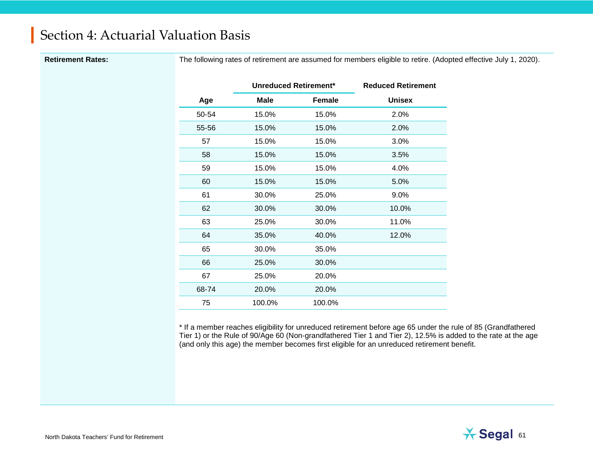Retirement Rates: The following rates of retirement are assumed for members eligible to retire. (Adopted effective July 1, 2020).

|       | <b>Unreduced Retirement*</b> |               | <b>Reduced Retirement</b> |
|-------|------------------------------|---------------|---------------------------|
| Age   | Male                         | <b>Female</b> | <b>Unisex</b>             |
| 50-54 | 15.0%                        | 15.0%         | 2.0%                      |
| 55-56 | 15.0%                        | 15.0%         | 2.0%                      |
| 57    | 15.0%                        | 15.0%         | 3.0%                      |
| 58    | 15.0%                        | 15.0%         | 3.5%                      |
| 59    | 15.0%                        | 15.0%         | 4.0%                      |
| 60    | 15.0%                        | 15.0%         | 5.0%                      |
| 61    | 30.0%                        | 25.0%         | $9.0\%$                   |
| 62    | 30.0%                        | 30.0%         | 10.0%                     |
| 63    | 25.0%                        | 30.0%         | 11.0%                     |
| 64    | 35.0%                        | 40.0%         | 12.0%                     |
| 65    | 30.0%                        | 35.0%         |                           |
| 66    | 25.0%                        | 30.0%         |                           |
| 67    | 25.0%                        | 20.0%         |                           |
| 68-74 | 20.0%                        | 20.0%         |                           |
| 75    | 100.0%                       | 100.0%        |                           |

\* If a member reaches eligibility for unreduced retirement before age 65 under the rule of 85 (Grandfathered Tier 1) or the Rule of 90/Age 60 (Non-grandfathered Tier 1 and Tier 2), 12.5% is added to the rate at the age (and only this age) the member becomes first eligible for an unreduced retirement benefit.

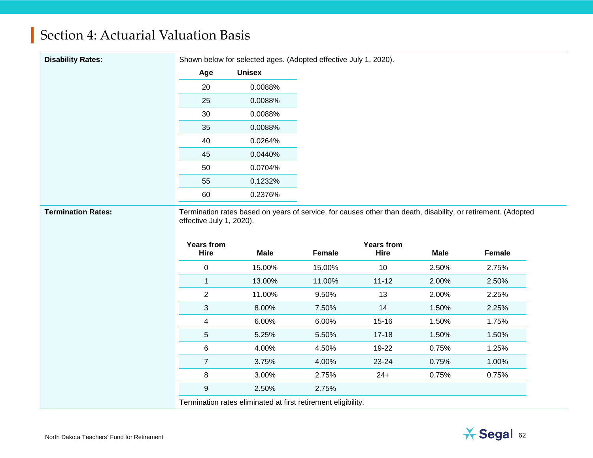**Disability Rates:** Shown below for selected ages. (Adopted effective July 1, 2020).

| Age | <b>Unisex</b> |
|-----|---------------|
| 20  | 0.0088%       |
| 25  | 0.0088%       |
| 30  | 0.0088%       |
| 35  | 0.0088%       |
| 40  | 0.0264%       |
| 45  | 0.0440%       |
| 50  | 0.0704%       |
| 55  | 0.1232%       |
| 60  | 0.2376%       |

Termination Rates: Termination rates based on years of service, for causes other than death, disability, or retirement. (Adopted effective July 1, 2020).

| <b>Years from</b><br><b>Hire</b> | Male   | Female                                                       | <b>Years from</b><br><b>Hire</b> | <b>Male</b> | <b>Female</b> |
|----------------------------------|--------|--------------------------------------------------------------|----------------------------------|-------------|---------------|
| 0                                | 15.00% | 15.00%                                                       | 10                               | 2.50%       | 2.75%         |
|                                  |        |                                                              |                                  |             |               |
| $\mathbf{1}$                     | 13.00% | 11.00%                                                       | $11 - 12$                        | 2.00%       | 2.50%         |
| $\overline{2}$                   | 11.00% | 9.50%                                                        | 13                               | 2.00%       | 2.25%         |
| 3                                | 8.00%  | 7.50%                                                        | 14                               | 1.50%       | 2.25%         |
| 4                                | 6.00%  | 6.00%                                                        | 15-16                            | 1.50%       | 1.75%         |
| 5                                | 5.25%  | 5.50%                                                        | $17 - 18$                        | 1.50%       | 1.50%         |
| 6                                | 4.00%  | 4.50%                                                        | 19-22                            | 0.75%       | 1.25%         |
| 7                                | 3.75%  | 4.00%                                                        | $23 - 24$                        | 0.75%       | 1.00%         |
| 8                                | 3.00%  | 2.75%                                                        | $24+$                            | 0.75%       | 0.75%         |
| 9                                | 2.50%  | 2.75%                                                        |                                  |             |               |
|                                  |        | Termination rates eliminated at first retirement eligibility |                                  |             |               |

Termination rates eliminated at first retirement eligibility.

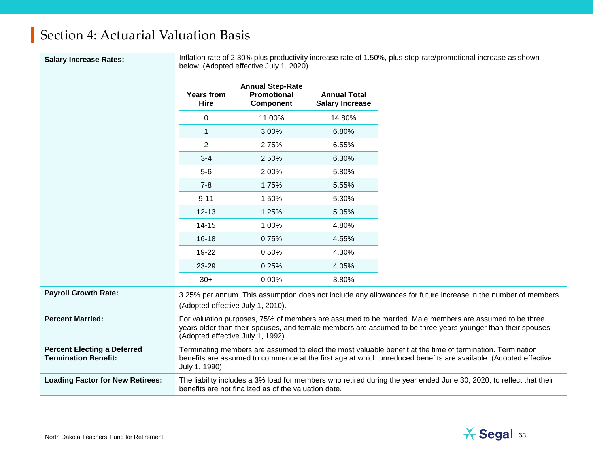**Salary Increase Rates:** Inflation rate of 2.30% plus productivity increase rate of 1.50%, plus step-rate/promotional increase as shown below. (Adopted effective July 1, 2020).

|                                                                   | <b>Years from</b><br><b>Hire</b>  | <b>Annual Step-Rate</b><br><b>Promotional</b><br><b>Component</b> | <b>Annual Total</b><br><b>Salary Increase</b> |                                                                                                                                                                                                                               |
|-------------------------------------------------------------------|-----------------------------------|-------------------------------------------------------------------|-----------------------------------------------|-------------------------------------------------------------------------------------------------------------------------------------------------------------------------------------------------------------------------------|
|                                                                   | 0                                 | 11.00%                                                            | 14.80%                                        |                                                                                                                                                                                                                               |
|                                                                   | 1                                 | 3.00%                                                             | 6.80%                                         |                                                                                                                                                                                                                               |
|                                                                   | $\overline{2}$                    | 2.75%                                                             | 6.55%                                         |                                                                                                                                                                                                                               |
|                                                                   | $3 - 4$                           | 2.50%                                                             | 6.30%                                         |                                                                                                                                                                                                                               |
|                                                                   | $5-6$                             | 2.00%                                                             | 5.80%                                         |                                                                                                                                                                                                                               |
|                                                                   | $7 - 8$                           | 1.75%                                                             | 5.55%                                         |                                                                                                                                                                                                                               |
|                                                                   | $9 - 11$                          | 1.50%                                                             | 5.30%                                         |                                                                                                                                                                                                                               |
|                                                                   | $12 - 13$                         | 1.25%                                                             | 5.05%                                         |                                                                                                                                                                                                                               |
|                                                                   | $14 - 15$                         | 1.00%                                                             | 4.80%                                         |                                                                                                                                                                                                                               |
|                                                                   | $16 - 18$                         | 0.75%                                                             | 4.55%                                         |                                                                                                                                                                                                                               |
|                                                                   | $19-22$                           | 0.50%                                                             | 4.30%                                         |                                                                                                                                                                                                                               |
|                                                                   | 23-29                             | 0.25%                                                             | 4.05%                                         |                                                                                                                                                                                                                               |
|                                                                   | $30+$                             | 0.00%                                                             | 3.80%                                         |                                                                                                                                                                                                                               |
| <b>Payroll Growth Rate:</b>                                       | (Adopted effective July 1, 2010). |                                                                   |                                               | 3.25% per annum. This assumption does not include any allowances for future increase in the number of members.                                                                                                                |
| <b>Percent Married:</b>                                           | (Adopted effective July 1, 1992). |                                                                   |                                               | For valuation purposes, 75% of members are assumed to be married. Male members are assumed to be three<br>years older than their spouses, and female members are assumed to be three years younger than their spouses.        |
| <b>Percent Electing a Deferred</b><br><b>Termination Benefit:</b> | July 1, 1990).                    |                                                                   |                                               | Terminating members are assumed to elect the most valuable benefit at the time of termination. Termination<br>benefits are assumed to commence at the first age at which unreduced benefits are available. (Adopted effective |
| <b>Loading Factor for New Retirees:</b>                           |                                   | benefits are not finalized as of the valuation date.              |                                               | The liability includes a 3% load for members who retired during the year ended June 30, 2020, to reflect that their                                                                                                           |

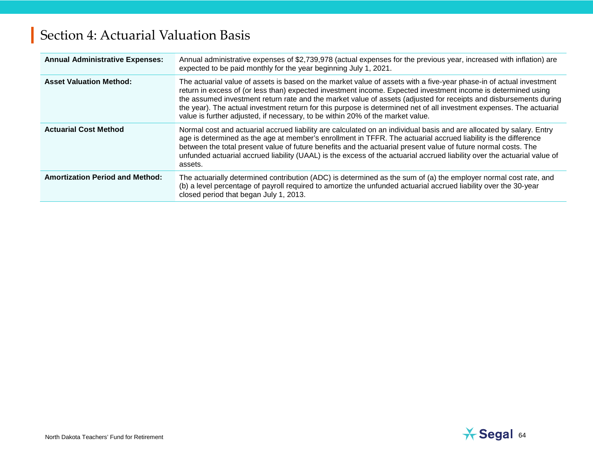| <b>Annual Administrative Expenses:</b> | Annual administrative expenses of \$2,739,978 (actual expenses for the previous year, increased with inflation) are<br>expected to be paid monthly for the year beginning July 1, 2021.                                                                                                                                                                                                                                                                                                                                                                             |
|----------------------------------------|---------------------------------------------------------------------------------------------------------------------------------------------------------------------------------------------------------------------------------------------------------------------------------------------------------------------------------------------------------------------------------------------------------------------------------------------------------------------------------------------------------------------------------------------------------------------|
| <b>Asset Valuation Method:</b>         | The actuarial value of assets is based on the market value of assets with a five-year phase-in of actual investment<br>return in excess of (or less than) expected investment income. Expected investment income is determined using<br>the assumed investment return rate and the market value of assets (adjusted for receipts and disbursements during<br>the year). The actual investment return for this purpose is determined net of all investment expenses. The actuarial<br>value is further adjusted, if necessary, to be within 20% of the market value. |
| <b>Actuarial Cost Method</b>           | Normal cost and actuarial accrued liability are calculated on an individual basis and are allocated by salary. Entry<br>age is determined as the age at member's enrollment in TFFR. The actuarial accrued liability is the difference<br>between the total present value of future benefits and the actuarial present value of future normal costs. The<br>unfunded actuarial accrued liability (UAAL) is the excess of the actuarial accrued liability over the actuarial value of<br>assets.                                                                     |
| <b>Amortization Period and Method:</b> | The actuarially determined contribution (ADC) is determined as the sum of (a) the employer normal cost rate, and<br>(b) a level percentage of payroll required to amortize the unfunded actuarial accrued liability over the 30-year<br>closed period that began July 1, 2013.                                                                                                                                                                                                                                                                                      |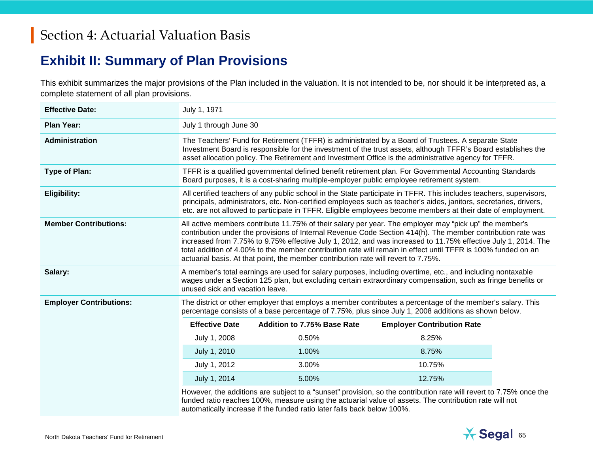## **Exhibit II: Summary of Plan Provisions**

This exhibit summarizes the major provisions of the Plan included in the valuation. It is not intended to be, nor should it be interpreted as, a complete statement of all plan provisions.

| <b>Effective Date:</b>         | July 1, 1971                                                                                                                                                                                                                                                                                                                                                                                                                                                                                                                                  |                                                                                                                                                                                                                                                                                                                                                        |                                   |  |  |  |  |
|--------------------------------|-----------------------------------------------------------------------------------------------------------------------------------------------------------------------------------------------------------------------------------------------------------------------------------------------------------------------------------------------------------------------------------------------------------------------------------------------------------------------------------------------------------------------------------------------|--------------------------------------------------------------------------------------------------------------------------------------------------------------------------------------------------------------------------------------------------------------------------------------------------------------------------------------------------------|-----------------------------------|--|--|--|--|
| <b>Plan Year:</b>              | July 1 through June 30                                                                                                                                                                                                                                                                                                                                                                                                                                                                                                                        |                                                                                                                                                                                                                                                                                                                                                        |                                   |  |  |  |  |
| Administration                 | The Teachers' Fund for Retirement (TFFR) is administrated by a Board of Trustees. A separate State<br>Investment Board is responsible for the investment of the trust assets, although TFFR's Board establishes the<br>asset allocation policy. The Retirement and Investment Office is the administrative agency for TFFR.                                                                                                                                                                                                                   |                                                                                                                                                                                                                                                                                                                                                        |                                   |  |  |  |  |
| <b>Type of Plan:</b>           | TFFR is a qualified governmental defined benefit retirement plan. For Governmental Accounting Standards<br>Board purposes, it is a cost-sharing multiple-employer public employee retirement system.                                                                                                                                                                                                                                                                                                                                          |                                                                                                                                                                                                                                                                                                                                                        |                                   |  |  |  |  |
| <b>Eligibility:</b>            |                                                                                                                                                                                                                                                                                                                                                                                                                                                                                                                                               | All certified teachers of any public school in the State participate in TFFR. This includes teachers, supervisors,<br>principals, administrators, etc. Non-certified employees such as teacher's aides, janitors, secretaries, drivers,<br>etc. are not allowed to participate in TFFR. Eligible employees become members at their date of employment. |                                   |  |  |  |  |
| <b>Member Contributions:</b>   | All active members contribute 11.75% of their salary per year. The employer may "pick up" the member's<br>contribution under the provisions of Internal Revenue Code Section 414(h). The member contribution rate was<br>increased from 7.75% to 9.75% effective July 1, 2012, and was increased to 11.75% effective July 1, 2014. The<br>total addition of 4.00% to the member contribution rate will remain in effect until TFFR is 100% funded on an<br>actuarial basis. At that point, the member contribution rate will revert to 7.75%. |                                                                                                                                                                                                                                                                                                                                                        |                                   |  |  |  |  |
| Salary:                        | A member's total earnings are used for salary purposes, including overtime, etc., and including nontaxable<br>wages under a Section 125 plan, but excluding certain extraordinary compensation, such as fringe benefits or<br>unused sick and vacation leave.                                                                                                                                                                                                                                                                                 |                                                                                                                                                                                                                                                                                                                                                        |                                   |  |  |  |  |
| <b>Employer Contributions:</b> |                                                                                                                                                                                                                                                                                                                                                                                                                                                                                                                                               | The district or other employer that employs a member contributes a percentage of the member's salary. This<br>percentage consists of a base percentage of 7.75%, plus since July 1, 2008 additions as shown below.                                                                                                                                     |                                   |  |  |  |  |
|                                | <b>Effective Date</b>                                                                                                                                                                                                                                                                                                                                                                                                                                                                                                                         | <b>Addition to 7.75% Base Rate</b>                                                                                                                                                                                                                                                                                                                     | <b>Employer Contribution Rate</b> |  |  |  |  |
|                                | July 1, 2008                                                                                                                                                                                                                                                                                                                                                                                                                                                                                                                                  | 0.50%                                                                                                                                                                                                                                                                                                                                                  | 8.25%                             |  |  |  |  |
|                                | July 1, 2010                                                                                                                                                                                                                                                                                                                                                                                                                                                                                                                                  | 1.00%                                                                                                                                                                                                                                                                                                                                                  | 8.75%                             |  |  |  |  |
|                                | July 1, 2012                                                                                                                                                                                                                                                                                                                                                                                                                                                                                                                                  | 3.00%                                                                                                                                                                                                                                                                                                                                                  | 10.75%                            |  |  |  |  |
|                                | 12.75%                                                                                                                                                                                                                                                                                                                                                                                                                                                                                                                                        |                                                                                                                                                                                                                                                                                                                                                        |                                   |  |  |  |  |
|                                | However, the additions are subject to a "sunset" provision, so the contribution rate will revert to 7.75% once the<br>funded ratio reaches 100%, measure using the actuarial value of assets. The contribution rate will not<br>automatically increase if the funded ratio later falls back below 100%.                                                                                                                                                                                                                                       |                                                                                                                                                                                                                                                                                                                                                        |                                   |  |  |  |  |

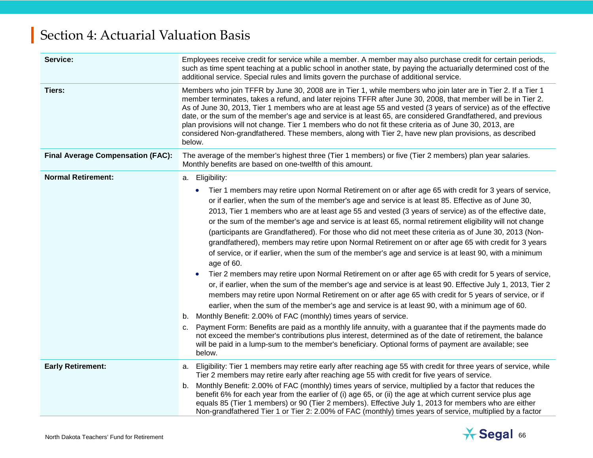| Service:                                 | Employees receive credit for service while a member. A member may also purchase credit for certain periods,<br>such as time spent teaching at a public school in another state, by paying the actuarially determined cost of the<br>additional service. Special rules and limits govern the purchase of additional service.                                                                                                                                                                                                                                                                                                                                                                                                                                                                                                                                                                                                                                                                                                                                                                                                                                                                                                                                                                                                                                                                                                                                                                                                                                                                                                                               |  |  |
|------------------------------------------|-----------------------------------------------------------------------------------------------------------------------------------------------------------------------------------------------------------------------------------------------------------------------------------------------------------------------------------------------------------------------------------------------------------------------------------------------------------------------------------------------------------------------------------------------------------------------------------------------------------------------------------------------------------------------------------------------------------------------------------------------------------------------------------------------------------------------------------------------------------------------------------------------------------------------------------------------------------------------------------------------------------------------------------------------------------------------------------------------------------------------------------------------------------------------------------------------------------------------------------------------------------------------------------------------------------------------------------------------------------------------------------------------------------------------------------------------------------------------------------------------------------------------------------------------------------------------------------------------------------------------------------------------------------|--|--|
| Tiers:                                   | Members who join TFFR by June 30, 2008 are in Tier 1, while members who join later are in Tier 2. If a Tier 1<br>member terminates, takes a refund, and later rejoins TFFR after June 30, 2008, that member will be in Tier 2.<br>As of June 30, 2013, Tier 1 members who are at least age 55 and vested (3 years of service) as of the effective<br>date, or the sum of the member's age and service is at least 65, are considered Grandfathered, and previous<br>plan provisions will not change. Tier 1 members who do not fit these criteria as of June 30, 2013, are<br>considered Non-grandfathered. These members, along with Tier 2, have new plan provisions, as described<br>below.                                                                                                                                                                                                                                                                                                                                                                                                                                                                                                                                                                                                                                                                                                                                                                                                                                                                                                                                                            |  |  |
| <b>Final Average Compensation (FAC):</b> | The average of the member's highest three (Tier 1 members) or five (Tier 2 members) plan year salaries.<br>Monthly benefits are based on one-twelfth of this amount.                                                                                                                                                                                                                                                                                                                                                                                                                                                                                                                                                                                                                                                                                                                                                                                                                                                                                                                                                                                                                                                                                                                                                                                                                                                                                                                                                                                                                                                                                      |  |  |
| <b>Normal Retirement:</b>                | a. Eligibility:                                                                                                                                                                                                                                                                                                                                                                                                                                                                                                                                                                                                                                                                                                                                                                                                                                                                                                                                                                                                                                                                                                                                                                                                                                                                                                                                                                                                                                                                                                                                                                                                                                           |  |  |
|                                          | Tier 1 members may retire upon Normal Retirement on or after age 65 with credit for 3 years of service,<br>or if earlier, when the sum of the member's age and service is at least 85. Effective as of June 30,<br>2013, Tier 1 members who are at least age 55 and vested (3 years of service) as of the effective date,<br>or the sum of the member's age and service is at least 65, normal retirement eligibility will not change<br>(participants are Grandfathered). For those who did not meet these criteria as of June 30, 2013 (Non-<br>grandfathered), members may retire upon Normal Retirement on or after age 65 with credit for 3 years<br>of service, or if earlier, when the sum of the member's age and service is at least 90, with a minimum<br>age of 60.<br>Tier 2 members may retire upon Normal Retirement on or after age 65 with credit for 5 years of service,<br>$\bullet$<br>or, if earlier, when the sum of the member's age and service is at least 90. Effective July 1, 2013, Tier 2<br>members may retire upon Normal Retirement on or after age 65 with credit for 5 years of service, or if<br>earlier, when the sum of the member's age and service is at least 90, with a minimum age of 60.<br>b. Monthly Benefit: 2.00% of FAC (monthly) times years of service.<br>Payment Form: Benefits are paid as a monthly life annuity, with a guarantee that if the payments made do<br>C.<br>not exceed the member's contributions plus interest, determined as of the date of retirement, the balance<br>will be paid in a lump-sum to the member's beneficiary. Optional forms of payment are available; see<br>below. |  |  |
| <b>Early Retirement:</b>                 | Eligibility: Tier 1 members may retire early after reaching age 55 with credit for three years of service, while<br>а.<br>Tier 2 members may retire early after reaching age 55 with credit for five years of service.                                                                                                                                                                                                                                                                                                                                                                                                                                                                                                                                                                                                                                                                                                                                                                                                                                                                                                                                                                                                                                                                                                                                                                                                                                                                                                                                                                                                                                    |  |  |
|                                          | Monthly Benefit: 2.00% of FAC (monthly) times years of service, multiplied by a factor that reduces the<br>b.<br>benefit 6% for each year from the earlier of (i) age 65, or (ii) the age at which current service plus age<br>equals 85 (Tier 1 members) or 90 (Tier 2 members). Effective July 1, 2013 for members who are either<br>Non-grandfathered Tier 1 or Tier 2: 2.00% of FAC (monthly) times years of service, multiplied by a factor                                                                                                                                                                                                                                                                                                                                                                                                                                                                                                                                                                                                                                                                                                                                                                                                                                                                                                                                                                                                                                                                                                                                                                                                          |  |  |

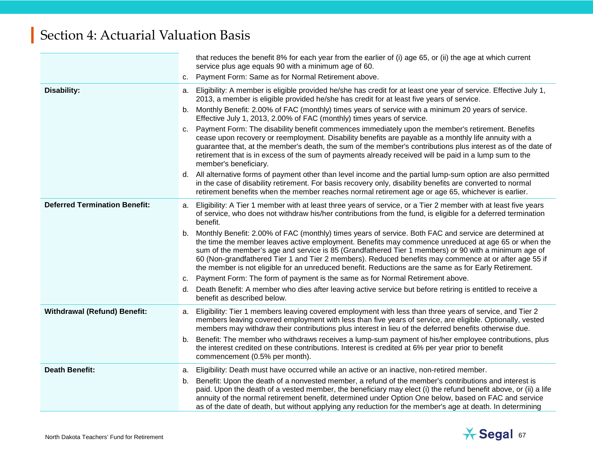|                                      |          | that reduces the benefit 8% for each year from the earlier of (i) age 65, or (ii) the age at which current<br>service plus age equals 90 with a minimum age of 60.                                                                                                                                                                                                                                                                                                                                                                          |
|--------------------------------------|----------|---------------------------------------------------------------------------------------------------------------------------------------------------------------------------------------------------------------------------------------------------------------------------------------------------------------------------------------------------------------------------------------------------------------------------------------------------------------------------------------------------------------------------------------------|
|                                      | c.       | Payment Form: Same as for Normal Retirement above.                                                                                                                                                                                                                                                                                                                                                                                                                                                                                          |
| Disability:                          |          | a. Eligibility: A member is eligible provided he/she has credit for at least one year of service. Effective July 1,<br>2013, a member is eligible provided he/she has credit for at least five years of service.                                                                                                                                                                                                                                                                                                                            |
|                                      |          | b. Monthly Benefit: 2.00% of FAC (monthly) times years of service with a minimum 20 years of service.<br>Effective July 1, 2013, 2.00% of FAC (monthly) times years of service.                                                                                                                                                                                                                                                                                                                                                             |
|                                      |          | c. Payment Form: The disability benefit commences immediately upon the member's retirement. Benefits<br>cease upon recovery or reemployment. Disability benefits are payable as a monthly life annuity with a<br>guarantee that, at the member's death, the sum of the member's contributions plus interest as of the date of<br>retirement that is in excess of the sum of payments already received will be paid in a lump sum to the<br>member's beneficiary.                                                                            |
|                                      |          | d. All alternative forms of payment other than level income and the partial lump-sum option are also permitted<br>in the case of disability retirement. For basis recovery only, disability benefits are converted to normal<br>retirement benefits when the member reaches normal retirement age or age 65, whichever is earlier.                                                                                                                                                                                                          |
| <b>Deferred Termination Benefit:</b> | а.       | Eligibility: A Tier 1 member with at least three years of service, or a Tier 2 member with at least five years<br>of service, who does not withdraw his/her contributions from the fund, is eligible for a deferred termination<br>benefit.                                                                                                                                                                                                                                                                                                 |
|                                      | b.       | Monthly Benefit: 2.00% of FAC (monthly) times years of service. Both FAC and service are determined at<br>the time the member leaves active employment. Benefits may commence unreduced at age 65 or when the<br>sum of the member's age and service is 85 (Grandfathered Tier 1 members) or 90 with a minimum age of<br>60 (Non-grandfathered Tier 1 and Tier 2 members). Reduced benefits may commence at or after age 55 if<br>the member is not eligible for an unreduced benefit. Reductions are the same as for Early Retirement.     |
|                                      | c.       | Payment Form: The form of payment is the same as for Normal Retirement above.                                                                                                                                                                                                                                                                                                                                                                                                                                                               |
|                                      | d.       | Death Benefit: A member who dies after leaving active service but before retiring is entitled to receive a<br>benefit as described below.                                                                                                                                                                                                                                                                                                                                                                                                   |
| <b>Withdrawal (Refund) Benefit:</b>  | а.       | Eligibility: Tier 1 members leaving covered employment with less than three years of service, and Tier 2<br>members leaving covered employment with less than five years of service, are eligible. Optionally, vested<br>members may withdraw their contributions plus interest in lieu of the deferred benefits otherwise due.                                                                                                                                                                                                             |
|                                      | b.       | Benefit: The member who withdraws receives a lump-sum payment of his/her employee contributions, plus<br>the interest credited on these contributions. Interest is credited at 6% per year prior to benefit<br>commencement (0.5% per month).                                                                                                                                                                                                                                                                                               |
| <b>Death Benefit:</b>                | а.<br>b. | Eligibility: Death must have occurred while an active or an inactive, non-retired member.<br>Benefit: Upon the death of a nonvested member, a refund of the member's contributions and interest is<br>paid. Upon the death of a vested member, the beneficiary may elect (i) the refund benefit above, or (ii) a life<br>annuity of the normal retirement benefit, determined under Option One below, based on FAC and service<br>as of the date of death, but without applying any reduction for the member's age at death. In determining |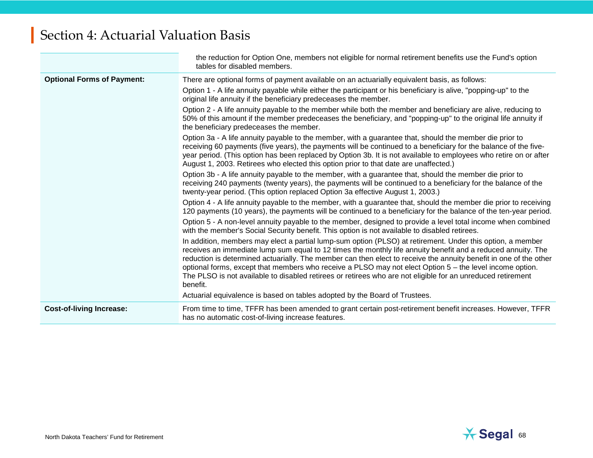|                                   | the reduction for Option One, members not eligible for normal retirement benefits use the Fund's option<br>tables for disabled members.                                                                                                                                                                                                                                                                                                                                                                                                                                                |
|-----------------------------------|----------------------------------------------------------------------------------------------------------------------------------------------------------------------------------------------------------------------------------------------------------------------------------------------------------------------------------------------------------------------------------------------------------------------------------------------------------------------------------------------------------------------------------------------------------------------------------------|
| <b>Optional Forms of Payment:</b> | There are optional forms of payment available on an actuarially equivalent basis, as follows:                                                                                                                                                                                                                                                                                                                                                                                                                                                                                          |
|                                   | Option 1 - A life annuity payable while either the participant or his beneficiary is alive, "popping-up" to the<br>original life annuity if the beneficiary predeceases the member.                                                                                                                                                                                                                                                                                                                                                                                                    |
|                                   | Option 2 - A life annuity payable to the member while both the member and beneficiary are alive, reducing to<br>50% of this amount if the member predeceases the beneficiary, and "popping-up" to the original life annuity if<br>the beneficiary predeceases the member.                                                                                                                                                                                                                                                                                                              |
|                                   | Option 3a - A life annuity payable to the member, with a guarantee that, should the member die prior to<br>receiving 60 payments (five years), the payments will be continued to a beneficiary for the balance of the five-<br>year period. (This option has been replaced by Option 3b. It is not available to employees who retire on or after<br>August 1, 2003. Retirees who elected this option prior to that date are unaffected.)                                                                                                                                               |
|                                   | Option 3b - A life annuity payable to the member, with a guarantee that, should the member die prior to<br>receiving 240 payments (twenty years), the payments will be continued to a beneficiary for the balance of the<br>twenty-year period. (This option replaced Option 3a effective August 1, 2003.)                                                                                                                                                                                                                                                                             |
|                                   | Option 4 - A life annuity payable to the member, with a guarantee that, should the member die prior to receiving<br>120 payments (10 years), the payments will be continued to a beneficiary for the balance of the ten-year period.                                                                                                                                                                                                                                                                                                                                                   |
|                                   | Option 5 - A non-level annuity payable to the member, designed to provide a level total income when combined<br>with the member's Social Security benefit. This option is not available to disabled retirees.                                                                                                                                                                                                                                                                                                                                                                          |
|                                   | In addition, members may elect a partial lump-sum option (PLSO) at retirement. Under this option, a member<br>receives an immediate lump sum equal to 12 times the monthly life annuity benefit and a reduced annuity. The<br>reduction is determined actuarially. The member can then elect to receive the annuity benefit in one of the other<br>optional forms, except that members who receive a PLSO may not elect Option 5 - the level income option.<br>The PLSO is not available to disabled retirees or retirees who are not eligible for an unreduced retirement<br>benefit. |
|                                   | Actuarial equivalence is based on tables adopted by the Board of Trustees.                                                                                                                                                                                                                                                                                                                                                                                                                                                                                                             |
| <b>Cost-of-living Increase:</b>   | From time to time, TFFR has been amended to grant certain post-retirement benefit increases. However, TFFR<br>has no automatic cost-of-living increase features.                                                                                                                                                                                                                                                                                                                                                                                                                       |

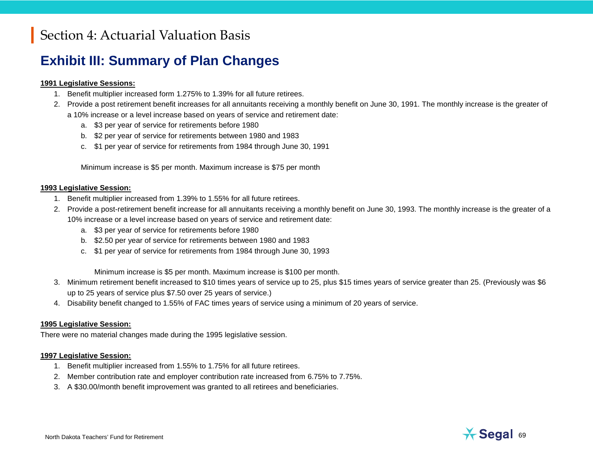## **Exhibit III: Summary of Plan Changes**

### **1991 Legislative Sessions:**

- 1. Benefit multiplier increased form 1.275% to 1.39% for all future retirees.
- 2. Provide a post retirement benefit increases for all annuitants receiving a monthly benefit on June 30, 1991. The monthly increase is the greater of a 10% increase or a level increase based on years of service and retirement date:
	- a. \$3 per year of service for retirements before 1980
	- b. \$2 per year of service for retirements between 1980 and 1983
	- c. \$1 per year of service for retirements from 1984 through June 30, 1991

Minimum increase is \$5 per month. Maximum increase is \$75 per month

### **1993 Legislative Session:**

- 1. Benefit multiplier increased from 1.39% to 1.55% for all future retirees.
- 2. Provide a post-retirement benefit increase for all annuitants receiving a monthly benefit on June 30, 1993. The monthly increase is the greater of a 10% increase or a level increase based on years of service and retirement date:
	- a. \$3 per year of service for retirements before 1980
	- b. \$2.50 per year of service for retirements between 1980 and 1983
	- c. \$1 per year of service for retirements from 1984 through June 30, 1993

Minimum increase is \$5 per month. Maximum increase is \$100 per month.

- 3. Minimum retirement benefit increased to \$10 times years of service up to 25, plus \$15 times years of service greater than 25. (Previously was \$6 up to 25 years of service plus \$7.50 over 25 years of service.)
- 4. Disability benefit changed to 1.55% of FAC times years of service using a minimum of 20 years of service.

### **1995 Legislative Session:**

There were no material changes made during the 1995 legislative session.

### **1997 Legislative Session:**

- 1. Benefit multiplier increased from 1.55% to 1.75% for all future retirees.
- 2. Member contribution rate and employer contribution rate increased from 6.75% to 7.75%.
- 3. A \$30.00/month benefit improvement was granted to all retirees and beneficiaries.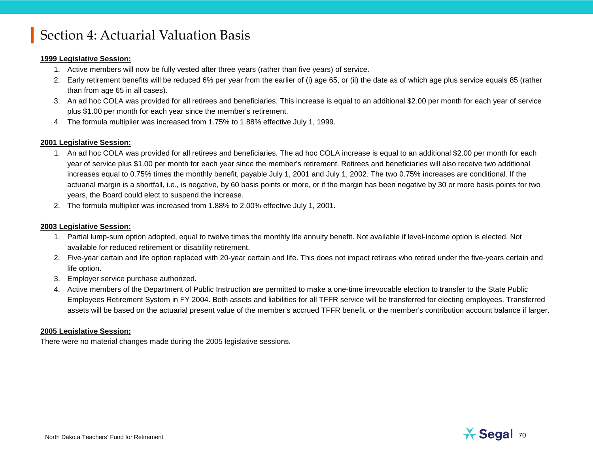### **1999 Legislative Session:**

- 1. Active members will now be fully vested after three years (rather than five years) of service.
- 2. Early retirement benefits will be reduced 6% per year from the earlier of (i) age 65, or (ii) the date as of which age plus service equals 85 (rather than from age 65 in all cases).
- 3. An ad hoc COLA was provided for all retirees and beneficiaries. This increase is equal to an additional \$2.00 per month for each year of service plus \$1.00 per month for each year since the member's retirement.
- 4. The formula multiplier was increased from 1.75% to 1.88% effective July 1, 1999.

### **2001 Legislative Session:**

- 1. An ad hoc COLA was provided for all retirees and beneficiaries. The ad hoc COLA increase is equal to an additional \$2.00 per month for each year of service plus \$1.00 per month for each year since the member's retirement. Retirees and beneficiaries will also receive two additional increases equal to 0.75% times the monthly benefit, payable July 1, 2001 and July 1, 2002. The two 0.75% increases are conditional. If the actuarial margin is a shortfall, i.e., is negative, by 60 basis points or more, or if the margin has been negative by 30 or more basis points for two years, the Board could elect to suspend the increase.
- 2. The formula multiplier was increased from 1.88% to 2.00% effective July 1, 2001.

### **2003 Legislative Session:**

- 1. Partial lump-sum option adopted, equal to twelve times the monthly life annuity benefit. Not available if level-income option is elected. Not available for reduced retirement or disability retirement.
- 2. Five-year certain and life option replaced with 20-year certain and life. This does not impact retirees who retired under the five-years certain and life option.
- 3. Employer service purchase authorized.
- 4. Active members of the Department of Public Instruction are permitted to make a one-time irrevocable election to transfer to the State Public Employees Retirement System in FY 2004. Both assets and liabilities for all TFFR service will be transferred for electing employees. Transferred assets will be based on the actuarial present value of the member's accrued TFFR benefit, or the member's contribution account balance if larger.

### **2005 Legislative Session:**

There were no material changes made during the 2005 legislative sessions.

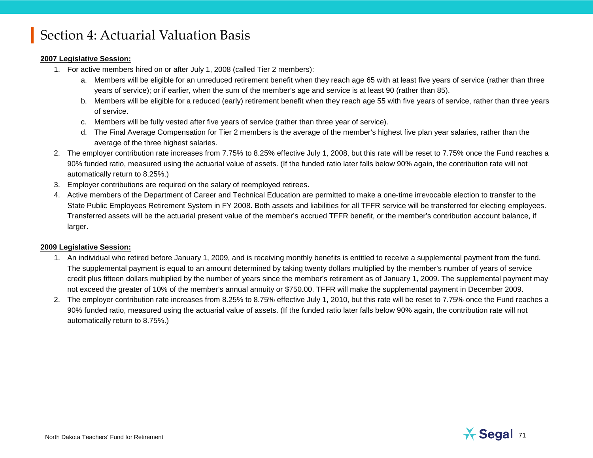### **2007 Legislative Session:**

- 1. For active members hired on or after July 1, 2008 (called Tier 2 members):
	- a. Members will be eligible for an unreduced retirement benefit when they reach age 65 with at least five years of service (rather than three years of service); or if earlier, when the sum of the member's age and service is at least 90 (rather than 85).
	- b. Members will be eligible for a reduced (early) retirement benefit when they reach age 55 with five years of service, rather than three years of service.
	- c. Members will be fully vested after five years of service (rather than three year of service).
	- d. The Final Average Compensation for Tier 2 members is the average of the member's highest five plan year salaries, rather than the average of the three highest salaries.
- 2. The employer contribution rate increases from 7.75% to 8.25% effective July 1, 2008, but this rate will be reset to 7.75% once the Fund reaches a 90% funded ratio, measured using the actuarial value of assets. (If the funded ratio later falls below 90% again, the contribution rate will not automatically return to 8.25%.)
- 3. Employer contributions are required on the salary of reemployed retirees.
- 4. Active members of the Department of Career and Technical Education are permitted to make a one-time irrevocable election to transfer to the State Public Employees Retirement System in FY 2008. Both assets and liabilities for all TFFR service will be transferred for electing employees. Transferred assets will be the actuarial present value of the member's accrued TFFR benefit, or the member's contribution account balance, if larger.

### **2009 Legislative Session:**

- 1. An individual who retired before January 1, 2009, and is receiving monthly benefits is entitled to receive a supplemental payment from the fund. The supplemental payment is equal to an amount determined by taking twenty dollars multiplied by the member's number of years of service credit plus fifteen dollars multiplied by the number of years since the member's retirement as of January 1, 2009. The supplemental payment may not exceed the greater of 10% of the member's annual annuity or \$750.00. TFFR will make the supplemental payment in December 2009.
- 2. The employer contribution rate increases from 8.25% to 8.75% effective July 1, 2010, but this rate will be reset to 7.75% once the Fund reaches a 90% funded ratio, measured using the actuarial value of assets. (If the funded ratio later falls below 90% again, the contribution rate will not automatically return to 8.75%.)

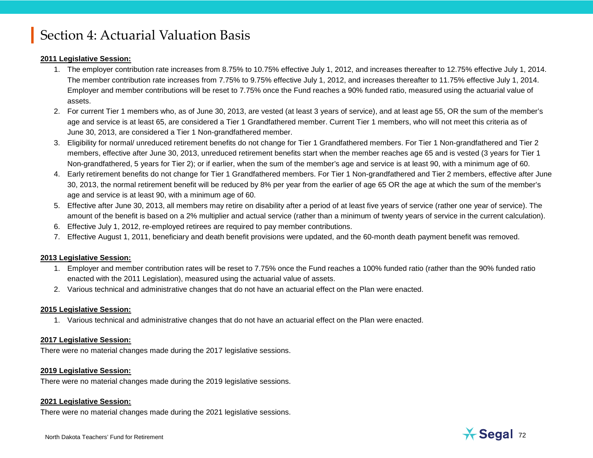### **2011 Legislative Session:**

- 1. The employer contribution rate increases from 8.75% to 10.75% effective July 1, 2012, and increases thereafter to 12.75% effective July 1, 2014. The member contribution rate increases from 7.75% to 9.75% effective July 1, 2012, and increases thereafter to 11.75% effective July 1, 2014. Employer and member contributions will be reset to 7.75% once the Fund reaches a 90% funded ratio, measured using the actuarial value of assets.
- 2. For current Tier 1 members who, as of June 30, 2013, are vested (at least 3 years of service), and at least age 55, OR the sum of the member's age and service is at least 65, are considered a Tier 1 Grandfathered member. Current Tier 1 members, who will not meet this criteria as of June 30, 2013, are considered a Tier 1 Non-grandfathered member.
- 3. Eligibility for normal/ unreduced retirement benefits do not change for Tier 1 Grandfathered members. For Tier 1 Non-grandfathered and Tier 2 members, effective after June 30, 2013, unreduced retirement benefits start when the member reaches age 65 and is vested (3 years for Tier 1 Non-grandfathered, 5 years for Tier 2); or if earlier, when the sum of the member's age and service is at least 90, with a minimum age of 60.
- 4. Early retirement benefits do not change for Tier 1 Grandfathered members. For Tier 1 Non-grandfathered and Tier 2 members, effective after June 30, 2013, the normal retirement benefit will be reduced by 8% per year from the earlier of age 65 OR the age at which the sum of the member's age and service is at least 90, with a minimum age of 60.
- 5. Effective after June 30, 2013, all members may retire on disability after a period of at least five years of service (rather one year of service). The amount of the benefit is based on a 2% multiplier and actual service (rather than a minimum of twenty years of service in the current calculation).
- 6. Effective July 1, 2012, re-employed retirees are required to pay member contributions.
- 7. Effective August 1, 2011, beneficiary and death benefit provisions were updated, and the 60-month death payment benefit was removed.

### **2013 Legislative Session:**

- 1. Employer and member contribution rates will be reset to 7.75% once the Fund reaches a 100% funded ratio (rather than the 90% funded ratio enacted with the 2011 Legislation), measured using the actuarial value of assets.
- 2. Various technical and administrative changes that do not have an actuarial effect on the Plan were enacted.

### **2015 Legislative Session:**

1. Various technical and administrative changes that do not have an actuarial effect on the Plan were enacted.

### **2017 Legislative Session:**

There were no material changes made during the 2017 legislative sessions.

### **2019 Legislative Session:**

There were no material changes made during the 2019 legislative sessions.

### **2021 Legislative Session:**

There were no material changes made during the 2021 legislative sessions.

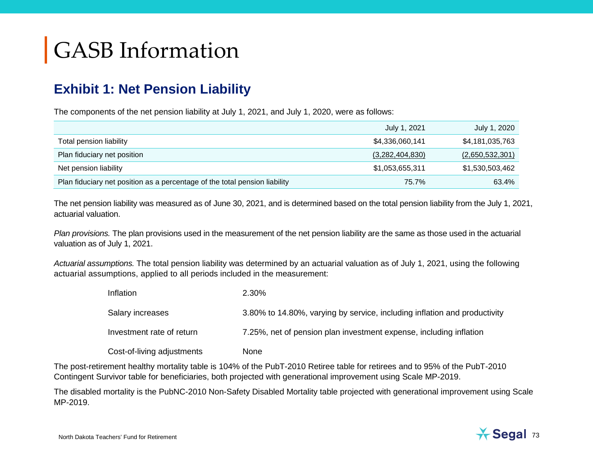#### **Exhibit 1: Net Pension Liability**

The components of the net pension liability at July 1, 2021, and July 1, 2020, were as follows:

|                                                                            | July 1, 2021    | July 1, 2020    |
|----------------------------------------------------------------------------|-----------------|-----------------|
| Total pension liability                                                    | \$4,336,060,141 | \$4,181,035,763 |
| Plan fiduciary net position                                                | (3,282,404,830) | (2,650,532,301) |
| Net pension liability                                                      | \$1,053,655,311 | \$1,530,503,462 |
| Plan fiduciary net position as a percentage of the total pension liability | 75.7%           | 63.4%           |

The net pension liability was measured as of June 30, 2021, and is determined based on the total pension liability from the July 1, 2021, actuarial valuation.

*Plan provisions.* The plan provisions used in the measurement of the net pension liability are the same as those used in the actuarial valuation as of July 1, 2021.

*Actuarial assumptions.* The total pension liability was determined by an actuarial valuation as of July 1, 2021, using the following actuarial assumptions, applied to all periods included in the measurement:

| Inflation                  | 2.30%                                                                     |
|----------------------------|---------------------------------------------------------------------------|
| Salary increases           | 3.80% to 14.80%, varying by service, including inflation and productivity |
| Investment rate of return  | 7.25%, net of pension plan investment expense, including inflation        |
| Cost-of-living adjustments | None                                                                      |

The post-retirement healthy mortality table is 104% of the PubT-2010 Retiree table for retirees and to 95% of the PubT-2010 Contingent Survivor table for beneficiaries, both projected with generational improvement using Scale MP-2019.

The disabled mortality is the PubNC-2010 Non-Safety Disabled Mortality table projected with generational improvement using Scale MP-2019.

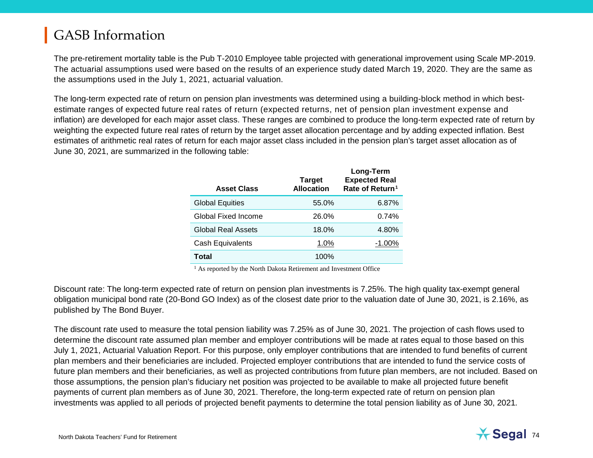The pre-retirement mortality table is the Pub T-2010 Employee table projected with generational improvement using Scale MP-2019. The actuarial assumptions used were based on the results of an experience study dated March 19, 2020. They are the same as the assumptions used in the July 1, 2021, actuarial valuation.

The long-term expected rate of return on pension plan investments was determined using a building-block method in which bestestimate ranges of expected future real rates of return (expected returns, net of pension plan investment expense and inflation) are developed for each major asset class. These ranges are combined to produce the long-term expected rate of return by weighting the expected future real rates of return by the target asset allocation percentage and by adding expected inflation. Best estimates of arithmetic real rates of return for each major asset class included in the pension plan's target asset allocation as of June 30, 2021, are summarized in the following table:

<span id="page-73-0"></span>

| <b>Asset Class</b>      | <b>Target</b><br><b>Allocation</b> | Long-Term<br><b>Expected Real</b><br>Rate of Return <sup>1</sup> |
|-------------------------|------------------------------------|------------------------------------------------------------------|
| <b>Global Equities</b>  | 55.0%                              | 6.87%                                                            |
| Global Fixed Income     | 26.0%                              | 0.74%                                                            |
| Global Real Assets      | 18.0%                              | 4.80%                                                            |
| <b>Cash Equivalents</b> | 1.0%                               | $-1.00\%$                                                        |
| Total                   | 100%                               |                                                                  |

<sup>1</sup> As reported by the North Dakota Retirement and Investment Office

Discount rate: The long-term expected rate of return on pension plan investments is 7.25%. The high quality tax-exempt general obligation municipal bond rate (20-Bond GO Index) as of the closest date prior to the valuation date of June 30, 2021, is 2.16%, as published by The Bond Buyer.

The discount rate used to measure the total pension liability was 7.25% as of June 30, 2021. The projection of cash flows used to determine the discount rate assumed plan member and employer contributions will be made at rates equal to those based on this July 1, 2021, Actuarial Valuation Report. For this purpose, only employer contributions that are intended to fund benefits of current plan members and their beneficiaries are included. Projected employer contributions that are intended to fund the service costs of future plan members and their beneficiaries, as well as projected contributions from future plan members, are not included. Based on those assumptions, the pension plan's fiduciary net position was projected to be available to make all projected future benefit payments of current plan members as of June 30, 2021. Therefore, the long-term expected rate of return on pension plan investments was applied to all periods of projected benefit payments to determine the total pension liability as of June 30, 2021*.*

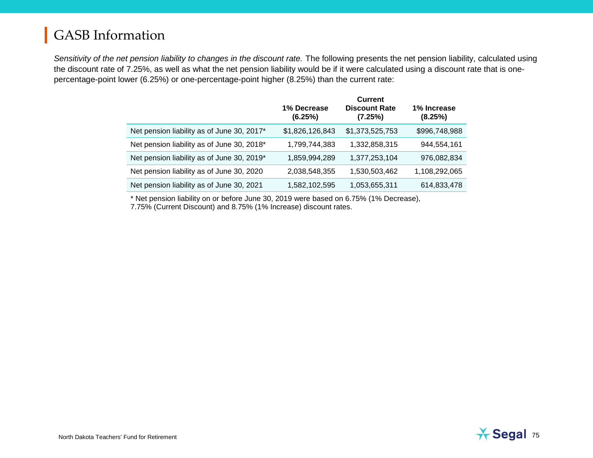*Sensitivity of the net pension liability to changes in the discount rate.* The following presents the net pension liability, calculated using the discount rate of 7.25%, as well as what the net pension liability would be if it were calculated using a discount rate that is onepercentage-point lower (6.25%) or one-percentage-point higher (8.25%) than the current rate:

|                                            | 1% Decrease<br>(6.25%) | <b>Current</b><br><b>Discount Rate</b><br>(7.25%) | 1% Increase<br>(8.25%) |
|--------------------------------------------|------------------------|---------------------------------------------------|------------------------|
| Net pension liability as of June 30, 2017* | \$1,826,126,843        | \$1,373,525,753                                   | \$996,748,988          |
| Net pension liability as of June 30, 2018* | 1,799,744,383          | 1,332,858,315                                     | 944,554,161            |
| Net pension liability as of June 30, 2019* | 1,859,994,289          | 1,377,253,104                                     | 976,082,834            |
| Net pension liability as of June 30, 2020  | 2,038,548,355          | 1,530,503,462                                     | 1,108,292,065          |
| Net pension liability as of June 30, 2021  | 1,582,102,595          | 1,053,655,311                                     | 614,833,478            |

\* Net pension liability on or before June 30, 2019 were based on 6.75% (1% Decrease), 7.75% (Current Discount) and 8.75% (1% Increase) discount rates.

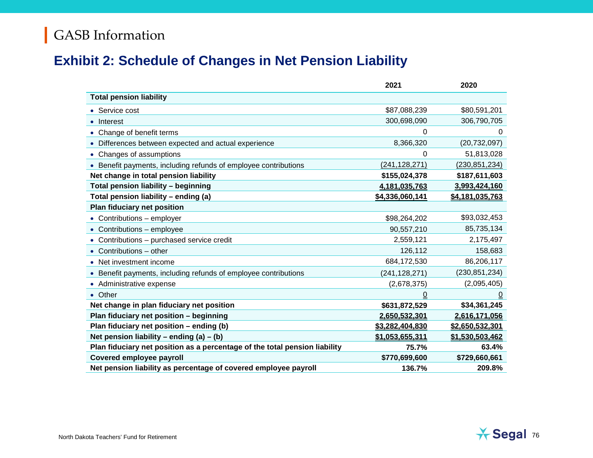#### **Exhibit 2: Schedule of Changes in Net Pension Liability**

|                                                                            | 2021            | 2020            |
|----------------------------------------------------------------------------|-----------------|-----------------|
| <b>Total pension liability</b>                                             |                 |                 |
| • Service cost                                                             | \$87,088,239    | \$80,591,201    |
| Interest                                                                   | 300,698,090     | 306,790,705     |
| • Change of benefit terms                                                  | 0               | $\Omega$        |
| • Differences between expected and actual experience                       | 8,366,320       | (20, 732, 097)  |
| • Changes of assumptions                                                   | 0               | 51,813,028      |
| • Benefit payments, including refunds of employee contributions            | (241, 128, 271) | (230, 851, 234) |
| Net change in total pension liability                                      | \$155,024,378   | \$187,611,603   |
| Total pension liability - beginning                                        | 4,181,035,763   | 3,993,424,160   |
| Total pension liability - ending (a)                                       | \$4,336,060,141 | \$4,181,035,763 |
| Plan fiduciary net position                                                |                 |                 |
| • Contributions - employer                                                 | \$98,264,202    | \$93,032,453    |
| • Contributions - employee                                                 | 90,557,210      | 85,735,134      |
| • Contributions - purchased service credit                                 | 2,559,121       | 2,175,497       |
| $\bullet$ Contributions – other                                            | 126,112         | 158,683         |
| • Net investment income                                                    | 684,172,530     | 86,206,117      |
| • Benefit payments, including refunds of employee contributions            | (241, 128, 271) | (230, 851, 234) |
| • Administrative expense                                                   | (2,678,375)     | (2,095,405)     |
| • Other                                                                    | 0               |                 |
| Net change in plan fiduciary net position                                  | \$631,872,529   | \$34,361,245    |
| Plan fiduciary net position - beginning                                    | 2,650,532,301   | 2,616,171,056   |
| Plan fiduciary net position - ending (b)                                   | \$3,282,404,830 | \$2,650,532,301 |
| Net pension liability – ending $(a) - (b)$                                 | \$1,053,655,311 | \$1,530,503,462 |
| Plan fiduciary net position as a percentage of the total pension liability | 75.7%           | 63.4%           |
| <b>Covered employee payroll</b>                                            | \$770,699,600   | \$729,660,661   |
| Net pension liability as percentage of covered employee payroll            | 136.7%          | 209.8%          |